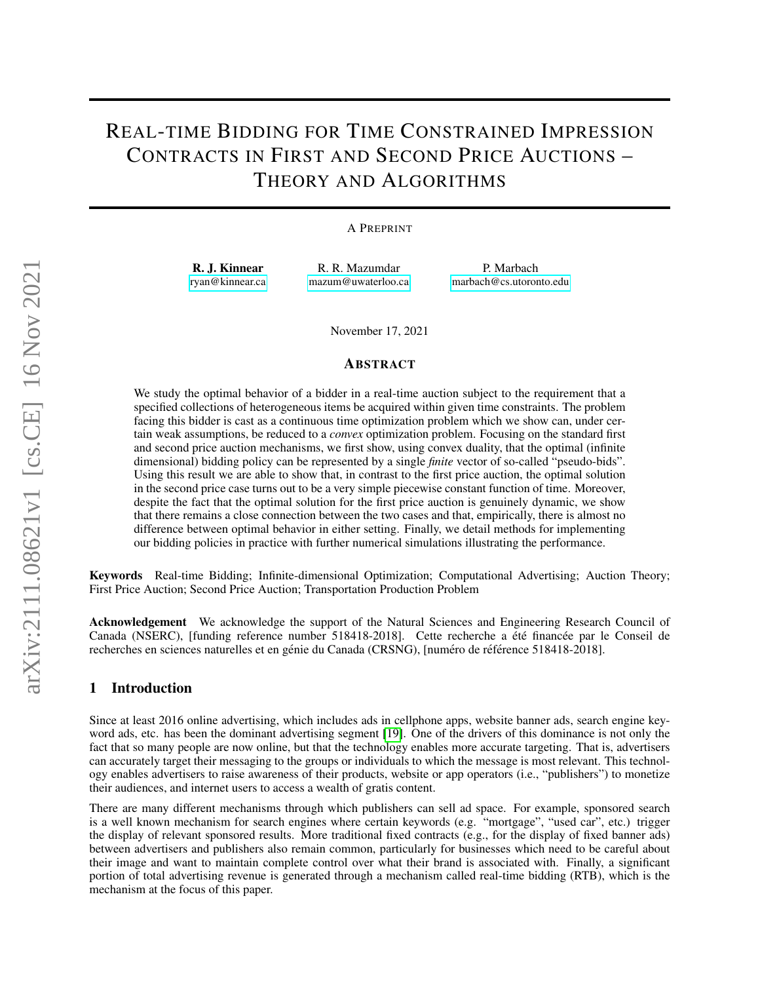# REAL-TIME BIDDING FOR TIME CONSTRAINED IMPRESSION CONTRACTS IN FIRST AND SECOND PRICE AUCTIONS – THEORY AND ALGORITHMS

### A PREPRINT

R. J. Kinnear [ryan@kinnear.ca](mailto:ryan@kinnear.ca)

R. R. Mazumdar [mazum@uwaterloo.ca](mailto:mazum@uwaterloo.ca)

P. Marbach [marbach@cs.utoronto.edu](mailto:marbach@cs.utoronto.edu)

November 17, 2021

#### ABSTRACT

We study the optimal behavior of a bidder in a real-time auction subject to the requirement that a specified collections of heterogeneous items be acquired within given time constraints. The problem facing this bidder is cast as a continuous time optimization problem which we show can, under certain weak assumptions, be reduced to a *convex* optimization problem. Focusing on the standard first and second price auction mechanisms, we first show, using convex duality, that the optimal (infinite dimensional) bidding policy can be represented by a single *finite* vector of so-called "pseudo-bids". Using this result we are able to show that, in contrast to the first price auction, the optimal solution in the second price case turns out to be a very simple piecewise constant function of time. Moreover, despite the fact that the optimal solution for the first price auction is genuinely dynamic, we show that there remains a close connection between the two cases and that, empirically, there is almost no difference between optimal behavior in either setting. Finally, we detail methods for implementing our bidding policies in practice with further numerical simulations illustrating the performance.

Keywords Real-time Bidding; Infinite-dimensional Optimization; Computational Advertising; Auction Theory; First Price Auction; Second Price Auction; Transportation Production Problem

Acknowledgement We acknowledge the support of the Natural Sciences and Engineering Research Council of Canada (NSERC), [funding reference number 518418-2018]. Cette recherche a été financée par le Conseil de recherches en sciences naturelles et en génie du Canada (CRSNG), [numéro de référence 518418-2018].

# 1 Introduction

Since at least 2016 online advertising, which includes ads in cellphone apps, website banner ads, search engine keyword ads, etc. has been the dominant advertising segment [\[19\]](#page-16-0). One of the drivers of this dominance is not only the fact that so many people are now online, but that the technology enables more accurate targeting. That is, advertisers can accurately target their messaging to the groups or individuals to which the message is most relevant. This technology enables advertisers to raise awareness of their products, website or app operators (i.e., "publishers") to monetize their audiences, and internet users to access a wealth of gratis content.

There are many different mechanisms through which publishers can sell ad space. For example, sponsored search is a well known mechanism for search engines where certain keywords (e.g. "mortgage", "used car", etc.) trigger the display of relevant sponsored results. More traditional fixed contracts (e.g., for the display of fixed banner ads) between advertisers and publishers also remain common, particularly for businesses which need to be careful about their image and want to maintain complete control over what their brand is associated with. Finally, a significant portion of total advertising revenue is generated through a mechanism called real-time bidding (RTB), which is the mechanism at the focus of this paper.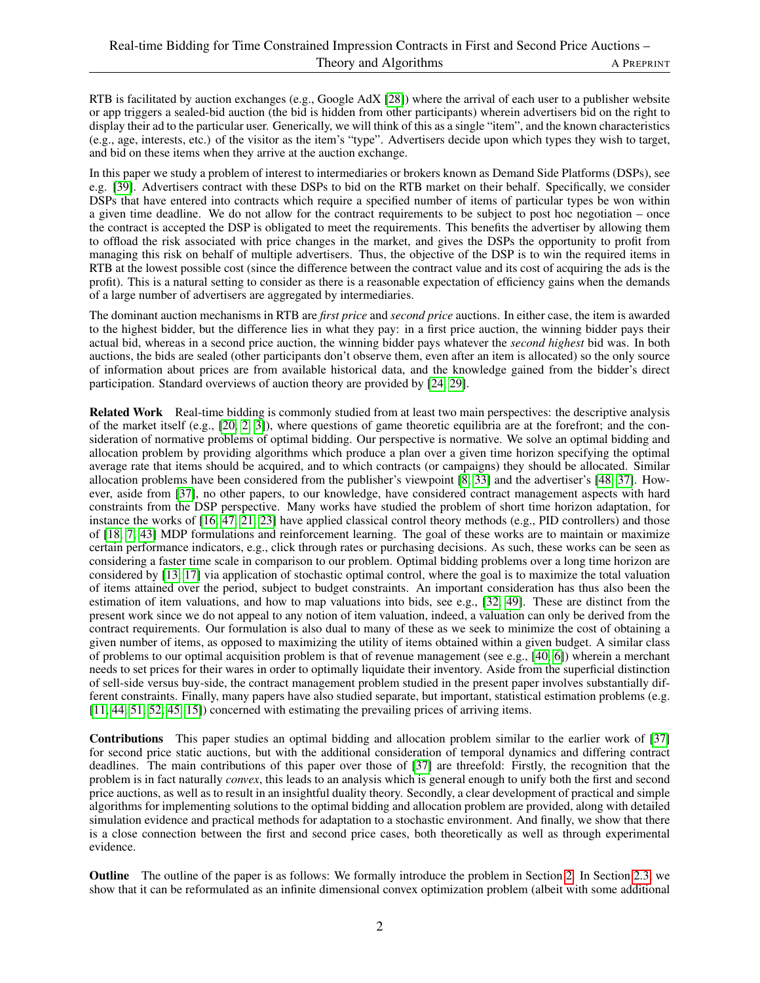RTB is facilitated by auction exchanges (e.g., Google AdX [\[28\]](#page-17-0)) where the arrival of each user to a publisher website or app triggers a sealed-bid auction (the bid is hidden from other participants) wherein advertisers bid on the right to display their ad to the particular user. Generically, we will think of this as a single "item", and the known characteristics (e.g., age, interests, etc.) of the visitor as the item's "type". Advertisers decide upon which types they wish to target, and bid on these items when they arrive at the auction exchange.

In this paper we study a problem of interest to intermediaries or brokers known as Demand Side Platforms (DSPs), see e.g. [\[39\]](#page-17-1). Advertisers contract with these DSPs to bid on the RTB market on their behalf. Specifically, we consider DSPs that have entered into contracts which require a specified number of items of particular types be won within a given time deadline. We do not allow for the contract requirements to be subject to post hoc negotiation – once the contract is accepted the DSP is obligated to meet the requirements. This benefits the advertiser by allowing them to offload the risk associated with price changes in the market, and gives the DSPs the opportunity to profit from managing this risk on behalf of multiple advertisers. Thus, the objective of the DSP is to win the required items in RTB at the lowest possible cost (since the difference between the contract value and its cost of acquiring the ads is the profit). This is a natural setting to consider as there is a reasonable expectation of efficiency gains when the demands of a large number of advertisers are aggregated by intermediaries.

The dominant auction mechanisms in RTB are *first price* and *second price* auctions. In either case, the item is awarded to the highest bidder, but the difference lies in what they pay: in a first price auction, the winning bidder pays their actual bid, whereas in a second price auction, the winning bidder pays whatever the *second highest* bid was. In both auctions, the bids are sealed (other participants don't observe them, even after an item is allocated) so the only source of information about prices are from available historical data, and the knowledge gained from the bidder's direct participation. Standard overviews of auction theory are provided by [\[24,](#page-17-2) [29\]](#page-17-3).

Related Work Real-time bidding is commonly studied from at least two main perspectives: the descriptive analysis of the market itself (e.g., [\[20,](#page-16-1) [2,](#page-16-2) [3\]](#page-16-3)), where questions of game theoretic equilibria are at the forefront; and the consideration of normative problems of optimal bidding. Our perspective is normative. We solve an optimal bidding and allocation problem by providing algorithms which produce a plan over a given time horizon specifying the optimal average rate that items should be acquired, and to which contracts (or campaigns) they should be allocated. Similar allocation problems have been considered from the publisher's viewpoint [\[8,](#page-16-4) [33\]](#page-17-4) and the advertiser's [\[48,](#page-18-0) [37\]](#page-17-5). However, aside from [\[37\]](#page-17-5), no other papers, to our knowledge, have considered contract management aspects with hard constraints from the DSP perspective. Many works have studied the problem of short time horizon adaptation, for instance the works of [\[16,](#page-16-5) [47,](#page-18-1) [21,](#page-16-6) [23\]](#page-17-6) have applied classical control theory methods (e.g., PID controllers) and those of [\[18,](#page-16-7) [7,](#page-16-8) [43\]](#page-17-7) MDP formulations and reinforcement learning. The goal of these works are to maintain or maximize certain performance indicators, e.g., click through rates or purchasing decisions. As such, these works can be seen as considering a faster time scale in comparison to our problem. Optimal bidding problems over a long time horizon are considered by [\[13,](#page-16-9) [17\]](#page-16-10) via application of stochastic optimal control, where the goal is to maximize the total valuation of items attained over the period, subject to budget constraints. An important consideration has thus also been the estimation of item valuations, and how to map valuations into bids, see e.g., [\[32,](#page-17-8) [49\]](#page-18-2). These are distinct from the present work since we do not appeal to any notion of item valuation, indeed, a valuation can only be derived from the contract requirements. Our formulation is also dual to many of these as we seek to minimize the cost of obtaining a given number of items, as opposed to maximizing the utility of items obtained within a given budget. A similar class of problems to our optimal acquisition problem is that of revenue management (see e.g., [\[40,](#page-17-9) [6\]](#page-16-11)) wherein a merchant needs to set prices for their wares in order to optimally liquidate their inventory. Aside from the superficial distinction of sell-side versus buy-side, the contract management problem studied in the present paper involves substantially different constraints. Finally, many papers have also studied separate, but important, statistical estimation problems (e.g. [\[11,](#page-16-12) [44,](#page-18-3) [51,](#page-18-4) [52,](#page-18-5) [45,](#page-18-6) [15\]](#page-16-13)) concerned with estimating the prevailing prices of arriving items.

Contributions This paper studies an optimal bidding and allocation problem similar to the earlier work of [\[37\]](#page-17-5) for second price static auctions, but with the additional consideration of temporal dynamics and differing contract deadlines. The main contributions of this paper over those of [\[37\]](#page-17-5) are threefold: Firstly, the recognition that the problem is in fact naturally *convex*, this leads to an analysis which is general enough to unify both the first and second price auctions, as well as to result in an insightful duality theory. Secondly, a clear development of practical and simple algorithms for implementing solutions to the optimal bidding and allocation problem are provided, along with detailed simulation evidence and practical methods for adaptation to a stochastic environment. And finally, we show that there is a close connection between the first and second price cases, both theoretically as well as through experimental evidence.

Outline The outline of the paper is as follows: We formally introduce the problem in Section [2.](#page-2-0) In Section [2.3,](#page-5-0) we show that it can be reformulated as an infinite dimensional convex optimization problem (albeit with some additional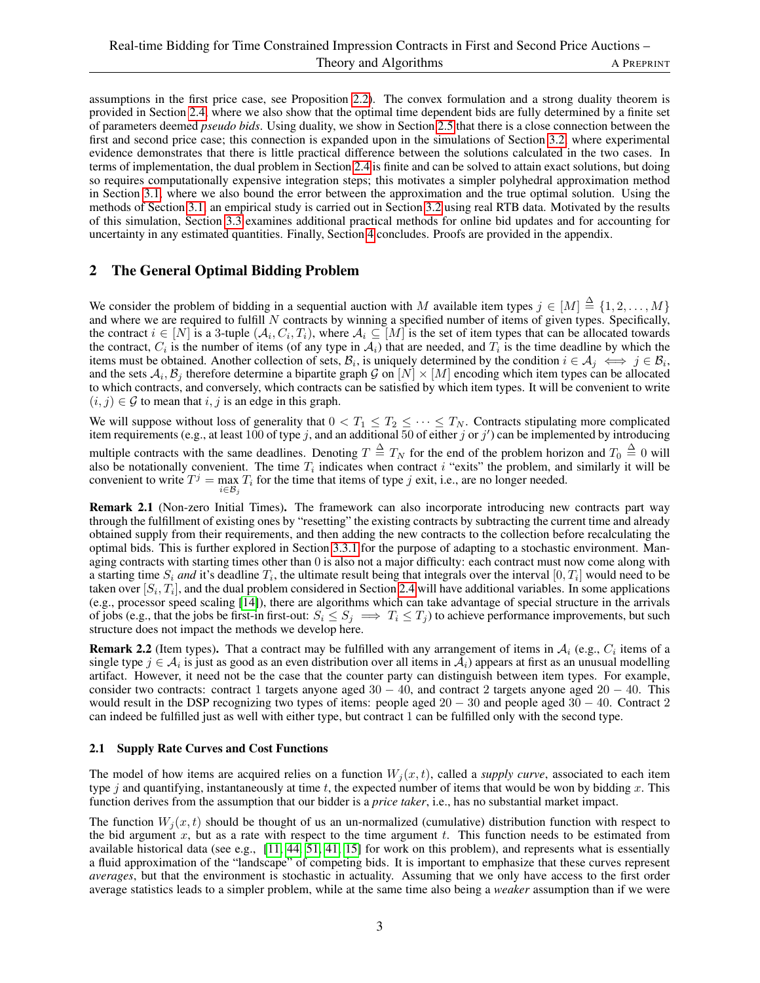assumptions in the first price case, see Proposition [2.2\)](#page-6-0). The convex formulation and a strong duality theorem is provided in Section [2.4,](#page-6-1) where we also show that the optimal time dependent bids are fully determined by a finite set of parameters deemed *pseudo bids*. Using duality, we show in Section [2.5](#page-8-0) that there is a close connection between the first and second price case; this connection is expanded upon in the simulations of Section [3.2,](#page-11-0) where experimental evidence demonstrates that there is little practical difference between the solutions calculated in the two cases. In terms of implementation, the dual problem in Section [2.4](#page-6-1) is finite and can be solved to attain exact solutions, but doing so requires computationally expensive integration steps; this motivates a simpler polyhedral approximation method in Section [3.1,](#page-9-0) where we also bound the error between the approximation and the true optimal solution. Using the methods of Section [3.1,](#page-9-0) an empirical study is carried out in Section [3.2](#page-11-0) using real RTB data. Motivated by the results of this simulation, Section [3.3](#page-12-0) examines additional practical methods for online bid updates and for accounting for uncertainty in any estimated quantities. Finally, Section [4](#page-15-0) concludes. Proofs are provided in the appendix.

# <span id="page-2-0"></span>2 The General Optimal Bidding Problem

We consider the problem of bidding in a sequential auction with M available item types  $j \in [M] \stackrel{\Delta}{=} \{1, 2, ..., M\}$ and where we are required to fulfill  $N$  contracts by winning a specified number of items of given types. Specifically, the contract  $i \in [N]$  is a 3-tuple  $(\mathcal{A}_i, C_i, T_i)$ , where  $\mathcal{A}_i \subseteq [M]$  is the set of item types that can be allocated towards the contract,  $C_i$  is the number of items (of any type in  $A_i$ ) that are needed, and  $T_i$  is the time deadline by which the items must be obtained. Another collection of sets,  $B_i$ , is uniquely determined by the condition  $i \in A_j \iff j \in B_i$ , and the sets  $A_i$ ,  $B_j$  therefore determine a bipartite graph G on  $[N] \times [M]$  encoding which item types can be allocated to which contracts, and conversely, which contracts can be satisfied by which item types. It will be convenient to write  $(i, j) \in \mathcal{G}$  to mean that i, j is an edge in this graph.

We will suppose without loss of generality that  $0 < T_1 \leq T_2 \leq \cdots \leq T_N$ . Contracts stipulating more complicated item requirements (e.g., at least 100 of type j, and an additional 50 of either j or j') can be implemented by introducing multiple contracts with the same deadlines. Denoting  $T \triangleq T_N$  for the end of the problem horizon and  $T_0 \triangleq 0$  will also be notationally convenient. The time  $T_i$  indicates when contract i "exits" the problem, and similarly it will be convenient to write  $T^j = \max_{i} T_i$  for the time that items of type j exit, i.e., are no longer needed.  $i \in \mathcal{B}_j$ 

Remark 2.1 (Non-zero Initial Times). The framework can also incorporate introducing new contracts part way through the fulfillment of existing ones by "resetting" the existing contracts by subtracting the current time and already obtained supply from their requirements, and then adding the new contracts to the collection before recalculating the optimal bids. This is further explored in Section [3.3.1](#page-12-1) for the purpose of adapting to a stochastic environment. Managing contracts with starting times other than 0 is also not a major difficulty: each contract must now come along with a starting time  $S_i$  and it's deadline  $T_i$ , the ultimate result being that integrals over the interval  $[0, T_i]$  would need to be taken over  $[S_i, T_i]$ , and the dual problem considered in Section [2.4](#page-6-1) will have additional variables. In some applications (e.g., processor speed scaling [\[14\]](#page-16-14)), there are algorithms which can take advantage of special structure in the arrivals of jobs (e.g., that the jobs be first-in first-out:  $S_i \leq S_j \implies T_i \leq T_j$ ) to achieve performance improvements, but such structure does not impact the methods we develop here.

**Remark 2.2** (Item types). That a contract may be fulfilled with any arrangement of items in  $A_i$  (e.g.,  $C_i$  items of a single type  $j \in A_i$  is just as good as an even distribution over all items in  $A_i$ ) appears at first as an unusual modelling artifact. However, it need not be the case that the counter party can distinguish between item types. For example, consider two contracts: contract 1 targets anyone aged  $30 - 40$ , and contract 2 targets anyone aged  $20 - 40$ . This would result in the DSP recognizing two types of items: people aged 20 − 30 and people aged 30 − 40. Contract 2 can indeed be fulfilled just as well with either type, but contract 1 can be fulfilled only with the second type.

### 2.1 Supply Rate Curves and Cost Functions

The model of how items are acquired relies on a function  $W_i(x, t)$ , called a *supply curve*, associated to each item type j and quantifying, instantaneously at time t, the expected number of items that would be won by bidding x. This function derives from the assumption that our bidder is a *price taker*, i.e., has no substantial market impact.

The function  $W_i(x, t)$  should be thought of us an un-normalized (cumulative) distribution function with respect to the bid argument x, but as a rate with respect to the time argument t. This function needs to be estimated from available historical data (see e.g., [\[11,](#page-16-12) [44,](#page-18-3) [51,](#page-18-4) [41,](#page-17-10) [15\]](#page-16-13) for work on this problem), and represents what is essentially a fluid approximation of the "landscape" of competing bids. It is important to emphasize that these curves represent *averages*, but that the environment is stochastic in actuality. Assuming that we only have access to the first order average statistics leads to a simpler problem, while at the same time also being a *weaker* assumption than if we were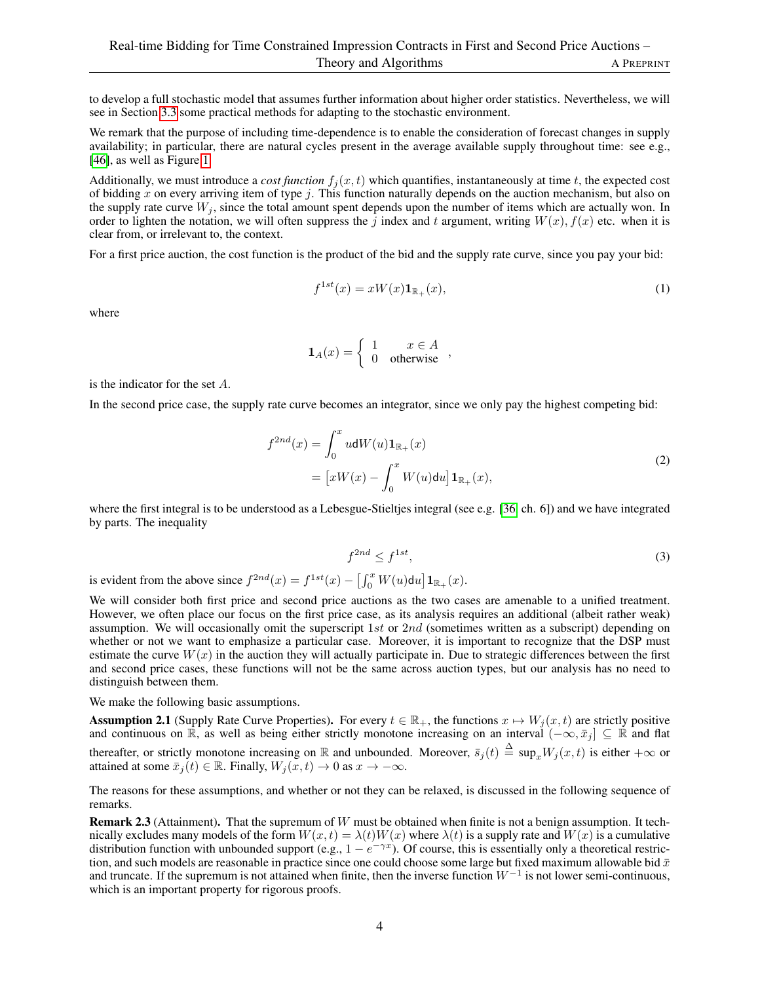to develop a full stochastic model that assumes further information about higher order statistics. Nevertheless, we will see in Section [3.3](#page-12-0) some practical methods for adapting to the stochastic environment.

We remark that the purpose of including time-dependence is to enable the consideration of forecast changes in supply availability; in particular, there are natural cycles present in the average available supply throughout time: see e.g., [\[46\]](#page-18-7), as well as Figure [1.](#page-4-0)

Additionally, we must introduce a *cost function*  $f_i(x, t)$  which quantifies, instantaneously at time t, the expected cost of bidding x on every arriving item of type j. This function naturally depends on the auction mechanism, but also on the supply rate curve  $W_j$ , since the total amount spent depends upon the number of items which are actually won. In order to lighten the notation, we will often suppress the j index and t argument, writing  $W(x)$ ,  $f(x)$  etc. when it is clear from, or irrelevant to, the context.

For a first price auction, the cost function is the product of the bid and the supply rate curve, since you pay your bid:

$$
f^{1st}(x) = xW(x)\mathbf{1}_{\mathbb{R}_+}(x),\tag{1}
$$

where

$$
\mathbf{1}_A(x) = \begin{cases} 1 & x \in A \\ 0 & \text{otherwise} \end{cases},
$$

is the indicator for the set A.

In the second price case, the supply rate curve becomes an integrator, since we only pay the highest competing bid:

$$
f^{2nd}(x) = \int_0^x u \mathrm{d}W(u) \mathbf{1}_{\mathbb{R}_+}(x)
$$
  
= 
$$
[xW(x) - \int_0^x W(u) \mathrm{d}u] \mathbf{1}_{\mathbb{R}_+}(x),
$$
 (2)

where the first integral is to be understood as a Lebesgue-Stieltjes integral (see e.g. [\[36,](#page-17-11) ch. 6]) and we have integrated by parts. The inequality

$$
f^{2nd} \le f^{1st},\tag{3}
$$

is evident from the above since  $f^{2nd}(x) = f^{1st}(x) - \left[\int_0^x W(u) \mathrm{d}u\right] \mathbf{1}_{\mathbb{R}_+}(x)$ .

We will consider both first price and second price auctions as the two cases are amenable to a unified treatment. However, we often place our focus on the first price case, as its analysis requires an additional (albeit rather weak) assumption. We will occasionally omit the superscript  $1st$  or  $2nd$  (sometimes written as a subscript) depending on whether or not we want to emphasize a particular case. Moreover, it is important to recognize that the DSP must estimate the curve  $W(x)$  in the auction they will actually participate in. Due to strategic differences between the first and second price cases, these functions will not be the same across auction types, but our analysis has no need to distinguish between them.

We make the following basic assumptions.

<span id="page-3-0"></span>**Assumption 2.1** (Supply Rate Curve Properties). For every  $t \in \mathbb{R}_+$ , the functions  $x \mapsto W_i(x, t)$  are strictly positive and continuous on  $\mathbb{R}$ , as well as being either strictly monotone increasing on an interval  $(-\infty, \bar{x}_j] \subseteq \mathbb{R}$  and flat thereafter, or strictly monotone increasing on R and unbounded. Moreover,  $\bar{s}_j(t) \triangleq \sup_x W_j(x,t)$  is either  $+\infty$  or attained at some  $\bar{x}_i(t) \in \mathbb{R}$ . Finally,  $W_i(x, t) \to 0$  as  $x \to -\infty$ .

The reasons for these assumptions, and whether or not they can be relaxed, is discussed in the following sequence of remarks.

Remark 2.3 (Attainment). That the supremum of W must be obtained when finite is not a benign assumption. It technically excludes many models of the form  $W(x, t) = \lambda(t)W(x)$  where  $\lambda(t)$  is a supply rate and  $W(x)$  is a cumulative distribution function with unbounded support (e.g.,  $1 - e^{-\gamma x}$ ). Of course, this is essentially only a theoretical restriction, and such models are reasonable in practice since one could choose some large but fixed maximum allowable bid  $\bar{x}$ and truncate. If the supremum is not attained when finite, then the inverse function  $W^{-1}$  is not lower semi-continuous, which is an important property for rigorous proofs.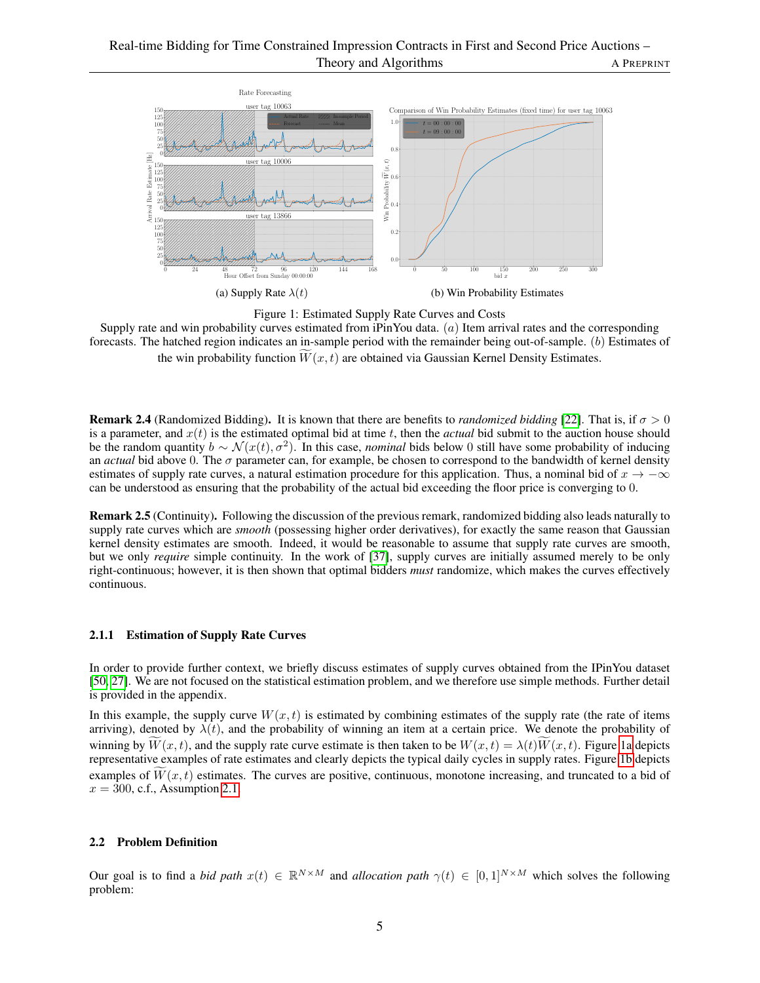<span id="page-4-0"></span>

Figure 1: Estimated Supply Rate Curves and Costs

Supply rate and win probability curves estimated from iPinYou data.  $(a)$  Item arrival rates and the corresponding forecasts. The hatched region indicates an in-sample period with the remainder being out-of-sample. (b) Estimates of the win probability function  $W(x, t)$  are obtained via Gaussian Kernel Density Estimates.

**Remark 2.4** (Randomized Bidding). It is known that there are benefits to *randomized bidding* [\[22\]](#page-16-15). That is, if  $\sigma > 0$ is a parameter, and  $x(t)$  is the estimated optimal bid at time t, then the *actual* bid submit to the auction house should be the random quantity  $b \sim \mathcal{N}(x(t), \sigma^2)$ . In this case, *nominal* bids below 0 still have some probability of inducing an *actual* bid above 0. The σ parameter can, for example, be chosen to correspond to the bandwidth of kernel density estimates of supply rate curves, a natural estimation procedure for this application. Thus, a nominal bid of  $x \to -\infty$ can be understood as ensuring that the probability of the actual bid exceeding the floor price is converging to 0.

Remark 2.5 (Continuity). Following the discussion of the previous remark, randomized bidding also leads naturally to supply rate curves which are *smooth* (possessing higher order derivatives), for exactly the same reason that Gaussian kernel density estimates are smooth. Indeed, it would be reasonable to assume that supply rate curves are smooth, but we only *require* simple continuity. In the work of [\[37\]](#page-17-5), supply curves are initially assumed merely to be only right-continuous; however, it is then shown that optimal bidders *must* randomize, which makes the curves effectively continuous.

### 2.1.1 Estimation of Supply Rate Curves

In order to provide further context, we briefly discuss estimates of supply curves obtained from the IPinYou dataset [\[50,](#page-18-8) [27\]](#page-17-12). We are not focused on the statistical estimation problem, and we therefore use simple methods. Further detail is provided in the appendix.

In this example, the supply curve  $W(x, t)$  is estimated by combining estimates of the supply rate (the rate of items arriving), denoted by  $\lambda(t)$ , and the probability of winning an item at a certain price. We denote the probability of winning by  $\widetilde{W}(x, t)$ , and the supply rate curve estimate is then taken to be  $W(x, t) = \lambda(t)\widetilde{W}(x, t)$ . Figure [1a](#page-4-0) depicts representative examples of rate estimates and clearly depicts the typical daily cycles in supply rates. Figure [1b](#page-4-0) depicts examples of  $\overline{W}(x, t)$  estimates. The curves are positive, continuous, monotone increasing, and truncated to a bid of  $x = 300$ , c.f., Assumption [2.1.](#page-3-0)

### 2.2 Problem Definition

Our goal is to find a *bid path*  $x(t) \in \mathbb{R}^{N \times M}$  and *allocation path*  $\gamma(t) \in [0,1]^{N \times M}$  which solves the following problem: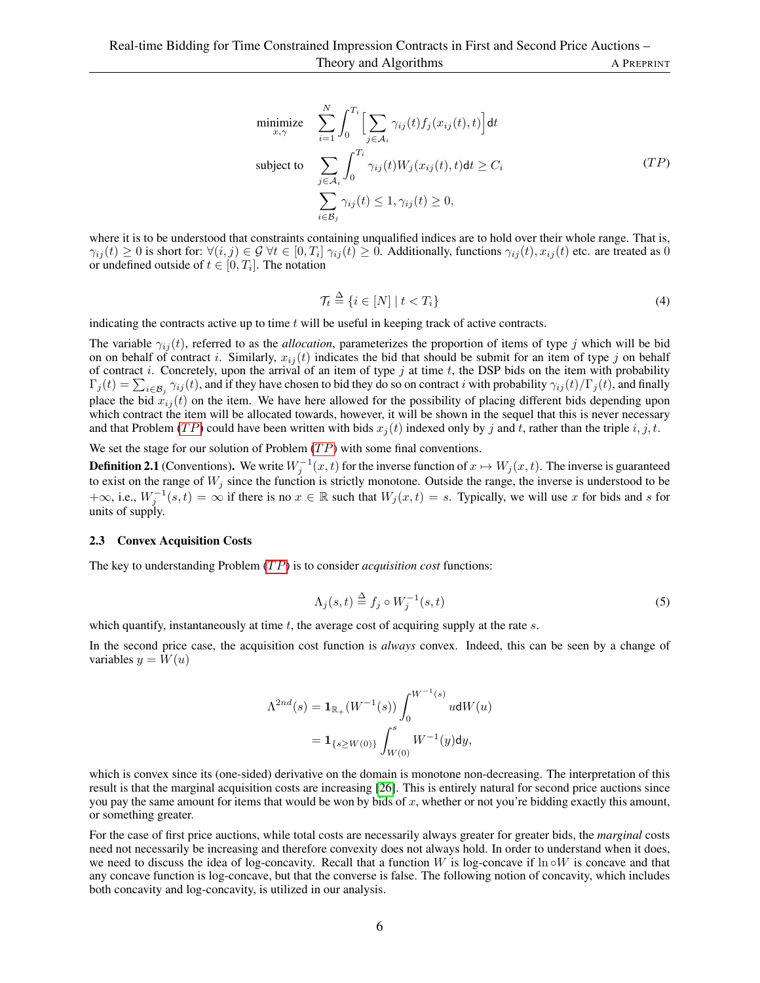$$
\begin{aligned}\n\text{minimize} & \sum_{x,\gamma}^{N} \int_{0}^{T_i} \Big[ \sum_{j \in \mathcal{A}_i} \gamma_{ij}(t) f_j(x_{ij}(t), t) \Big] dt \\
\text{subject to} & \sum_{j \in \mathcal{A}_i} \int_{0}^{T_i} \gamma_{ij}(t) W_j(x_{ij}(t), t) dt \ge C_i \\
& \sum_{i \in \mathcal{B}_j} \gamma_{ij}(t) \le 1, \gamma_{ij}(t) \ge 0,\n\end{aligned} \tag{TP}
$$

where it is to be understood that constraints containing unqualified indices are to hold over their whole range. That is,  $\gamma_{ij}(t) \ge 0$  is short for:  $\forall (i, j) \in \mathcal{G} \ \forall t \in [0, T_i] \ \gamma_{ij}(t) \ge 0$ . Additionally, functions  $\gamma_{ij}(t), x_{ij}(t)$  etc. are treated as 0 or undefined outside of  $t \in [0, T_i]$ . The notation

<span id="page-5-1"></span>
$$
\mathcal{T}_t \stackrel{\Delta}{=} \{ i \in [N] \mid t < T_i \} \tag{4}
$$

indicating the contracts active up to time  $t$  will be useful in keeping track of active contracts.

The variable  $\gamma_{ij}(t)$ , referred to as the *allocation*, parameterizes the proportion of items of type j which will be bid on on behalf of contract i. Similarly,  $x_{ij}(t)$  indicates the bid that should be submit for an item of type j on behalf of contract i. Concretely, upon the arrival of an item of type j at time t, the DSP bids on the item with probability  $\Gamma_j(t) = \sum_{i \in \mathcal{B}_j} \gamma_{ij}(t)$ , and if they have chosen to bid they do so on contract i with probability  $\gamma_{ij}(t) / \Gamma_j(t)$ , and finally place the bid  $x_{ij}(t)$  on the item. We have here allowed for the possibility of placing different bids depending upon which contract the item will be allocated towards, however, it will be shown in the sequel that this is never necessary and that Problem (TP) could have been written with bids  $x_i(t)$  indexed only by j and t, rather than the triple i, j, t.

We set the stage for our solution of Problem  $(TP)$  with some final conventions.

**Definition 2.1** (Conventions). We write  $W_j^{-1}(x,t)$  for the inverse function of  $x \mapsto W_j(x,t)$ . The inverse is guaranteed to exist on the range of  $W_j$  since the function is strictly monotone. Outside the range, the inverse is understood to be  $+\infty$ , i.e.,  $W_j^{-1}(s,t) = \infty$  if there is no  $x \in \mathbb{R}$  such that  $W_j(x,t) = s$ . Typically, we will use x for bids and s for units of supply.

### <span id="page-5-0"></span>2.3 Convex Acquisition Costs

The key to understanding Problem (TP) is to consider *acquisition cost* functions:

$$
\Lambda_j(s,t) \stackrel{\Delta}{=} f_j \circ W_j^{-1}(s,t) \tag{5}
$$

which quantify, instantaneously at time  $t$ , the average cost of acquiring supply at the rate  $s$ .

In the second price case, the acquisition cost function is *always* convex. Indeed, this can be seen by a change of variables  $y = W(u)$ 

$$
\Lambda^{2nd}(s) = \mathbf{1}_{\mathbb{R}_+}(W^{-1}(s)) \int_0^{W^{-1}(s)} u \mathrm{d}W(u)
$$
  
=  $\mathbf{1}_{\{s \ge W(0)\}} \int_{W(0)}^s W^{-1}(y) \mathrm{d}y,$ 

which is convex since its (one-sided) derivative on the domain is monotone non-decreasing. The interpretation of this result is that the marginal acquisition costs are increasing [\[26\]](#page-17-13). This is entirely natural for second price auctions since you pay the same amount for items that would be won by bids of  $x$ , whether or not you're bidding exactly this amount, or something greater.

For the case of first price auctions, while total costs are necessarily always greater for greater bids, the *marginal* costs need not necessarily be increasing and therefore convexity does not always hold. In order to understand when it does, we need to discuss the idea of log-concavity. Recall that a function W is log-concave if  $\ln \circ W$  is concave and that any concave function is log-concave, but that the converse is false. The following notion of concavity, which includes both concavity and log-concavity, is utilized in our analysis.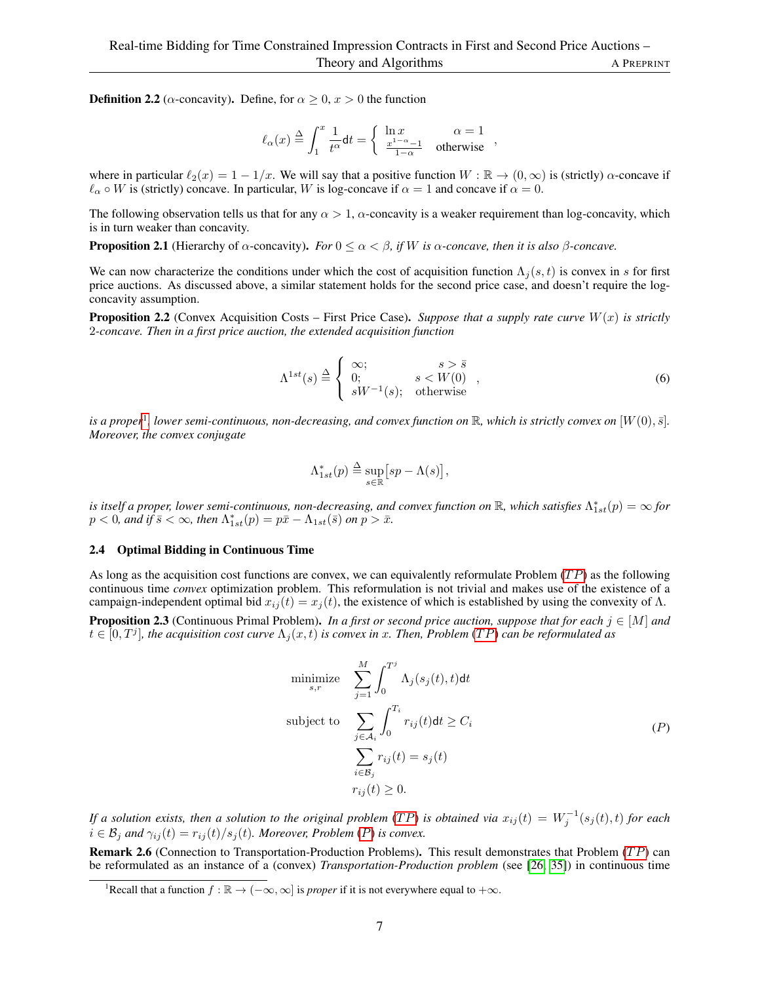**Definition 2.2** ( $\alpha$ -concavity). Define, for  $\alpha \geq 0$ ,  $x > 0$  the function

$$
\ell_{\alpha}(x) \stackrel{\Delta}{=} \int_1^x \frac{1}{t^{\alpha}} \mathsf{d} t = \left\{ \begin{array}{ll} \ln x & \alpha = 1 \\ \frac{x^{1-\alpha}-1}{1-\alpha} & \mathrm{otherwise} \end{array} \right. ,
$$

where in particular  $\ell_2(x) = 1 - 1/x$ . We will say that a positive function  $W : \mathbb{R} \to (0, \infty)$  is (strictly)  $\alpha$ -concave if  $\ell_{\alpha} \circ W$  is (strictly) concave. In particular, W is log-concave if  $\alpha = 1$  and concave if  $\alpha = 0$ .

The following observation tells us that for any  $\alpha > 1$ ,  $\alpha$ -concavity is a weaker requirement than log-concavity, which is in turn weaker than concavity.

<span id="page-6-5"></span>**Proposition 2.1** (Hierarchy of  $\alpha$ -concavity). *For*  $0 \leq \alpha < \beta$ , if W is  $\alpha$ -concave, then it is also  $\beta$ -concave.

We can now characterize the conditions under which the cost of acquisition function  $\Lambda_i(s, t)$  is convex in s for first price auctions. As discussed above, a similar statement holds for the second price case, and doesn't require the logconcavity assumption.

<span id="page-6-0"></span>**Proposition 2.2** (Convex Acquisition Costs – First Price Case). *Suppose that a supply rate curve*  $W(x)$  *is strictly* 2*-concave. Then in a first price auction, the extended acquisition function*

$$
\Lambda^{1st}(s) \stackrel{\Delta}{=} \begin{cases} \infty; & s > \bar{s} \\ 0; & s < W(0) \\ sW^{-1}(s); & \text{otherwise} \end{cases}
$$
 (6)

is a proper<sup>[1](#page-6-2)</sup>, lower semi-continuous, non-decreasing, and convex function on  $\R$ , which is strictly convex on  $[W(0),\bar{s}]$ . *Moreover, the convex conjugate*

$$
\Lambda^*_{1st}(p) \stackrel{\Delta}{=} \sup_{s \in \mathbb{R}} \big[ sp - \Lambda(s) \big],
$$

is itself a proper, lower semi-continuous, non-decreasing, and convex function on  $\R$ , which satisfies  $\Lambda^*_{1st}(p)=\infty$  for  $p < 0$ , and if  $\bar{s} < \infty$ , then  $\Lambda^*_{1st}(p) = p\bar{x} - \Lambda_{1st}(\bar{s})$  on  $p > \bar{x}$ .

### <span id="page-6-1"></span>2.4 Optimal Bidding in Continuous Time

As long as the acquisition cost functions are convex, we can equivalently reformulate Problem  $(TP)$  as the following continuous time *convex* optimization problem. This reformulation is not trivial and makes use of the existence of a campaign-independent optimal bid  $x_{ij}(t) = x_j(t)$ , the existence of which is established by using the convexity of  $\Lambda$ .

<span id="page-6-4"></span>**Proposition 2.3** (Continuous Primal Problem). *In a first or second price auction, suppose that for each*  $j \in [M]$  and  $t\in[0,T^j]$ , the acquisition cost curve  $\Lambda_j(x,t)$  is convex in x. Then, Problem (TP) can be reformulated as

<span id="page-6-3"></span>
$$
\begin{aligned}\n\text{minimize} & \sum_{s,r}^{M} \int_{0}^{T^{j}} \Lambda_{j}(s_{j}(t), t) dt \\
\text{subject to} & \sum_{j \in \mathcal{A}_{i}} \int_{0}^{T_{i}} r_{ij}(t) dt \geq C_{i} \\
& \sum_{i \in \mathcal{B}_{j}} r_{ij}(t) = s_{j}(t) \\
& r_{ij}(t) \geq 0.\n\end{aligned} \tag{P}
$$

*If a solution exists, then a solution to the original problem* (TP) *is obtained via*  $x_{ij}(t) = W_j^{-1}(s_j(t), t)$  *for each*  $i \in \mathcal{B}_j$  and  $\gamma_{ij}(t) = r_{ij}(t)/s_j(t)$ *. Moreover, [P](#page-6-3)roblem (P) is convex.* 

Remark 2.6 (Connection to Transportation-Production Problems). This result demonstrates that Problem (TP) can be reformulated as an instance of a (convex) *Transportation-Production problem* (see [\[26,](#page-17-13) [35\]](#page-17-14)) in continuous time

<span id="page-6-2"></span><sup>&</sup>lt;sup>1</sup>Recall that a function  $f : \mathbb{R} \to (-\infty, \infty]$  is *proper* if it is not everywhere equal to  $+\infty$ .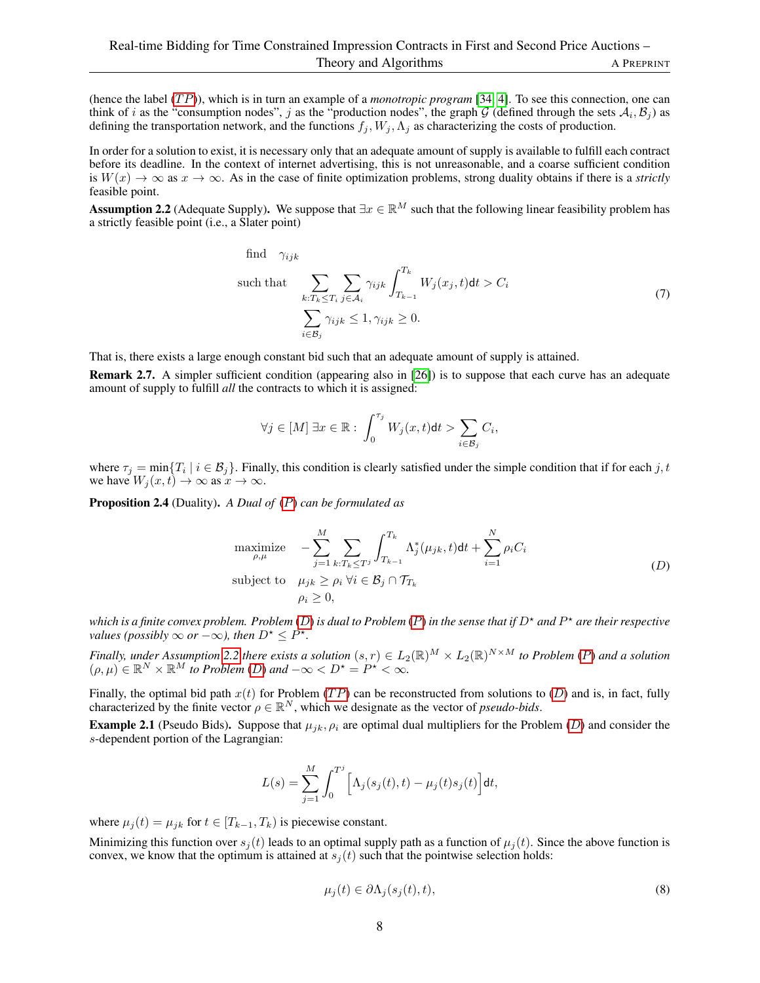(hence the label (TP)), which is in turn an example of a *monotropic program* [\[34,](#page-17-15) [4\]](#page-16-16). To see this connection, one can think of *i* as the "consumption nodes", *j* as the "production nodes", the graph G (defined through the sets  $A_i$ ,  $B_j$ ) as defining the transportation network, and the functions  $f_i$ ,  $W_i$ ,  $\Lambda_i$  as characterizing the costs of production.

In order for a solution to exist, it is necessary only that an adequate amount of supply is available to fulfill each contract before its deadline. In the context of internet advertising, this is not unreasonable, and a coarse sufficient condition is  $W(x) \to \infty$  as  $x \to \infty$ . As in the case of finite optimization problems, strong duality obtains if there is a *strictly* feasible point.

<span id="page-7-1"></span>**Assumption 2.2** (Adequate Supply). We suppose that  $\exists x \in \mathbb{R}^M$  such that the following linear feasibility problem has a strictly feasible point (i.e., a Slater point)

find 
$$
\gamma_{ijk}
$$
  
\nsuch that 
$$
\sum_{k:T_k \leq T_i} \sum_{j \in A_i} \gamma_{ijk} \int_{T_{k-1}}^{T_k} W_j(x_j, t) dt > C_i
$$
\n
$$
\sum_{i \in B_j} \gamma_{ijk} \leq 1, \gamma_{ijk} \geq 0.
$$
\n(7)

That is, there exists a large enough constant bid such that an adequate amount of supply is attained.

Remark 2.7. A simpler sufficient condition (appearing also in [\[26\]](#page-17-13)) is to suppose that each curve has an adequate amount of supply to fulfill *all* the contracts to which it is assigned:

<span id="page-7-0"></span>
$$
\forall j \in [M] \; \exists x \in \mathbb{R} : \; \int_0^{\tau_j} W_j(x,t) \mathsf{d}t > \sum_{i \in \mathcal{B}_j} C_i,
$$

where  $\tau_j = \min\{T_i \mid i \in B_j\}$ . Finally, this condition is clearly satisfied under the simple condition that if for each j, t we have  $W_i(x, t) \to \infty$  as  $x \to \infty$ .

<span id="page-7-4"></span>Proposition 2.4 (Duality). *A Dual of* ([P](#page-6-3)) *can be formulated as*

<span id="page-7-2"></span>maximize 
$$
- \sum_{j=1}^{M} \sum_{k:T_k \leq T^j} \int_{T_{k-1}}^{T_k} \Lambda_j^*(\mu_{jk}, t) dt + \sum_{i=1}^{N} \rho_i C_i
$$
  
subject to 
$$
\mu_{jk} \geq \rho_i \ \forall i \in \mathcal{B}_j \cap \mathcal{T}_{T_k}
$$

$$
\rho_i \geq 0,
$$
 (D)

*which is a finite convex problem. Problem* ([D](#page-7-0)) *is dual to Problem* ([P](#page-6-3)) *in the sense that if* D? *and* P ? *are their respective values (possibly*  $\infty$  *or*  $-\infty$ *), then*  $D^* \leq P^*$ .

*Finally, under Assumption* [2.2](#page-7-1) there exists a solution  $(s, r) \in L_2(\mathbb{R})^M \times L_2(\mathbb{R})^{N \times M}$  to [P](#page-6-3)roblem (P) and a solution  $(\rho, \mu) \in \mathbb{R}^N \times \mathbb{R}^M$  *to Problem* (*[D](#page-7-0)*) and  $-\infty < D^* = P^* < \infty$ .

Finally, the optimal bid path  $x(t)$  for Problem (TP) can be reconstructed from solutions to ([D](#page-7-0)) and is, in fact, fully characterized by the finite vector  $\rho \in \mathbb{R}^N$ , which we designate as the vector of *pseudo-bids*.

<span id="page-7-3"></span>**Example 2.1** (Pseudo Bids). Suppose that  $\mu_{ik}$ ,  $\rho_i$  are optimal dual multipliers for the Problem ([D](#page-7-0)) and consider the s-dependent portion of the Lagrangian:

$$
L(s) = \sum_{j=1}^{M} \int_0^{T^j} \Big[ \Lambda_j(s_j(t), t) - \mu_j(t) s_j(t) \Big] dt,
$$

where  $\mu_j(t) = \mu_{jk}$  for  $t \in [T_{k-1}, T_k)$  is piecewise constant.

Minimizing this function over  $s_j(t)$  leads to an optimal supply path as a function of  $\mu_j(t)$ . Since the above function is convex, we know that the optimum is attained at  $s<sub>j</sub>(t)$  such that the pointwise selection holds:

$$
\mu_j(t) \in \partial \Lambda_j(s_j(t), t), \tag{8}
$$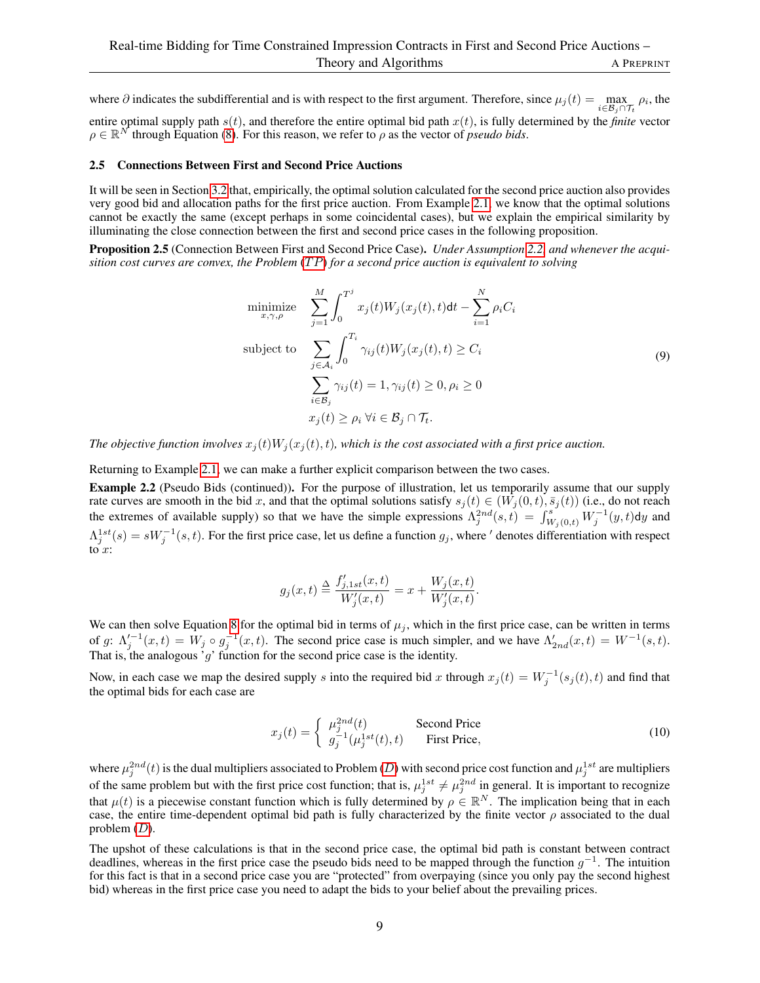where  $\partial$  indicates the subdifferential and is with respect to the first argument. Therefore, since  $\mu_j(t) = \max_{i \in \mathcal{B}_j \cap \mathcal{T}_t} \rho_i$ , the entire optimal supply path  $s(t)$ , and therefore the entire optimal bid path  $x(t)$ , is fully determined by the *finite* vector  $\rho \in \mathbb{R}^N$  through Equation [\(8\)](#page-7-2). For this reason, we refer to  $\rho$  as the vector of *pseudo bids*.

### <span id="page-8-0"></span>2.5 Connections Between First and Second Price Auctions

It will be seen in Section [3.2](#page-11-0) that, empirically, the optimal solution calculated for the second price auction also provides very good bid and allocation paths for the first price auction. From Example [2.1,](#page-7-3) we know that the optimal solutions cannot be exactly the same (except perhaps in some coincidental cases), but we explain the empirical similarity by illuminating the close connection between the first and second price cases in the following proposition.

<span id="page-8-1"></span>Proposition 2.5 (Connection Between First and Second Price Case). *Under Assumption [2.2,](#page-7-1) and whenever the acquisition cost curves are convex, the Problem* (TP) *for a second price auction is equivalent to solving* 

$$
\begin{aligned}\n\text{minimize} & \sum_{x,\gamma,\rho}^{M} \int_{0}^{T^{j}} x_{j}(t) W_{j}(x_{j}(t),t) \, \mathrm{d}t - \sum_{i=1}^{N} \rho_{i} C_{i} \\
\text{subject to} & \sum_{j \in \mathcal{A}_{i}} \int_{0}^{T_{i}} \gamma_{ij}(t) W_{j}(x_{j}(t),t) \geq C_{i} \\
& \sum_{i \in \mathcal{B}_{j}} \gamma_{ij}(t) = 1, \gamma_{ij}(t) \geq 0, \rho_{i} \geq 0 \\
& x_{j}(t) \geq \rho_{i} \,\forall i \in \mathcal{B}_{j} \cap \mathcal{T}_{t}.\n\end{aligned} \tag{9}
$$

*The objective function involves*  $x_j(t)W_j(x_j(t), t)$ *, which is the cost associated with a first price auction.* 

Returning to Example [2.1,](#page-7-3) we can make a further explicit comparison between the two cases.

<span id="page-8-2"></span>Example 2.2 (Pseudo Bids (continued)). For the purpose of illustration, let us temporarily assume that our supply rate curves are smooth in the bid x, and that the optimal solutions satisfy  $s_j(t) \in (W_j(0,t), \bar{s}_j(t))$  (i.e., do not reach the extremes of available supply) so that we have the simple expressions  $\Lambda_j^{2nd}(s,t) = \int_{W_j(0,t)}^{s} W_j^{-1}(y,t) dy$  and  $\Lambda_j^{1st}(s) = sW_j^{-1}(s,t)$ . For the first price case, let us define a function  $g_j$ , where ' denotes differentiation with respect to  $x$ :

$$
g_j(x,t) \triangleq \frac{f'_{j,1st}(x,t)}{W'_j(x,t)} = x + \frac{W_j(x,t)}{W'_j(x,t)}.
$$

We can then solve Equation [8](#page-7-2) for the optimal bid in terms of  $\mu_j$ , which in the first price case, can be written in terms of g:  $\Lambda_j'^{-1}(x,t) = W_j \circ g_j^{-1}(x,t)$ . The second price case is much simpler, and we have  $\Lambda_{2nd}'(x,t) = W^{-1}(s,t)$ . That is, the analogous ' $g$ ' function for the second price case is the identity.

Now, in each case we map the desired supply s into the required bid x through  $x_j(t) = W_j^{-1}(s_j(t), t)$  and find that the optimal bids for each case are

$$
x_j(t) = \begin{cases} \mu_j^{2nd}(t) & \text{Second Price} \\ g_j^{-1}(\mu_j^{1st}(t), t) & \text{First Price,} \end{cases}
$$
 (10)

where  $\mu_j^{2nd}(t)$  is the dual multipliers associated to Problem ([D](#page-7-0)) with second price cost function and  $\mu_j^{1st}$  are multipliers of the same problem but with the first price cost function; that is,  $\mu_j^{1st} \neq \mu_j^{2nd}$  in general. It is important to recognize that  $\mu(t)$  is a piecewise constant function which is fully determined by  $\rho \in \mathbb{R}^N$ . The implication being that in each case, the entire time-dependent optimal bid path is fully characterized by the finite vector  $\rho$  associated to the dual problem  $(D)$  $(D)$  $(D)$ .

The upshot of these calculations is that in the second price case, the optimal bid path is constant between contract deadlines, whereas in the first price case the pseudo bids need to be mapped through the function  $g^{-1}$ . The intuition for this fact is that in a second price case you are "protected" from overpaying (since you only pay the second highest bid) whereas in the first price case you need to adapt the bids to your belief about the prevailing prices.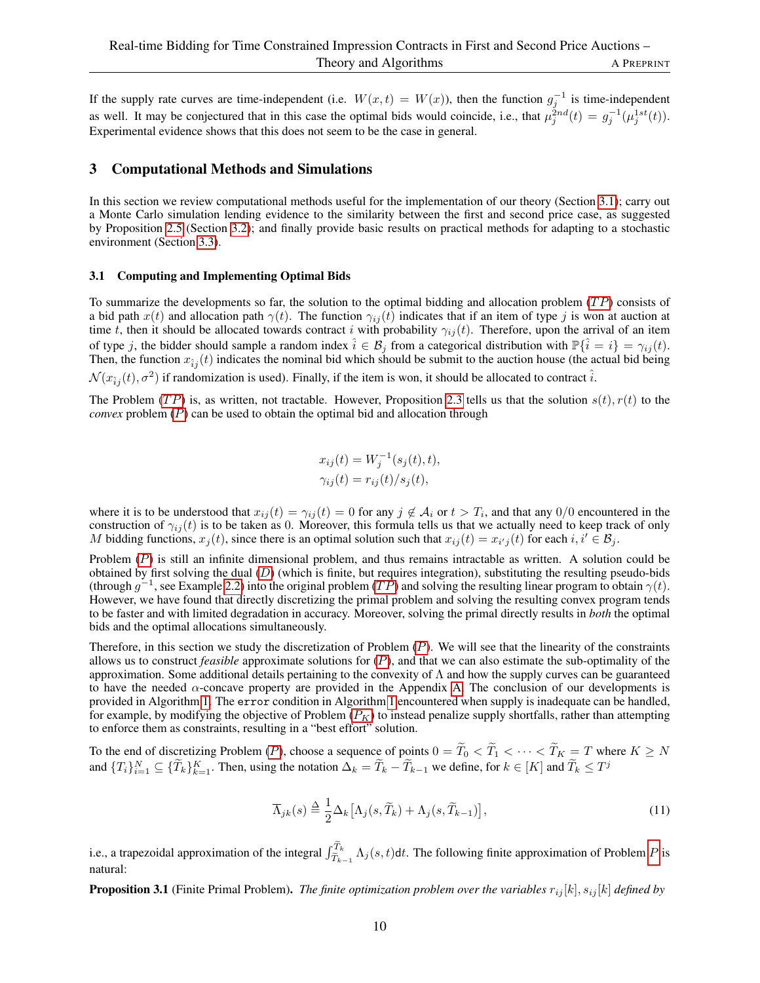If the supply rate curves are time-independent (i.e.  $W(x,t) = W(x)$ ), then the function  $g_j^{-1}$  is time-independent as well. It may be conjectured that in this case the optimal bids would coincide, i.e., that  $\mu_j^{2nd}(t) = g_j^{-1}(\mu_j^{1st}(t))$ . Experimental evidence shows that this does not seem to be the case in general.

### <span id="page-9-1"></span>3 Computational Methods and Simulations

In this section we review computational methods useful for the implementation of our theory (Section [3.1\)](#page-9-0); carry out a Monte Carlo simulation lending evidence to the similarity between the first and second price case, as suggested by Proposition [2.5](#page-8-1) (Section [3.2\)](#page-11-0); and finally provide basic results on practical methods for adapting to a stochastic environment (Section [3.3\)](#page-12-0).

### <span id="page-9-0"></span>3.1 Computing and Implementing Optimal Bids

To summarize the developments so far, the solution to the optimal bidding and allocation problem  $(TP)$  consists of a bid path  $x(t)$  and allocation path  $\gamma(t)$ . The function  $\gamma_{ii}(t)$  indicates that if an item of type j is won at auction at time t, then it should be allocated towards contract i with probability  $\gamma_{ij}(t)$ . Therefore, upon the arrival of an item of type j, the bidder should sample a random index  $\hat{i} \in \mathcal{B}_j$  from a categorical distribution with  $\mathbb{P}\{\hat{i} = i\} = \gamma_{ij}(t)$ . Then, the function  $x_{\hat{i}j}(t)$  indicates the nominal bid which should be submit to the auction house (the actual bid being  $\mathcal{N}(x_{\hat{i}j}(t), \sigma^2)$  if randomization is used). Finally, if the item is won, it should be allocated to contract  $\hat{i}$ .

The Problem (TP) is, as written, not tractable. However, Proposition [2.3](#page-6-4) tells us that the solution  $s(t)$ ,  $r(t)$  to the *convex* problem ([P](#page-6-3)) can be used to obtain the optimal bid and allocation through

$$
x_{ij}(t) = W_j^{-1}(s_j(t), t),
$$
  

$$
\gamma_{ij}(t) = r_{ij}(t)/s_j(t),
$$

where it is to be understood that  $x_{ij}(t) = \gamma_{ij}(t) = 0$  for any  $j \notin A_i$  or  $t > T_i$ , and that any  $0/0$  encountered in the construction of  $\gamma_{ij}(t)$  is to be taken as 0. Moreover, this formula tells us that we actually need to keep track of only M bidding functions,  $x_j(t)$ , since there is an optimal solution such that  $x_{ij}(t) = x_{i'j}(t)$  for each  $i, i' \in \mathcal{B}_j$ .

[P](#page-6-3)roblem  $(P)$  is still an infinite dimensional problem, and thus remains intractable as written. A solution could be obtained by first solving the dual  $(D)$  $(D)$  $(D)$  (which is finite, but requires integration), substituting the resulting pseudo-bids (through  $g^{-1}$ , see Example [2.2\)](#page-8-2) into the original problem  $(T\tilde{P})$  and solving the resulting linear program to obtain  $\gamma(t)$ . However, we have found that directly discretizing the primal problem and solving the resulting convex program tends to be faster and with limited degradation in accuracy. Moreover, solving the primal directly results in *both* the optimal bids and the optimal allocations simultaneously.

Therefore, in this section we study the discretization of [P](#page-6-3)roblem  $(P)$ . We will see that the linearity of the constraints allows us to construct *feasible* approximate solutions for ([P](#page-6-3)), and that we can also estimate the sub-optimality of the approximation. Some additional details pertaining to the convexity of Λ and how the supply curves can be guaranteed to have the needed  $\alpha$ -concave property are provided in the Appendix [A.](#page-19-0) The conclusion of our developments is provided in Algorithm [1.](#page-10-0) The error condition in Algorithm [1](#page-10-0) encountered when supply is inadequate can be handled, for example, by modifying the objective of [P](#page-10-1)roblem  $(P_K)$  to instead penalize supply shortfalls, rather than attempting to enforce them as constraints, resulting in a "best effort" solution.

To the end of discretizing [P](#page-6-3)roblem (P), choose a sequence of points  $0 = \tilde{T}_0 < \tilde{T}_1 < \cdots < \tilde{T}_K = T$  where  $K \geq N$ and  $\{T_i\}_{i=1}^N \subseteq \{\tilde{T}_k\}_{k=1}^K$ . Then, using the notation  $\Delta_k = \tilde{T}_k - \tilde{T}_{k-1}$  we define, for  $k \in [K]$  and  $\tilde{T}_k \leq T^j$ 

$$
\overline{\Lambda}_{jk}(s) \stackrel{\Delta}{=} \frac{1}{2} \Delta_k \big[ \Lambda_j(s, \widetilde{T}_k) + \Lambda_j(s, \widetilde{T}_{k-1}) \big],\tag{11}
$$

i.e., a trapezoidal approximation of the integral  $\int_{\tilde{T}_{k-1}}^{\tilde{T}_{k}} \Lambda_j(s,t) dt$ . The following finite approximation of [P](#page-6-3)roblem P is natural:

<span id="page-9-2"></span>**Proposition 3.1** (Finite Primal Problem). *The finite optimization problem over the variables*  $r_{ij}[k]$ ,  $s_{ij}[k]$  *defined by*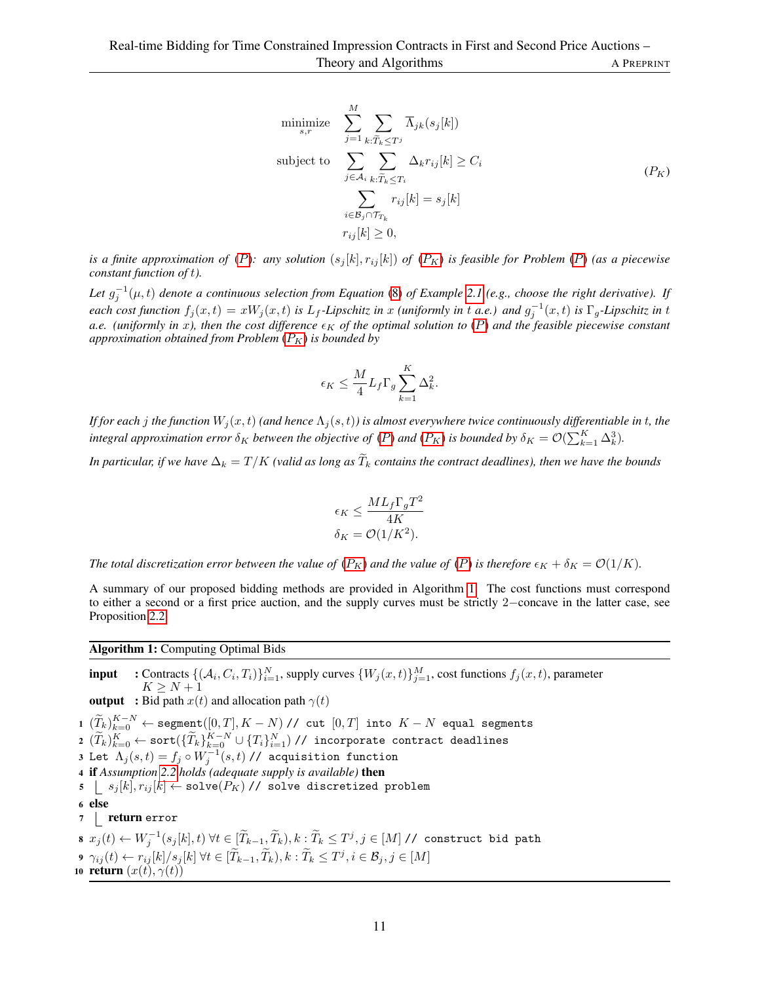<span id="page-10-2"></span><span id="page-10-1"></span>
$$
\begin{aligned}\n\text{minimize} & \sum_{s,r}^{M} \sum_{j=1} \sum_{k:\widetilde{T}_k \leq T^j} \overline{\Lambda}_{jk}(s_j[k]) \\
\text{subject to} & \sum_{j \in \mathcal{A}_i} \sum_{k:\widetilde{T}_k \leq T_i} \Delta_k r_{ij}[k] \geq C_i \\
& \sum_{i \in \mathcal{B}_j \cap \mathcal{T}_{T_k}} r_{ij}[k] = s_j[k] \\
r_{ij}[k] \geq 0,\n\end{aligned} \tag{P_K}
$$

*is a finite approximation of* ([P](#page-6-3)): any solution  $(s_j[k], r_{ij}[k])$  of  $(P_K)$  is feasible for Problem (P) (as a piecewise *constant function of* t*).*

Let  $g_j^{-1}(\mu, t)$  denote a continuous selection from Equation [\(8\)](#page-7-2) of Example [2.1](#page-7-3) (e.g., choose the right derivative). If  $\vec{r}$  each cost function  $f_j(x,t) = xW_j(x,t)$  is  $L_f$ -Lipschitz in x *(uniformly in* t a.e.) and  $g_j^{-1}(x,t)$  is  $\Gamma_g$ -Lipschitz in t a.e. (uniformly in x), then the cost difference  $\epsilon_K$  of the optimal solution to ([P](#page-6-3)) and the feasible piecewise constant *approximation obtained from [P](#page-10-1)roblem*  $(P_K)$  *is bounded by* 

$$
\epsilon_K \leq \frac{M}{4} L_f \Gamma_g \sum_{k=1}^K \Delta_k^2.
$$

*If for each j the function*  $W_j(x,t)$  *(and hence*  $\Lambda_j(s,t)$ *) is almost everywhere twice continuously differentiable in t, the integral approximation error*  $\delta_K$  *between the objective of* ([P](#page-10-1)) and (P<sub>K</sub>) is bounded by  $\delta_K = \mathcal{O}(\sum_{k=1}^K \Delta_k^3)$ .

*In particular, if we have*  $\Delta_k = T/K$  *(valid as long as*  $\widetilde{T}_k$  *contains the contract deadlines), then we have the bounds* 

$$
\epsilon_K \le \frac{ML_f \Gamma_g T^2}{4K}
$$

$$
\delta_K = \mathcal{O}(1/K^2).
$$

*The total discretization error between the value of*  $(P_K)$  $(P_K)$  $(P_K)$  *and the value of*  $(P)$  *is therefore*  $\epsilon_K + \delta_K = \mathcal{O}(1/K)$ *.* 

A summary of our proposed bidding methods are provided in Algorithm [1.](#page-10-0) The cost functions must correspond to either a second or a first price auction, and the supply curves must be strictly 2−concave in the latter case, see Proposition [2.2.](#page-6-0)

Algorithm 1: Computing Optimal Bids

<span id="page-10-0"></span>**input** : Contracts  $\{(\mathcal{A}_i, C_i, T_i)\}_{i=1}^N$ , supply curves  $\{W_j(x, t)\}_{j=1}^M$ , cost functions  $f_j(x, t)$ , parameter  $K \geq N+1$ **output** : Bid path  $x(t)$  and allocation path  $\gamma(t)$  $1\,\, (\widetilde{T}_k)_{k=0}^{K-N} \leftarrow {\tt segment}([0,T],K-N) \mathbin{/} / \;\, {\tt cut} \,\, [0,T]$  into  $K-N$  equal segments  $\mathbf{2} \,\, (\widetilde{T}_k)_{k=0}^K \leftarrow \texttt{sort}(\{\widetilde{T}_k\}_{k=0}^{K-N} \cup \{T_i\}_{i=1}^N) \text{ // incorporate contract deadlines}$ 3 Let  $\Lambda_j(s,t)=f_j\circ W_j^{-1}(s,t)$  // acquisition function <sup>4</sup> if *Assumption [2.2](#page-7-1) holds (adequate supply is available)* then  $\mathfrak{s} \ \ \ \ \ \ s_j [k], r_{ij} [k] \leftarrow \texttt{solve}(P_K) \textit{ // } \texttt{solve discretized problem}$ <sup>6</sup> else 7 | return error  $s \; \; x_j(t) \leftarrow W_j^{-1}(s_j[k],t) \; \forall t \in [\widetilde{T}_{k-1},\widetilde{T}_k), k: \widetilde{T}_k \leq T^j, j \in [M] \; \textit{// construct bid path}$  $\mathbf{9} \;\, \gamma_{ij}(t) \leftarrow r_{ij}[k]/s_j[k] \; \forall t \in [\widetilde{T}_{k-1}, \widetilde{T}_k), k: \widetilde{T}_k \leq T^j, i \in \mathcal{B}_j, j \in [M]$ 10 return  $(x(t), \gamma(t))$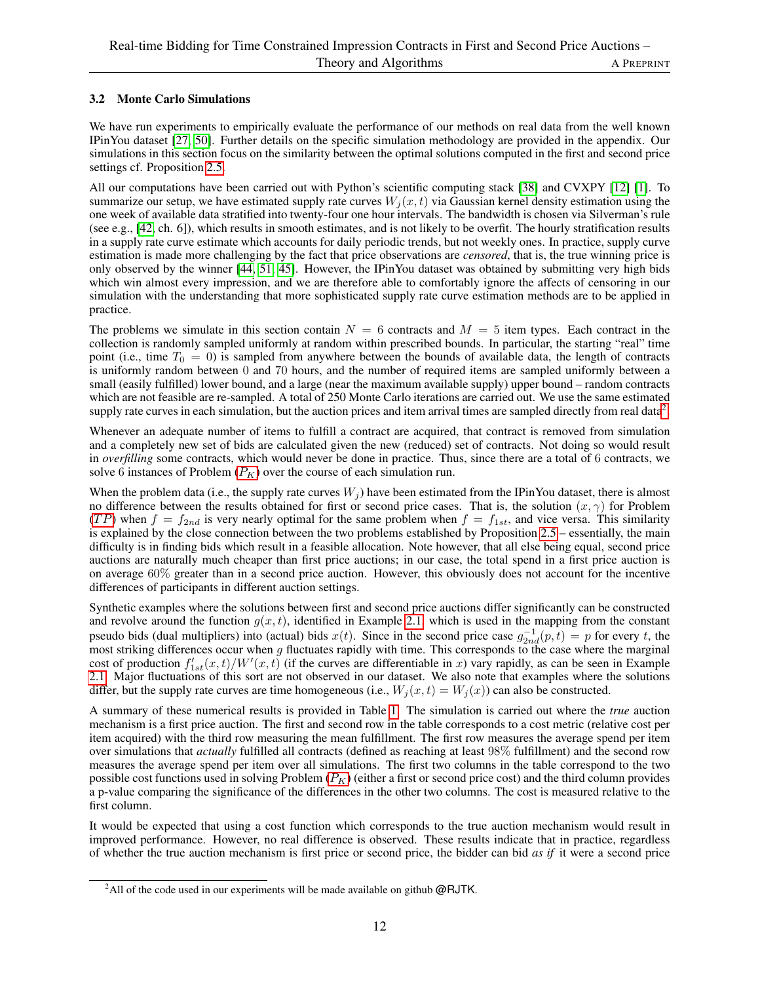# <span id="page-11-0"></span>3.2 Monte Carlo Simulations

We have run experiments to empirically evaluate the performance of our methods on real data from the well known IPinYou dataset [\[27,](#page-17-12) [50\]](#page-18-8). Further details on the specific simulation methodology are provided in the appendix. Our simulations in this section focus on the similarity between the optimal solutions computed in the first and second price settings cf. Proposition [2.5.](#page-8-1)

All our computations have been carried out with Python's scientific computing stack [\[38\]](#page-17-16) and CVXPY [\[12\]](#page-16-17) [\[1\]](#page-16-18). To summarize our setup, we have estimated supply rate curves  $W_i(x, t)$  via Gaussian kernel density estimation using the one week of available data stratified into twenty-four one hour intervals. The bandwidth is chosen via Silverman's rule (see e.g., [\[42,](#page-17-17) ch. 6]), which results in smooth estimates, and is not likely to be overfit. The hourly stratification results in a supply rate curve estimate which accounts for daily periodic trends, but not weekly ones. In practice, supply curve estimation is made more challenging by the fact that price observations are *censored*, that is, the true winning price is only observed by the winner [\[44,](#page-18-3) [51,](#page-18-4) [45\]](#page-18-6). However, the IPinYou dataset was obtained by submitting very high bids which win almost every impression, and we are therefore able to comfortably ignore the affects of censoring in our simulation with the understanding that more sophisticated supply rate curve estimation methods are to be applied in practice.

The problems we simulate in this section contain  $N = 6$  contracts and  $M = 5$  item types. Each contract in the collection is randomly sampled uniformly at random within prescribed bounds. In particular, the starting "real" time point (i.e., time  $T_0 = 0$ ) is sampled from anywhere between the bounds of available data, the length of contracts is uniformly random between 0 and 70 hours, and the number of required items are sampled uniformly between a small (easily fulfilled) lower bound, and a large (near the maximum available supply) upper bound – random contracts which are not feasible are re-sampled. A total of 250 Monte Carlo iterations are carried out. We use the same estimated supply rate curves in each simulation, but the auction prices and item arrival times are sampled directly from real data<sup>[2](#page-11-1)</sup>.

Whenever an adequate number of items to fulfill a contract are acquired, that contract is removed from simulation and a completely new set of bids are calculated given the new (reduced) set of contracts. Not doing so would result in *overfilling* some contracts, which would never be done in practice. Thus, since there are a total of 6 contracts, we solve 6 instances of [P](#page-10-1)roblem  $(P_K)$  over the course of each simulation run.

When the problem data (i.e., the supply rate curves  $W_i$ ) have been estimated from the IPinYou dataset, there is almost no difference between the results obtained for first or second price cases. That is, the solution  $(x, \gamma)$  for Problem (TP) when  $f = f_{2nd}$  is very nearly optimal for the same problem when  $f = f_{1st}$ , and vice versa. This similarity is explained by the close connection between the two problems established by Proposition [2.5](#page-8-1) – essentially, the main difficulty is in finding bids which result in a feasible allocation. Note however, that all else being equal, second price auctions are naturally much cheaper than first price auctions; in our case, the total spend in a first price auction is on average 60% greater than in a second price auction. However, this obviously does not account for the incentive differences of participants in different auction settings.

Synthetic examples where the solutions between first and second price auctions differ significantly can be constructed and revolve around the function  $g(x, t)$ , identified in Example [2.1,](#page-7-3) which is used in the mapping from the constant pseudo bids (dual multipliers) into (actual) bids  $x(t)$ . Since in the second price case  $g_{2nd}^{-1}(p,t) = p$  for every t, the most striking differences occur when  $g$  fluctuates rapidly with time. This corresponds to the case where the marginal cost of production  $f'_{1st}(x,t)/W'(x,t)$  (if the curves are differentiable in x) vary rapidly, as can be seen in Example [2.1.](#page-7-3) Major fluctuations of this sort are not observed in our dataset. We also note that examples where the solutions differ, but the supply rate curves are time homogeneous (i.e.,  $W_i(x, t) = W_i(x)$ ) can also be constructed.

A summary of these numerical results is provided in Table [1.](#page-12-2) The simulation is carried out where the *true* auction mechanism is a first price auction. The first and second row in the table corresponds to a cost metric (relative cost per item acquired) with the third row measuring the mean fulfillment. The first row measures the average spend per item over simulations that *actually* fulfilled all contracts (defined as reaching at least 98% fulfillment) and the second row measures the average spend per item over all simulations. The first two columns in the table correspond to the two possible cost functions used in solving [P](#page-10-1)roblem  $(P_K)$  (either a first or second price cost) and the third column provides a p-value comparing the significance of the differences in the other two columns. The cost is measured relative to the first column.

It would be expected that using a cost function which corresponds to the true auction mechanism would result in improved performance. However, no real difference is observed. These results indicate that in practice, regardless of whether the true auction mechanism is first price or second price, the bidder can bid *as if* it were a second price

<span id="page-11-1"></span><sup>&</sup>lt;sup>2</sup>All of the code used in our experiments will be made available on github  $@RJTK$ .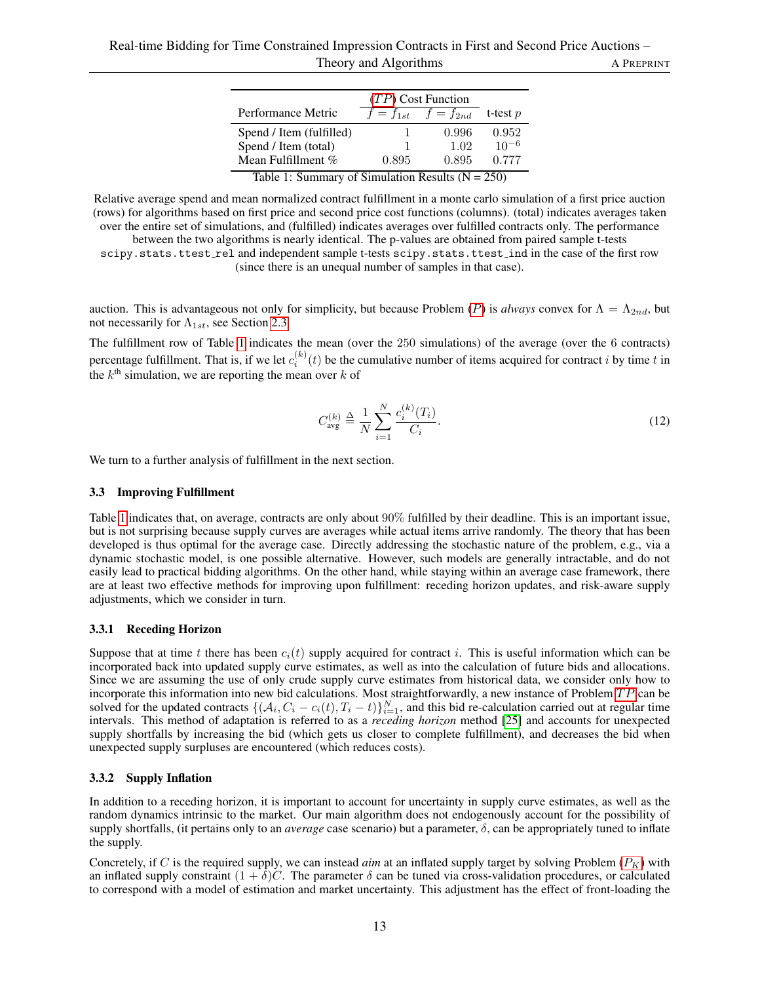|                          | $(TP)$ Cost Function  |                                                       |                      |
|--------------------------|-----------------------|-------------------------------------------------------|----------------------|
| Performance Metric       | $f=f_{1st}$           | $f=f_{2nd}$                                           | t-test $p$           |
| Spend / Item (fulfilled) |                       | 0.996                                                 | 0.952                |
| Spend / Item (total)     |                       | 1.02                                                  | $10^{-6}$            |
| Mean Fulfillment %       | 0.895                 | 0.895                                                 | 0.777                |
| <b>.</b><br>$\sim$       | $\sim$ $\sim$ $\cdot$ | $\mathbf{1}$ $\mathbf{1}$<br>$\overline{\phantom{a}}$ | $\sim$ $\sim$ $\sim$ |

Table 1: Summary of Simulation Results  $(N = 250)$ 

<span id="page-12-2"></span>Relative average spend and mean normalized contract fulfillment in a monte carlo simulation of a first price auction (rows) for algorithms based on first price and second price cost functions (columns). (total) indicates averages taken over the entire set of simulations, and (fulfilled) indicates averages over fulfilled contracts only. The performance between the two algorithms is nearly identical. The p-values are obtained from paired sample t-tests

scipy.stats.ttest\_rel and independent sample t-tests scipy.stats.ttest\_ind in the case of the first row (since there is an unequal number of samples in that case).

auction. This is advantageous not only for simplicity, but because [P](#page-6-3)roblem (P) is *always* convex for  $\Lambda = \Lambda_{2nd}$ , but not necessarily for  $\Lambda_{1st}$ , see Section [2.3.](#page-5-0)

The fulfillment row of Table [1](#page-12-2) indicates the mean (over the 250 simulations) of the average (over the 6 contracts) percentage fulfillment. That is, if we let  $c_i^{(k)}(t)$  be the cumulative number of items acquired for contract i by time t in the  $k^{\text{th}}$  simulation, we are reporting the mean over  $k$  of

$$
C_{\text{avg}}^{(k)} \triangleq \frac{1}{N} \sum_{i=1}^{N} \frac{c_i^{(k)}(T_i)}{C_i}.
$$
 (12)

We turn to a further analysis of fulfillment in the next section.

### <span id="page-12-0"></span>3.3 Improving Fulfillment

Table [1](#page-12-2) indicates that, on average, contracts are only about 90% fulfilled by their deadline. This is an important issue, but is not surprising because supply curves are averages while actual items arrive randomly. The theory that has been developed is thus optimal for the average case. Directly addressing the stochastic nature of the problem, e.g., via a dynamic stochastic model, is one possible alternative. However, such models are generally intractable, and do not easily lead to practical bidding algorithms. On the other hand, while staying within an average case framework, there are at least two effective methods for improving upon fulfillment: receding horizon updates, and risk-aware supply adjustments, which we consider in turn.

### <span id="page-12-1"></span>3.3.1 Receding Horizon

Suppose that at time t there has been  $c_i(t)$  supply acquired for contract i. This is useful information which can be incorporated back into updated supply curve estimates, as well as into the calculation of future bids and allocations. Since we are assuming the use of only crude supply curve estimates from historical data, we consider only how to incorporate this information into new bid calculations. Most straightforwardly, a new instance of Problem  $TP$  can be solved for the updated contracts  $\{(\mathcal{A}_i, C_i - c_i(t), T_i - t)\}_{i=1}^N$ , and this bid re-calculation carried out at regular time intervals. This method of adaptation is referred to as a *receding horizon* method [\[25\]](#page-17-18) and accounts for unexpected supply shortfalls by increasing the bid (which gets us closer to complete fulfillment), and decreases the bid when unexpected supply surpluses are encountered (which reduces costs).

### 3.3.2 Supply Inflation

In addition to a receding horizon, it is important to account for uncertainty in supply curve estimates, as well as the random dynamics intrinsic to the market. Our main algorithm does not endogenously account for the possibility of supply shortfalls, (it pertains only to an *average* case scenario) but a parameter,  $\delta$ , can be appropriately tuned to inflate the supply.

Concretely, if C is the required supply, we can instead *aim* at an inflated supply target by solving [P](#page-10-1)roblem  $(P_K)$  with an inflated supply constraint  $(1 + \delta)C$ . The parameter  $\delta$  can be tuned via cross-validation procedures, or calculated to correspond with a model of estimation and market uncertainty. This adjustment has the effect of front-loading the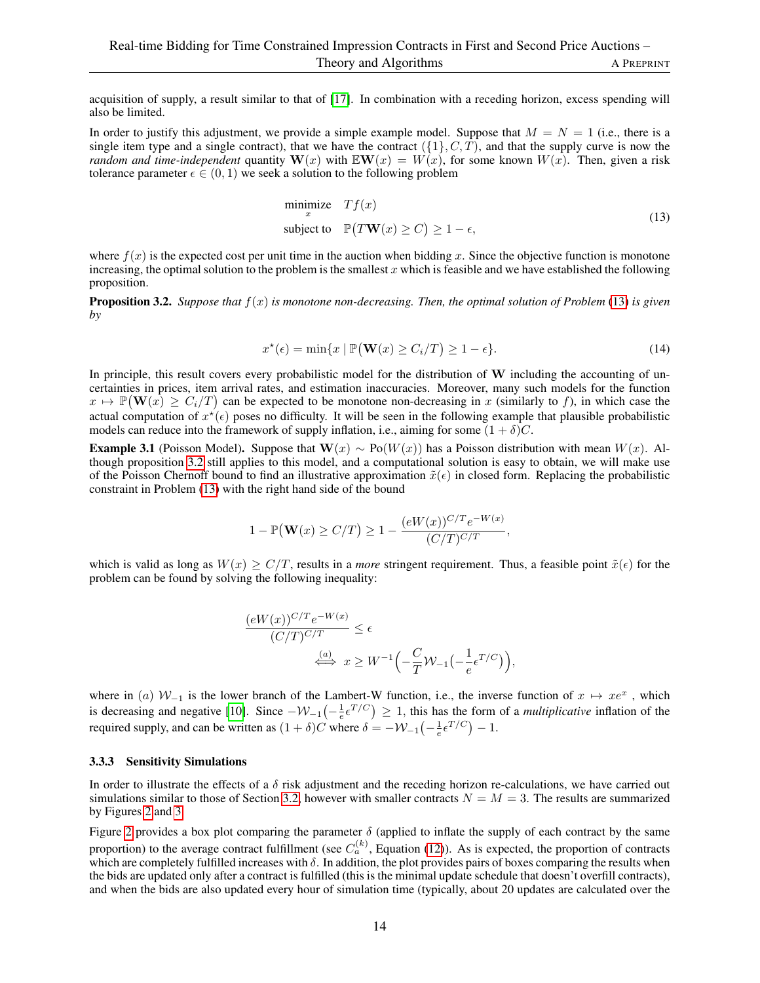acquisition of supply, a result similar to that of [\[17\]](#page-16-10). In combination with a receding horizon, excess spending will also be limited.

In order to justify this adjustment, we provide a simple example model. Suppose that  $M = N = 1$  (i.e., there is a single item type and a single contract), that we have the contract  $({1}, C, T)$ , and that the supply curve is now the *random and time-independent* quantity  $W(x)$  with  $E(W(x)) = W(x)$ , for some known  $W(x)$ . Then, given a risk tolerance parameter  $\epsilon \in (0, 1)$  we seek a solution to the following problem

<span id="page-13-0"></span>
$$
\begin{array}{ll}\text{minimize} & Tf(x) \\ \text{subject to} & \mathbb{P}(T\mathbf{W}(x) \ge C) \ge 1 - \epsilon, \end{array} \tag{13}
$$

where  $f(x)$  is the expected cost per unit time in the auction when bidding x. Since the objective function is monotone increasing, the optimal solution to the problem is the smallest  $x$  which is feasible and we have established the following proposition.

<span id="page-13-1"></span>**Proposition 3.2.** Suppose that  $f(x)$  is monotone non-decreasing. Then, the optimal solution of Problem [\(13\)](#page-13-0) is given *by*

$$
x^{\star}(\epsilon) = \min\{x \mid \mathbb{P}(\mathbf{W}(x) \ge C_i/T) \ge 1 - \epsilon\}.
$$
 (14)

In principle, this result covers every probabilistic model for the distribution of W including the accounting of uncertainties in prices, item arrival rates, and estimation inaccuracies. Moreover, many such models for the function  $x \mapsto \mathbb{P}(\mathbf{W}(x) \ge C_i/T)$  can be expected to be monotone non-decreasing in x (similarly to f), in which case the actual computation of  $x^*(\epsilon)$  poses no difficulty. It will be seen in the following example that plausible probabilistic models can reduce into the framework of supply inflation, i.e., aiming for some  $(1 + \delta)C$ .

**Example 3.1** (Poisson Model). Suppose that  $\mathbf{W}(x) \sim Po(W(x))$  has a Poisson distribution with mean  $W(x)$ . Although proposition [3.2](#page-13-1) still applies to this model, and a computational solution is easy to obtain, we will make use of the Poisson Chernoff bound to find an illustrative approximation  $\tilde{x}(\epsilon)$  in closed form. Replacing the probabilistic constraint in Problem [\(13\)](#page-13-0) with the right hand side of the bound

$$
1 - \mathbb{P}(\mathbf{W}(x) \ge C/T) \ge 1 - \frac{(eW(x))^{C/T} e^{-W(x)}}{(C/T)^{C/T}},
$$

which is valid as long as  $W(x) \geq C/T$ , results in a *more* stringent requirement. Thus, a feasible point  $\tilde{x}(\epsilon)$  for the problem can be found by solving the following inequality:

$$
\frac{(eW(x))^{C/T}e^{-W(x)}}{(C/T)^{C/T}} \le \epsilon
$$
  

$$
\xrightarrow{\langle a \rangle} x \ge W^{-1}\left(-\frac{C}{T}\mathcal{W}_{-1}\left(-\frac{1}{e}\epsilon^{T/C}\right)\right),
$$

where in (a)  $W_{-1}$  is the lower branch of the Lambert-W function, i.e., the inverse function of  $x \mapsto xe^x$ , which is decreasing and negative [\[10\]](#page-16-19). Since  $-\mathcal{W}_{-1}\left(-\frac{1}{e}\epsilon^{T/C}\right) \geq 1$ , this has the form of a *multiplicative* inflation of the required supply, and can be written as  $(1 + \delta)C$  where  $\delta = -W_{-1}\left(-\frac{1}{e}\epsilon^{T/C}\right) - 1$ .

### 3.3.3 Sensitivity Simulations

In order to illustrate the effects of a  $\delta$  risk adjustment and the receding horizon re-calculations, we have carried out simulations similar to those of Section [3.2,](#page-11-0) however with smaller contracts  $N = M = 3$ . The results are summarized by Figures [2](#page-14-0) and [3.](#page-14-1)

Figure [2](#page-14-0) provides a box plot comparing the parameter  $\delta$  (applied to inflate the supply of each contract by the same proportion) to the average contract fulfillment (see  $C_a^{(k)}$ , Equation [\(12\)](#page-10-2)). As is expected, the proportion of contracts which are completely fulfilled increases with  $\delta$ . In addition, the plot provides pairs of boxes comparing the results when the bids are updated only after a contract is fulfilled (this is the minimal update schedule that doesn't overfill contracts), and when the bids are also updated every hour of simulation time (typically, about 20 updates are calculated over the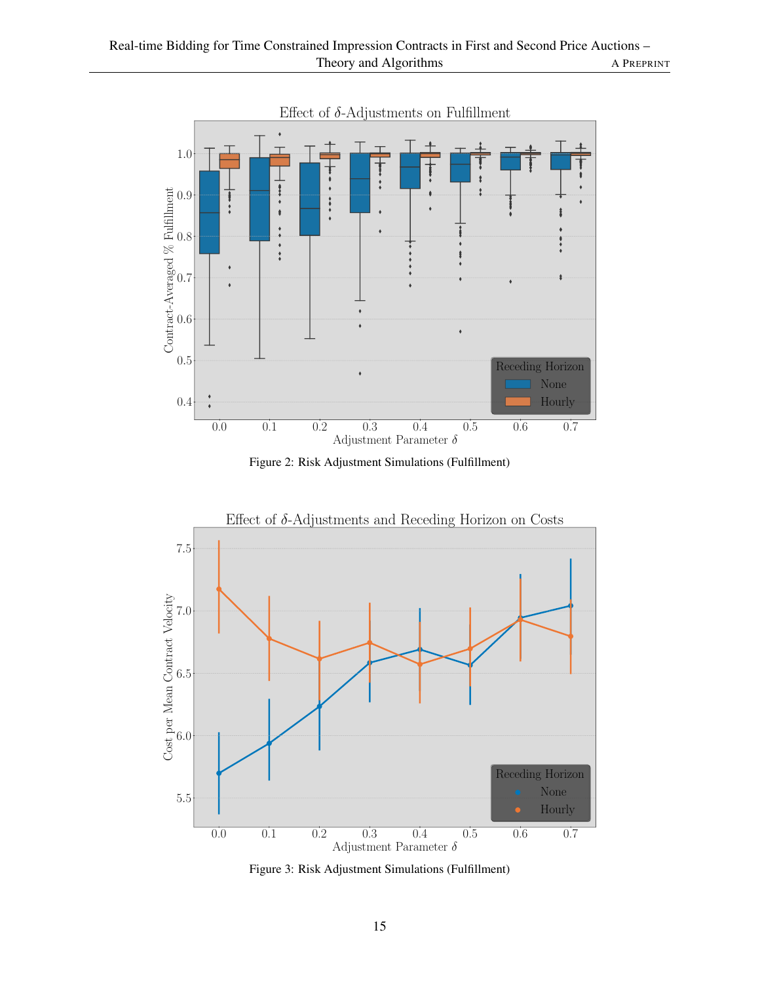<span id="page-14-0"></span>

Figure 2: Risk Adjustment Simulations (Fulfillment)

<span id="page-14-1"></span>

Figure 3: Risk Adjustment Simulations (Fulfillment)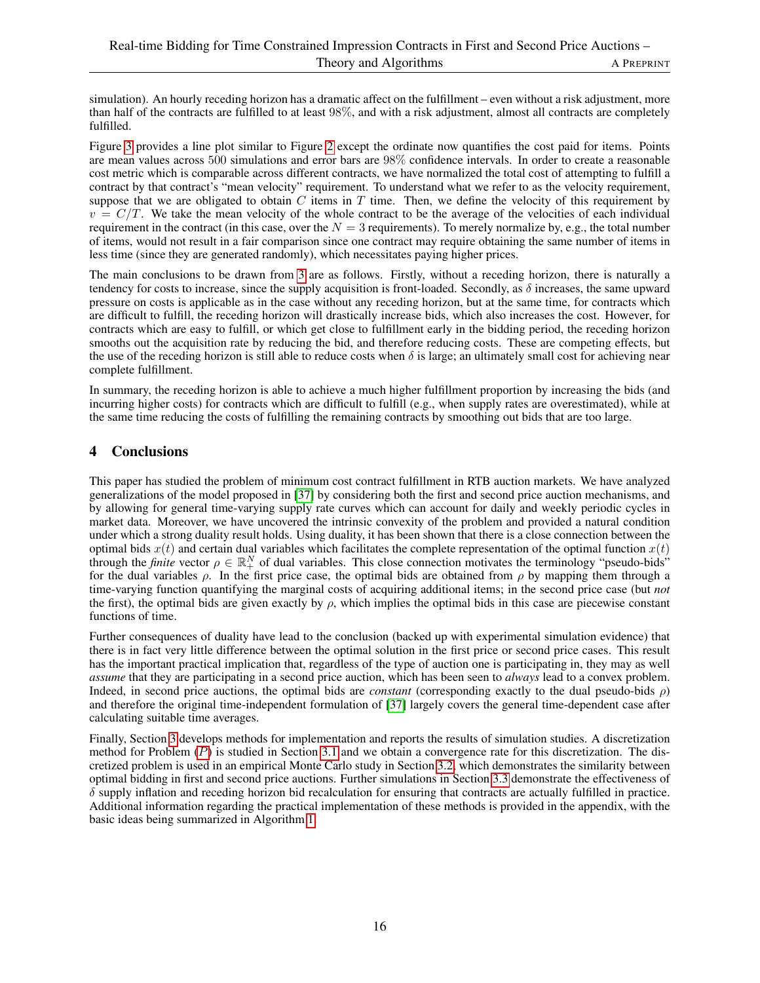simulation). An hourly receding horizon has a dramatic affect on the fulfillment – even without a risk adjustment, more than half of the contracts are fulfilled to at least 98%, and with a risk adjustment, almost all contracts are completely fulfilled.

Figure [3](#page-14-1) provides a line plot similar to Figure [2](#page-14-0) except the ordinate now quantifies the cost paid for items. Points are mean values across 500 simulations and error bars are 98% confidence intervals. In order to create a reasonable cost metric which is comparable across different contracts, we have normalized the total cost of attempting to fulfill a contract by that contract's "mean velocity" requirement. To understand what we refer to as the velocity requirement, suppose that we are obligated to obtain  $C$  items in  $T$  time. Then, we define the velocity of this requirement by  $v = C/T$ . We take the mean velocity of the whole contract to be the average of the velocities of each individual requirement in the contract (in this case, over the  $N = 3$  requirements). To merely normalize by, e.g., the total number of items, would not result in a fair comparison since one contract may require obtaining the same number of items in less time (since they are generated randomly), which necessitates paying higher prices.

The main conclusions to be drawn from [3](#page-14-1) are as follows. Firstly, without a receding horizon, there is naturally a tendency for costs to increase, since the supply acquisition is front-loaded. Secondly, as  $\delta$  increases, the same upward pressure on costs is applicable as in the case without any receding horizon, but at the same time, for contracts which are difficult to fulfill, the receding horizon will drastically increase bids, which also increases the cost. However, for contracts which are easy to fulfill, or which get close to fulfillment early in the bidding period, the receding horizon smooths out the acquisition rate by reducing the bid, and therefore reducing costs. These are competing effects, but the use of the receding horizon is still able to reduce costs when  $\delta$  is large; an ultimately small cost for achieving near complete fulfillment.

In summary, the receding horizon is able to achieve a much higher fulfillment proportion by increasing the bids (and incurring higher costs) for contracts which are difficult to fulfill (e.g., when supply rates are overestimated), while at the same time reducing the costs of fulfilling the remaining contracts by smoothing out bids that are too large.

# <span id="page-15-0"></span>4 Conclusions

This paper has studied the problem of minimum cost contract fulfillment in RTB auction markets. We have analyzed generalizations of the model proposed in [\[37\]](#page-17-5) by considering both the first and second price auction mechanisms, and by allowing for general time-varying supply rate curves which can account for daily and weekly periodic cycles in market data. Moreover, we have uncovered the intrinsic convexity of the problem and provided a natural condition under which a strong duality result holds. Using duality, it has been shown that there is a close connection between the optimal bids  $x(t)$  and certain dual variables which facilitates the complete representation of the optimal function  $x(t)$ through the *finite* vector  $\rho \in \mathbb{R}^N_+$  of dual variables. This close connection motivates the terminology "pseudo-bids" for the dual variables  $\rho$ . In the first price case, the optimal bids are obtained from  $\rho$  by mapping them through a time-varying function quantifying the marginal costs of acquiring additional items; in the second price case (but *not* the first), the optimal bids are given exactly by  $\rho$ , which implies the optimal bids in this case are piecewise constant functions of time.

Further consequences of duality have lead to the conclusion (backed up with experimental simulation evidence) that there is in fact very little difference between the optimal solution in the first price or second price cases. This result has the important practical implication that, regardless of the type of auction one is participating in, they may as well *assume* that they are participating in a second price auction, which has been seen to *always* lead to a convex problem. Indeed, in second price auctions, the optimal bids are *constant* (corresponding exactly to the dual pseudo-bids ρ) and therefore the original time-independent formulation of [\[37\]](#page-17-5) largely covers the general time-dependent case after calculating suitable time averages.

Finally, Section [3](#page-9-1) develops methods for implementation and reports the results of simulation studies. A discretization method for [P](#page-6-3)roblem  $(P)$  is studied in Section [3.1](#page-9-0) and we obtain a convergence rate for this discretization. The discretized problem is used in an empirical Monte Carlo study in Section [3.2,](#page-11-0) which demonstrates the similarity between optimal bidding in first and second price auctions. Further simulations in Section [3.3](#page-12-0) demonstrate the effectiveness of  $\delta$  supply inflation and receding horizon bid recalculation for ensuring that contracts are actually fulfilled in practice. Additional information regarding the practical implementation of these methods is provided in the appendix, with the basic ideas being summarized in Algorithm [1.](#page-10-0)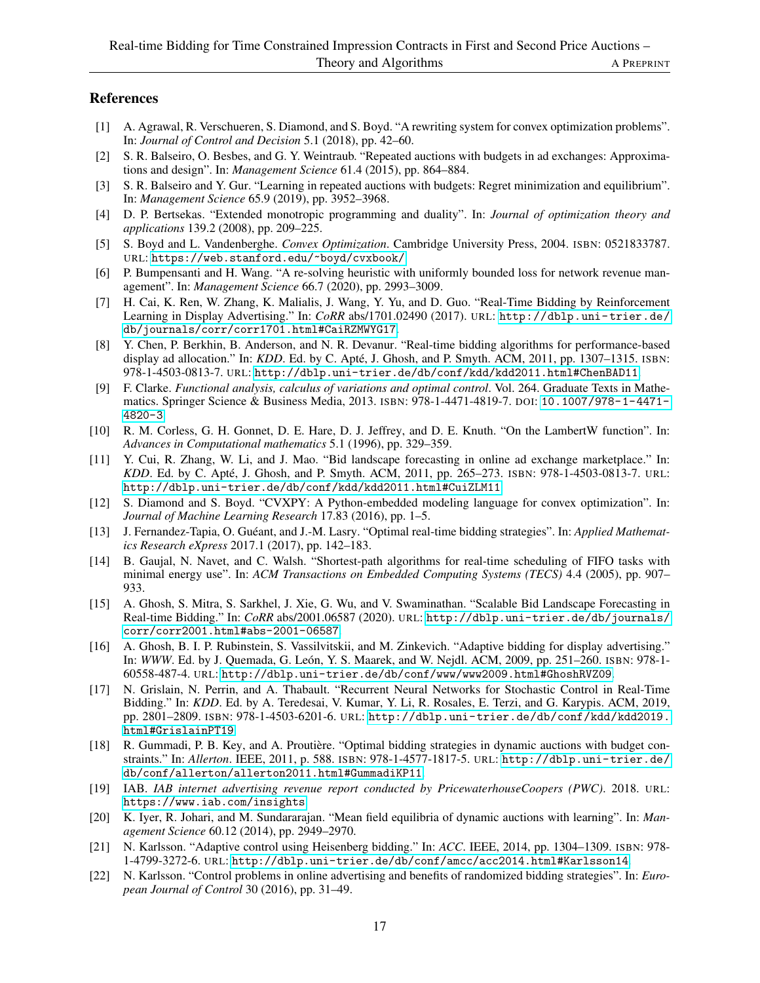# References

- <span id="page-16-18"></span>[1] A. Agrawal, R. Verschueren, S. Diamond, and S. Boyd. "A rewriting system for convex optimization problems". In: *Journal of Control and Decision* 5.1 (2018), pp. 42–60.
- <span id="page-16-2"></span>[2] S. R. Balseiro, O. Besbes, and G. Y. Weintraub. "Repeated auctions with budgets in ad exchanges: Approximations and design". In: *Management Science* 61.4 (2015), pp. 864–884.
- <span id="page-16-3"></span>[3] S. R. Balseiro and Y. Gur. "Learning in repeated auctions with budgets: Regret minimization and equilibrium". In: *Management Science* 65.9 (2019), pp. 3952–3968.
- <span id="page-16-16"></span>[4] D. P. Bertsekas. "Extended monotropic programming and duality". In: *Journal of optimization theory and applications* 139.2 (2008), pp. 209–225.
- <span id="page-16-20"></span>[5] S. Boyd and L. Vandenberghe. *Convex Optimization*. Cambridge University Press, 2004. ISBN: 0521833787. URL: <https://web.stanford.edu/~boyd/cvxbook/>.
- <span id="page-16-11"></span>[6] P. Bumpensanti and H. Wang. "A re-solving heuristic with uniformly bounded loss for network revenue management". In: *Management Science* 66.7 (2020), pp. 2993–3009.
- <span id="page-16-8"></span>[7] H. Cai, K. Ren, W. Zhang, K. Malialis, J. Wang, Y. Yu, and D. Guo. "Real-Time Bidding by Reinforcement Learning in Display Advertising." In: *CoRR* abs/1701.02490 (2017). URL: [http://dblp.uni- trier.de/](http://dblp.uni-trier.de/db/journals/corr/corr1701.html#CaiRZMWYG17) [db/journals/corr/corr1701.html#CaiRZMWYG17](http://dblp.uni-trier.de/db/journals/corr/corr1701.html#CaiRZMWYG17).
- <span id="page-16-4"></span>[8] Y. Chen, P. Berkhin, B. Anderson, and N. R. Devanur. "Real-time bidding algorithms for performance-based display ad allocation." In: *KDD*. Ed. by C. Apté, J. Ghosh, and P. Smyth. ACM, 2011, pp. 1307–1315. ISBN: 978-1-4503-0813-7. URL: <http://dblp.uni-trier.de/db/conf/kdd/kdd2011.html#ChenBAD11>.
- <span id="page-16-21"></span>[9] F. Clarke. *Functional analysis, calculus of variations and optimal control*. Vol. 264. Graduate Texts in Mathematics. Springer Science & Business Media, 2013. ISBN: 978-1-4471-4819-7. DOI: [10.1007/978-1-4471-](https://doi.org/10.1007/978-1-4471-4820-3) [4820-3](https://doi.org/10.1007/978-1-4471-4820-3).
- <span id="page-16-19"></span>[10] R. M. Corless, G. H. Gonnet, D. E. Hare, D. J. Jeffrey, and D. E. Knuth. "On the LambertW function". In: *Advances in Computational mathematics* 5.1 (1996), pp. 329–359.
- <span id="page-16-12"></span>[11] Y. Cui, R. Zhang, W. Li, and J. Mao. "Bid landscape forecasting in online ad exchange marketplace." In: *KDD*. Ed. by C. Apté, J. Ghosh, and P. Smyth. ACM, 2011, pp. 265–273. *ISBN:* 978-1-4503-0813-7. URL: <http://dblp.uni-trier.de/db/conf/kdd/kdd2011.html#CuiZLM11>.
- <span id="page-16-17"></span>[12] S. Diamond and S. Boyd. "CVXPY: A Python-embedded modeling language for convex optimization". In: *Journal of Machine Learning Research* 17.83 (2016), pp. 1–5.
- <span id="page-16-9"></span>[13] J. Fernandez-Tapia, O. Guéant, and J.-M. Lasry. "Optimal real-time bidding strategies". In: *Applied Mathematics Research eXpress* 2017.1 (2017), pp. 142–183.
- <span id="page-16-14"></span>[14] B. Gaujal, N. Navet, and C. Walsh. "Shortest-path algorithms for real-time scheduling of FIFO tasks with minimal energy use". In: *ACM Transactions on Embedded Computing Systems (TECS)* 4.4 (2005), pp. 907– 933.
- <span id="page-16-13"></span>[15] A. Ghosh, S. Mitra, S. Sarkhel, J. Xie, G. Wu, and V. Swaminathan. "Scalable Bid Landscape Forecasting in Real-time Bidding." In: *CoRR* abs/2001.06587 (2020). URL: [http://dblp.uni-trier.de/db/journals/](http://dblp.uni-trier.de/db/journals/corr/corr2001.html#abs-2001-06587) [corr/corr2001.html#abs-2001-06587](http://dblp.uni-trier.de/db/journals/corr/corr2001.html#abs-2001-06587).
- <span id="page-16-5"></span>[16] A. Ghosh, B. I. P. Rubinstein, S. Vassilvitskii, and M. Zinkevich. "Adaptive bidding for display advertising." In: *WWW*. Ed. by J. Quemada, G. León, Y. S. Maarek, and W. Nejdl. ACM, 2009, pp. 251–260. ISBN: 978-1-60558-487-4. URL: <http://dblp.uni-trier.de/db/conf/www/www2009.html#GhoshRVZ09>.
- <span id="page-16-10"></span>[17] N. Grislain, N. Perrin, and A. Thabault. "Recurrent Neural Networks for Stochastic Control in Real-Time Bidding." In: *KDD*. Ed. by A. Teredesai, V. Kumar, Y. Li, R. Rosales, E. Terzi, and G. Karypis. ACM, 2019, pp. 2801–2809. ISBN: 978-1-4503-6201-6. URL: [http://dblp.uni-trier.de/db/conf/kdd/kdd2019.](http://dblp.uni-trier.de/db/conf/kdd/kdd2019.html#GrislainPT19) [html#GrislainPT19](http://dblp.uni-trier.de/db/conf/kdd/kdd2019.html#GrislainPT19).
- <span id="page-16-7"></span>[18] R. Gummadi, P. B. Key, and A. Proutière. "Optimal bidding strategies in dynamic auctions with budget constraints." In: *Allerton*. IEEE, 2011, p. 588. ISBN: 978-1-4577-1817-5. URL: [http://dblp.uni-trier.de/](http://dblp.uni-trier.de/db/conf/allerton/allerton2011.html#GummadiKP11) [db/conf/allerton/allerton2011.html#GummadiKP11](http://dblp.uni-trier.de/db/conf/allerton/allerton2011.html#GummadiKP11).
- <span id="page-16-0"></span>[19] IAB. *IAB internet advertising revenue report conducted by PricewaterhouseCoopers (PWC)*. 2018. URL: <https://www.iab.com/insights>.
- <span id="page-16-1"></span>[20] K. Iyer, R. Johari, and M. Sundararajan. "Mean field equilibria of dynamic auctions with learning". In: *Management Science* 60.12 (2014), pp. 2949–2970.
- <span id="page-16-6"></span>[21] N. Karlsson. "Adaptive control using Heisenberg bidding." In: *ACC*. IEEE, 2014, pp. 1304–1309. ISBN: 978- 1-4799-3272-6. URL: <http://dblp.uni-trier.de/db/conf/amcc/acc2014.html#Karlsson14>.
- <span id="page-16-15"></span>[22] N. Karlsson. "Control problems in online advertising and benefits of randomized bidding strategies". In: *European Journal of Control* 30 (2016), pp. 31–49.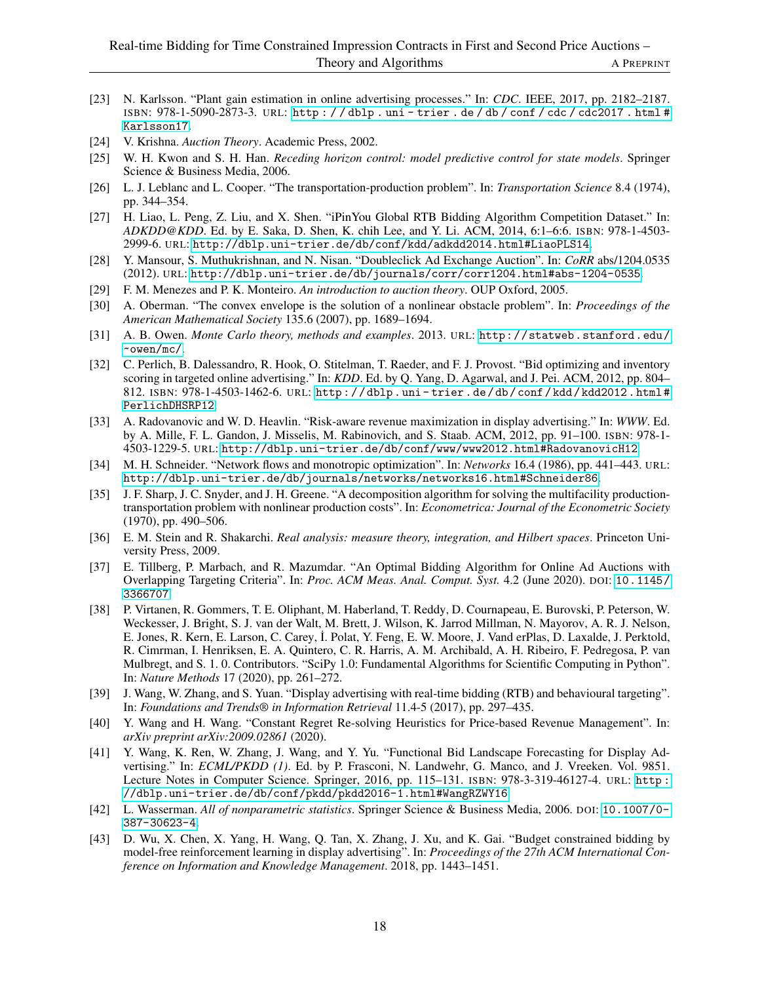- <span id="page-17-6"></span>[23] N. Karlsson. "Plant gain estimation in online advertising processes." In: *CDC*. IEEE, 2017, pp. 2182–2187. ISBN: 978-1-5090-2873-3. URL: [http : / / dblp . uni - trier . de / db / conf / cdc / cdc2017 . html #](http://dblp.uni-trier.de/db/conf/cdc/cdc2017.html#Karlsson17) [Karlsson17](http://dblp.uni-trier.de/db/conf/cdc/cdc2017.html#Karlsson17).
- <span id="page-17-2"></span>[24] V. Krishna. *Auction Theory*. Academic Press, 2002.
- <span id="page-17-18"></span>[25] W. H. Kwon and S. H. Han. *Receding horizon control: model predictive control for state models*. Springer Science & Business Media, 2006.
- <span id="page-17-13"></span>[26] L. J. Leblanc and L. Cooper. "The transportation-production problem". In: *Transportation Science* 8.4 (1974), pp. 344–354.
- <span id="page-17-12"></span>[27] H. Liao, L. Peng, Z. Liu, and X. Shen. "iPinYou Global RTB Bidding Algorithm Competition Dataset." In: *ADKDD@KDD*. Ed. by E. Saka, D. Shen, K. chih Lee, and Y. Li. ACM, 2014, 6:1–6:6. ISBN: 978-1-4503- 2999-6. URL: <http://dblp.uni-trier.de/db/conf/kdd/adkdd2014.html#LiaoPLS14>.
- <span id="page-17-0"></span>[28] Y. Mansour, S. Muthukrishnan, and N. Nisan. "Doubleclick Ad Exchange Auction". In: *CoRR* abs/1204.0535 (2012). URL: <http://dblp.uni-trier.de/db/journals/corr/corr1204.html#abs-1204-0535>.
- <span id="page-17-3"></span>[29] F. M. Menezes and P. K. Monteiro. *An introduction to auction theory*. OUP Oxford, 2005.
- <span id="page-17-19"></span>[30] A. Oberman. "The convex envelope is the solution of a nonlinear obstacle problem". In: *Proceedings of the American Mathematical Society* 135.6 (2007), pp. 1689–1694.
- <span id="page-17-20"></span>[31] A. B. Owen. *Monte Carlo theory, methods and examples*. 2013. URL: [http://statweb.stanford.edu/](http://statweb.stanford.edu/~owen/mc/) [~owen/mc/](http://statweb.stanford.edu/~owen/mc/).
- <span id="page-17-8"></span>[32] C. Perlich, B. Dalessandro, R. Hook, O. Stitelman, T. Raeder, and F. J. Provost. "Bid optimizing and inventory scoring in targeted online advertising." In: *KDD*. Ed. by Q. Yang, D. Agarwal, and J. Pei. ACM, 2012, pp. 804– 812. ISBN: 978-1-4503-1462-6. URL: [http : / / dblp . uni - trier . de / db / conf / kdd / kdd2012 . html #](http://dblp.uni-trier.de/db/conf/kdd/kdd2012.html#PerlichDHSRP12) [PerlichDHSRP12](http://dblp.uni-trier.de/db/conf/kdd/kdd2012.html#PerlichDHSRP12).
- <span id="page-17-4"></span>[33] A. Radovanovic and W. D. Heavlin. "Risk-aware revenue maximization in display advertising." In: *WWW*. Ed. by A. Mille, F. L. Gandon, J. Misselis, M. Rabinovich, and S. Staab. ACM, 2012, pp. 91–100. ISBN: 978-1- 4503-1229-5. URL: <http://dblp.uni-trier.de/db/conf/www/www2012.html#RadovanovicH12>.
- <span id="page-17-15"></span>[34] M. H. Schneider. "Network flows and monotropic optimization". In: *Networks* 16.4 (1986), pp. 441–443. URL: <http://dblp.uni-trier.de/db/journals/networks/networks16.html#Schneider86>.
- <span id="page-17-14"></span>[35] J. F. Sharp, J. C. Snyder, and J. H. Greene. "A decomposition algorithm for solving the multifacility productiontransportation problem with nonlinear production costs". In: *Econometrica: Journal of the Econometric Society* (1970), pp. 490–506.
- <span id="page-17-11"></span>[36] E. M. Stein and R. Shakarchi. *Real analysis: measure theory, integration, and Hilbert spaces*. Princeton University Press, 2009.
- <span id="page-17-5"></span>[37] E. Tillberg, P. Marbach, and R. Mazumdar. "An Optimal Bidding Algorithm for Online Ad Auctions with Overlapping Targeting Criteria". In: *Proc. ACM Meas. Anal. Comput. Syst.* 4.2 (June 2020). DOI: [10.1145/](https://doi.org/10.1145/3366707) [3366707](https://doi.org/10.1145/3366707).
- <span id="page-17-16"></span>[38] P. Virtanen, R. Gommers, T. E. Oliphant, M. Haberland, T. Reddy, D. Cournapeau, E. Burovski, P. Peterson, W. Weckesser, J. Bright, S. J. van der Walt, M. Brett, J. Wilson, K. Jarrod Millman, N. Mayorov, A. R. J. Nelson, E. Jones, R. Kern, E. Larson, C. Carey, İ. Polat, Y. Feng, E. W. Moore, J. Vand erPlas, D. Laxalde, J. Perktold, R. Cimrman, I. Henriksen, E. A. Quintero, C. R. Harris, A. M. Archibald, A. H. Ribeiro, F. Pedregosa, P. van Mulbregt, and S. 1. 0. Contributors. "SciPy 1.0: Fundamental Algorithms for Scientific Computing in Python". In: *Nature Methods* 17 (2020), pp. 261–272.
- <span id="page-17-1"></span>[39] J. Wang, W. Zhang, and S. Yuan. "Display advertising with real-time bidding (RTB) and behavioural targeting". In: *Foundations and Trends® in Information Retrieval* 11.4-5 (2017), pp. 297–435.
- <span id="page-17-9"></span>[40] Y. Wang and H. Wang. "Constant Regret Re-solving Heuristics for Price-based Revenue Management". In: *arXiv preprint arXiv:2009.02861* (2020).
- <span id="page-17-10"></span>[41] Y. Wang, K. Ren, W. Zhang, J. Wang, and Y. Yu. "Functional Bid Landscape Forecasting for Display Advertising." In: *ECML/PKDD (1)*. Ed. by P. Frasconi, N. Landwehr, G. Manco, and J. Vreeken. Vol. 9851. Lecture Notes in Computer Science. Springer, 2016, pp. 115–131. ISBN: 978-3-319-46127-4. URL: [http :](http://dblp.uni-trier.de/db/conf/pkdd/pkdd2016-1.html#WangRZWY16) [//dblp.uni-trier.de/db/conf/pkdd/pkdd2016-1.html#WangRZWY16](http://dblp.uni-trier.de/db/conf/pkdd/pkdd2016-1.html#WangRZWY16).
- <span id="page-17-17"></span>[42] L. Wasserman. *All of nonparametric statistics*. Springer Science & Business Media, 2006. DOI: [10.1007/0-](https://doi.org/10.1007/0-387-30623-4) [387-30623-4](https://doi.org/10.1007/0-387-30623-4).
- <span id="page-17-7"></span>[43] D. Wu, X. Chen, X. Yang, H. Wang, Q. Tan, X. Zhang, J. Xu, and K. Gai. "Budget constrained bidding by model-free reinforcement learning in display advertising". In: *Proceedings of the 27th ACM International Conference on Information and Knowledge Management*. 2018, pp. 1443–1451.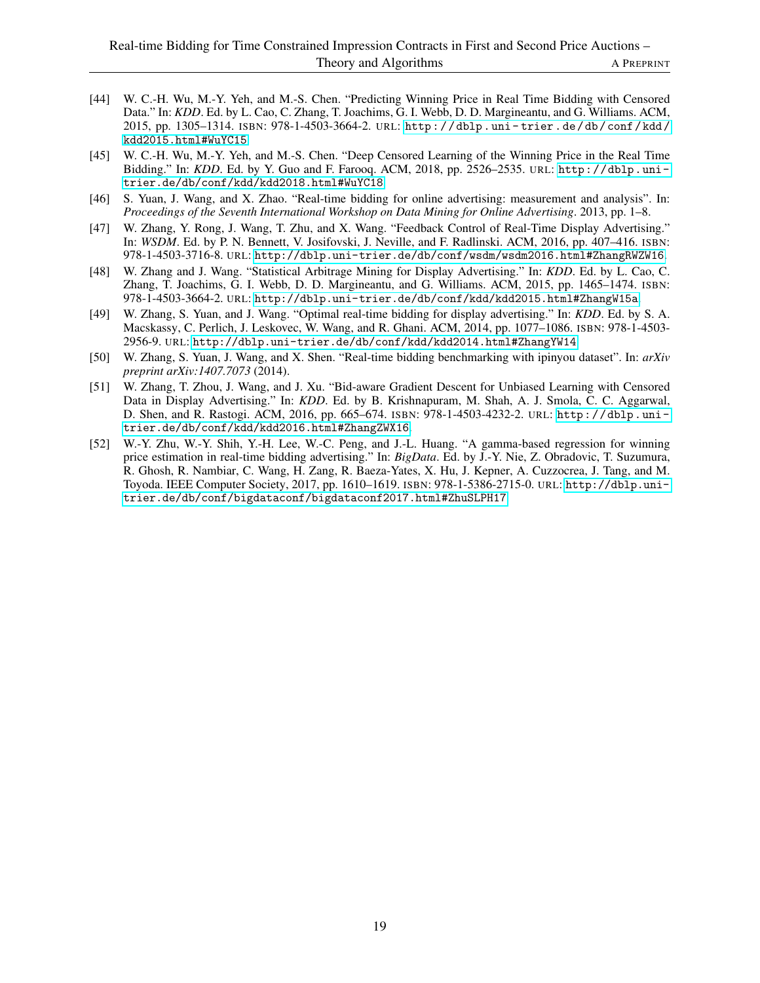- <span id="page-18-3"></span>[44] W. C.-H. Wu, M.-Y. Yeh, and M.-S. Chen. "Predicting Winning Price in Real Time Bidding with Censored Data." In: *KDD*. Ed. by L. Cao, C. Zhang, T. Joachims, G. I. Webb, D. D. Margineantu, and G. Williams. ACM, 2015, pp. 1305–1314. ISBN: 978-1-4503-3664-2. URL: [http : / / dblp . uni - trier . de / db / conf / kdd /](http://dblp.uni-trier.de/db/conf/kdd/kdd2015.html#WuYC15) [kdd2015.html#WuYC15](http://dblp.uni-trier.de/db/conf/kdd/kdd2015.html#WuYC15).
- <span id="page-18-6"></span>[45] W. C.-H. Wu, M.-Y. Yeh, and M.-S. Chen. "Deep Censored Learning of the Winning Price in the Real Time Bidding." In: *KDD*. Ed. by Y. Guo and F. Farooq. ACM, 2018, pp. 2526–2535. URL: [http://dblp.uni](http://dblp.uni-trier.de/db/conf/kdd/kdd2018.html#WuYC18)[trier.de/db/conf/kdd/kdd2018.html#WuYC18](http://dblp.uni-trier.de/db/conf/kdd/kdd2018.html#WuYC18).
- <span id="page-18-7"></span>[46] S. Yuan, J. Wang, and X. Zhao. "Real-time bidding for online advertising: measurement and analysis". In: *Proceedings of the Seventh International Workshop on Data Mining for Online Advertising*. 2013, pp. 1–8.
- <span id="page-18-1"></span>[47] W. Zhang, Y. Rong, J. Wang, T. Zhu, and X. Wang. "Feedback Control of Real-Time Display Advertising." In: *WSDM*. Ed. by P. N. Bennett, V. Josifovski, J. Neville, and F. Radlinski. ACM, 2016, pp. 407–416. ISBN: 978-1-4503-3716-8. URL: <http://dblp.uni-trier.de/db/conf/wsdm/wsdm2016.html#ZhangRWZW16>.
- <span id="page-18-0"></span>[48] W. Zhang and J. Wang. "Statistical Arbitrage Mining for Display Advertising." In: *KDD*. Ed. by L. Cao, C. Zhang, T. Joachims, G. I. Webb, D. D. Margineantu, and G. Williams. ACM, 2015, pp. 1465–1474. ISBN: 978-1-4503-3664-2. URL: <http://dblp.uni-trier.de/db/conf/kdd/kdd2015.html#ZhangW15a>.
- <span id="page-18-2"></span>[49] W. Zhang, S. Yuan, and J. Wang. "Optimal real-time bidding for display advertising." In: *KDD*. Ed. by S. A. Macskassy, C. Perlich, J. Leskovec, W. Wang, and R. Ghani. ACM, 2014, pp. 1077–1086. ISBN: 978-1-4503- 2956-9. URL: <http://dblp.uni-trier.de/db/conf/kdd/kdd2014.html#ZhangYW14>.
- <span id="page-18-8"></span>[50] W. Zhang, S. Yuan, J. Wang, and X. Shen. "Real-time bidding benchmarking with ipinyou dataset". In: *arXiv preprint arXiv:1407.7073* (2014).
- <span id="page-18-4"></span>[51] W. Zhang, T. Zhou, J. Wang, and J. Xu. "Bid-aware Gradient Descent for Unbiased Learning with Censored Data in Display Advertising." In: *KDD*. Ed. by B. Krishnapuram, M. Shah, A. J. Smola, C. C. Aggarwal, D. Shen, and R. Rastogi. ACM, 2016, pp. 665–674. ISBN: 978-1-4503-4232-2. URL: [http://dblp.uni](http://dblp.uni-trier.de/db/conf/kdd/kdd2016.html#ZhangZWX16)[trier.de/db/conf/kdd/kdd2016.html#ZhangZWX16](http://dblp.uni-trier.de/db/conf/kdd/kdd2016.html#ZhangZWX16).
- <span id="page-18-5"></span>[52] W.-Y. Zhu, W.-Y. Shih, Y.-H. Lee, W.-C. Peng, and J.-L. Huang. "A gamma-based regression for winning price estimation in real-time bidding advertising." In: *BigData*. Ed. by J.-Y. Nie, Z. Obradovic, T. Suzumura, R. Ghosh, R. Nambiar, C. Wang, H. Zang, R. Baeza-Yates, X. Hu, J. Kepner, A. Cuzzocrea, J. Tang, and M. Toyoda. IEEE Computer Society, 2017, pp. 1610–1619. ISBN: 978-1-5386-2715-0. URL: [http://dblp.uni](http://dblp.uni-trier.de/db/conf/bigdataconf/bigdataconf2017.html#ZhuSLPH17)[trier.de/db/conf/bigdataconf/bigdataconf2017.html#ZhuSLPH17](http://dblp.uni-trier.de/db/conf/bigdataconf/bigdataconf2017.html#ZhuSLPH17).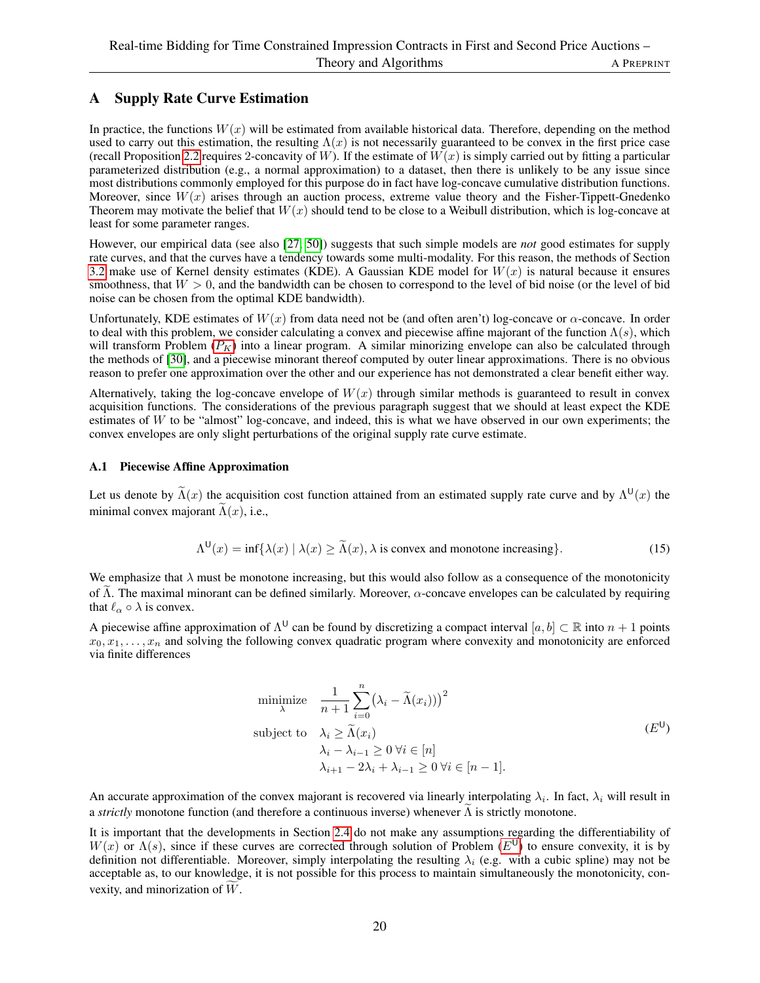# <span id="page-19-0"></span>A Supply Rate Curve Estimation

In practice, the functions  $W(x)$  will be estimated from available historical data. Therefore, depending on the method used to carry out this estimation, the resulting  $\Lambda(x)$  is not necessarily guaranteed to be convex in the first price case (recall Proposition [2.2](#page-6-0) requires 2-concavity of W). If the estimate of  $W(x)$  is simply carried out by fitting a particular parameterized distribution (e.g., a normal approximation) to a dataset, then there is unlikely to be any issue since most distributions commonly employed for this purpose do in fact have log-concave cumulative distribution functions. Moreover, since  $W(x)$  arises through an auction process, extreme value theory and the Fisher-Tippett-Gnedenko Theorem may motivate the belief that  $W(x)$  should tend to be close to a Weibull distribution, which is log-concave at least for some parameter ranges.

However, our empirical data (see also [\[27,](#page-17-12) [50\]](#page-18-8)) suggests that such simple models are *not* good estimates for supply rate curves, and that the curves have a tendency towards some multi-modality. For this reason, the methods of Section [3.2](#page-11-0) make use of Kernel density estimates (KDE). A Gaussian KDE model for  $W(x)$  is natural because it ensures smoothness, that  $W > 0$ , and the bandwidth can be chosen to correspond to the level of bid noise (or the level of bid noise can be chosen from the optimal KDE bandwidth).

Unfortunately, KDE estimates of  $W(x)$  from data need not be (and often aren't) log-concave or  $\alpha$ -concave. In order to deal with this problem, we consider calculating a convex and piecewise affine majorant of the function  $\Lambda(s)$ , which will transform [P](#page-10-1)roblem  $(P_K)$  into a linear program. A similar minorizing envelope can also be calculated through the methods of [\[30\]](#page-17-19), and a piecewise minorant thereof computed by outer linear approximations. There is no obvious reason to prefer one approximation over the other and our experience has not demonstrated a clear benefit either way.

Alternatively, taking the log-concave envelope of  $W(x)$  through similar methods is guaranteed to result in convex acquisition functions. The considerations of the previous paragraph suggest that we should at least expect the KDE estimates of  $W$  to be "almost" log-concave, and indeed, this is what we have observed in our own experiments; the convex envelopes are only slight perturbations of the original supply rate curve estimate.

# A.1 Piecewise Affine Approximation

Let us denote by  $\Lambda(x)$  the acquisition cost function attained from an estimated supply rate curve and by  $\Lambda^{U}(x)$  the minimal convex majorant  $\Lambda(x)$ , i.e.,

<span id="page-19-2"></span>
$$
\Lambda^{U}(x) = \inf \{ \lambda(x) \mid \lambda(x) \ge \tilde{\Lambda}(x), \lambda \text{ is convex and monotone increasing} \}. \tag{15}
$$

We emphasize that  $\lambda$  must be monotone increasing, but this would also follow as a consequence of the monotonicity of  $\Lambda$ . The maximal minorant can be defined similarly. Moreover,  $\alpha$ -concave envelopes can be calculated by requiring that  $\ell_{\alpha} \circ \lambda$  is convex.

A piecewise affine approximation of  $\Lambda^{\sf{U}}$  can be found by discretizing a compact interval  $[a, b] \subset \mathbb{R}$  into  $n+1$  points  $x_0, x_1, \ldots, x_n$  and solving the following convex quadratic program where convexity and monotonicity are enforced via finite differences

<span id="page-19-1"></span>minimize 
$$
\frac{1}{n+1} \sum_{i=0}^{n} (\lambda_i - \tilde{\Lambda}(x_i)))^2
$$
  
subject to 
$$
\lambda_i \geq \tilde{\Lambda}(x_i)
$$

$$
\lambda_i - \lambda_{i-1} \geq 0 \ \forall i \in [n]
$$

$$
\lambda_{i+1} - 2\lambda_i + \lambda_{i-1} \geq 0 \ \forall i \in [n-1].
$$
 $(E^{\cup})$ 

An accurate approximation of the convex majorant is recovered via linearly interpolating  $\lambda_i$ . In fact,  $\lambda_i$  will result in a *strictly* monotone function (and therefore a continuous inverse) whenever  $\Lambda$  is strictly monotone.

It is important that the developments in Section [2.4](#page-6-1) do not make any assumptions regarding the differentiability of  $W(x)$  or  $\Lambda(s)$ , since if these curves are corrected through solution of Problem ( $E^{U}$  $E^{U}$ ) to ensure convexity, it is by definition not differentiable. Moreover, simply interpolating the resulting  $\lambda_i$  (e.g. with a cubic spline) may not be acceptable as, to our knowledge, it is not possible for this process to maintain simultaneously the monotonicity, convexity, and minorization of  $W$ .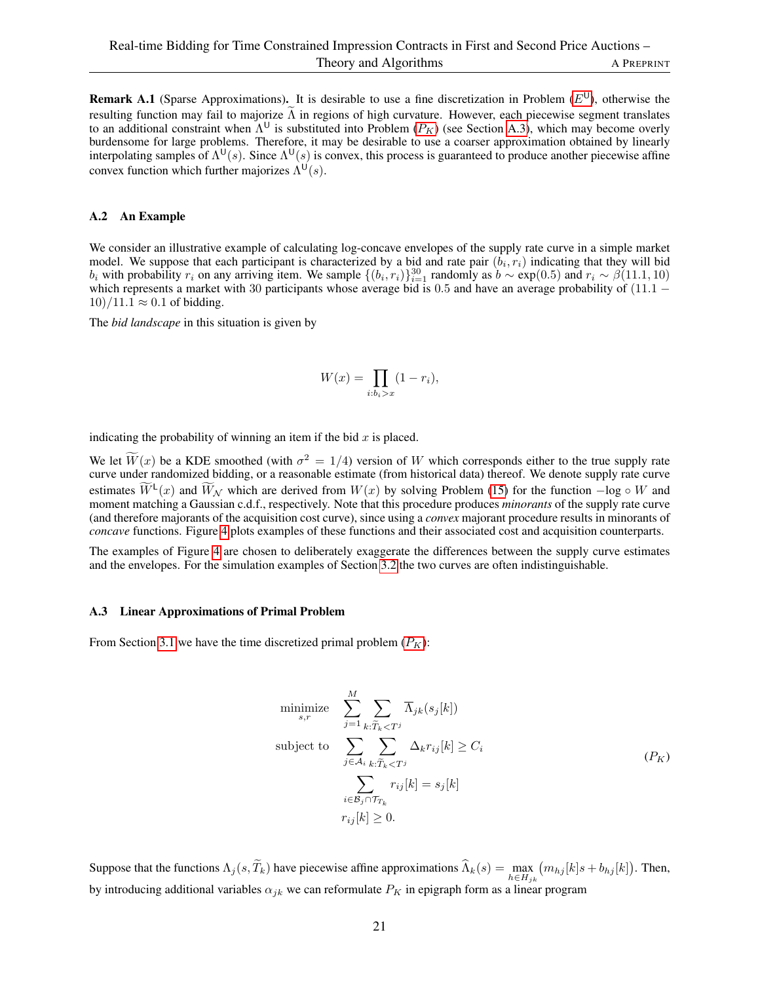**Remark A.1** (Sparse Approximations). It is desirable to use a fine discretization in Problem  $(E^U)$  $(E^U)$  $(E^U)$ , otherwise the resulting function may fail to majorize  $\Lambda$  in regions of high curvature. However, each piecewise segment translates to an additional constraint when  $\Lambda^U$  is substituted into [P](#page-10-1)roblem ( $P_K$ ) (see Section [A.3\)](#page-20-0), which may become overly burdensome for large problems. Therefore, it may be desirable to use a coarser approximation obtained by linearly interpolating samples of  $\Lambda^{U}(s)$ . Since  $\Lambda^{U}(s)$  is convex, this process is guaranteed to produce another piecewise affine convex function which further majorizes  $\Lambda^{U}(s)$ .

### A.2 An Example

We consider an illustrative example of calculating log-concave envelopes of the supply rate curve in a simple market model. We suppose that each participant is characterized by a bid and rate pair  $(b_i, r_i)$  indicating that they will bid  $b_i$  with probability  $r_i$  on any arriving item. We sample  $\{(b_i, r_i)\}_{i=1}^{30}$  randomly as  $b \sim \exp(0.5)$  and  $r_i \sim \beta(11.1, 10)$ which represents a market with 30 participants whose average bid is 0.5 and have an average probability of  $(11.1 10)/11.1 \approx 0.1$  of bidding.

The *bid landscape* in this situation is given by

$$
W(x) = \prod_{i:b_i > x} (1 - r_i),
$$

indicating the probability of winning an item if the bid  $x$  is placed.

We let  $\tilde{W}(x)$  be a KDE smoothed (with  $\sigma^2 = 1/4$ ) version of W which corresponds either to the true supply rate curve under randomized bidding, or a reasonable estimate (from historical data) thereof. We denote supply rate curve estimates  $\overline{W}^{\mathsf{L}}(x)$  and  $\overline{W}_\mathcal{N}$  which are derived from  $W(x)$  by solving Problem [\(15\)](#page-19-2) for the function  $-\log \circ W$  and moment matching a Gaussian c.d.f., respectively. Note that this procedure produces *minorants* of the supply rate curve (and therefore majorants of the acquisition cost curve), since using a *convex* majorant procedure results in minorants of *concave* functions. Figure [4](#page-21-0) plots examples of these functions and their associated cost and acquisition counterparts.

The examples of Figure [4](#page-21-0) are chosen to deliberately exaggerate the differences between the supply curve estimates and the envelopes. For the simulation examples of Section [3.2](#page-11-0) the two curves are often indistinguishable.

### <span id="page-20-0"></span>A.3 Linear Approximations of Primal Problem

From Section [3.1](#page-9-0) we have the time discretized primal problem  $(P_K)$  $(P_K)$  $(P_K)$ :

$$
\begin{aligned}\n\text{minimize} & \sum_{s,r}^{M} \sum_{j=1}^{N} \sum_{k:\widetilde{T}_k < T^j} \overline{\Lambda}_{jk}(s_j[k]) \\
\text{subject to} & \sum_{j \in \mathcal{A}_i} \sum_{k:\widetilde{T}_k < T^j} \Delta_k r_{ij}[k] \ge C_i \\
&\sum_{i \in \mathcal{B}_j \cap \mathcal{T}_{T_k}} r_{ij}[k] = s_j[k] \\
r_{ij}[k] > 0.\n\end{aligned} \tag{P_K}
$$

Suppose that the functions  $\Lambda_j(s, T_k)$  have piecewise affine approximations  $\Lambda_k(s) = \max_{h \in H_{jk}}$  $(m_{hj}[k]s + b_{hj}[k])$ . Then, by introducing additional variables  $\alpha_{jk}$  we can reformulate  $P_K$  in epigraph form as a linear program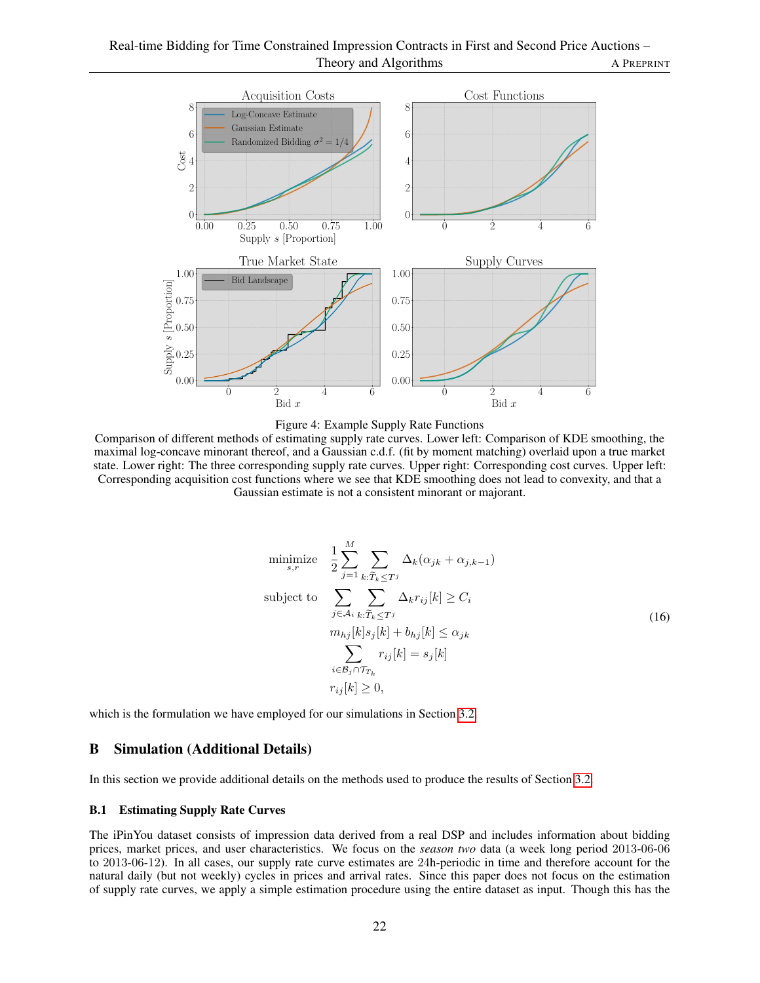<span id="page-21-0"></span>



Comparison of different methods of estimating supply rate curves. Lower left: Comparison of KDE smoothing, the maximal log-concave minorant thereof, and a Gaussian c.d.f. (fit by moment matching) overlaid upon a true market state. Lower right: The three corresponding supply rate curves. Upper right: Corresponding cost curves. Upper left: Corresponding acquisition cost functions where we see that KDE smoothing does not lead to convexity, and that a Gaussian estimate is not a consistent minorant or majorant.

$$
\begin{aligned}\n\text{minimize} & \quad \frac{1}{2} \sum_{j=1}^{M} \sum_{k: \widetilde{T}_k \le T^j} \Delta_k (\alpha_{jk} + \alpha_{j,k-1}) \\
\text{subject to} & \quad \sum_{j \in \mathcal{A}_i} \sum_{k: \widetilde{T}_k \le T^j} \Delta_k r_{ij}[k] \ge C_i \\
& m_{hj}[k] s_j[k] + b_{hj}[k] \le \alpha_{jk} \\
& \quad \sum_{i \in \mathcal{B}_j \cap \mathcal{T}_{T_k}} r_{ij}[k] = s_j[k] \\
& r_{ij}[k] \ge 0,\n\end{aligned} \tag{16}
$$

which is the formulation we have employed for our simulations in Section [3.2.](#page-11-0)

### B Simulation (Additional Details)

In this section we provide additional details on the methods used to produce the results of Section [3.2.](#page-11-0)

### B.1 Estimating Supply Rate Curves

The iPinYou dataset consists of impression data derived from a real DSP and includes information about bidding prices, market prices, and user characteristics. We focus on the *season two* data (a week long period 2013-06-06 to 2013-06-12). In all cases, our supply rate curve estimates are 24h-periodic in time and therefore account for the natural daily (but not weekly) cycles in prices and arrival rates. Since this paper does not focus on the estimation of supply rate curves, we apply a simple estimation procedure using the entire dataset as input. Though this has the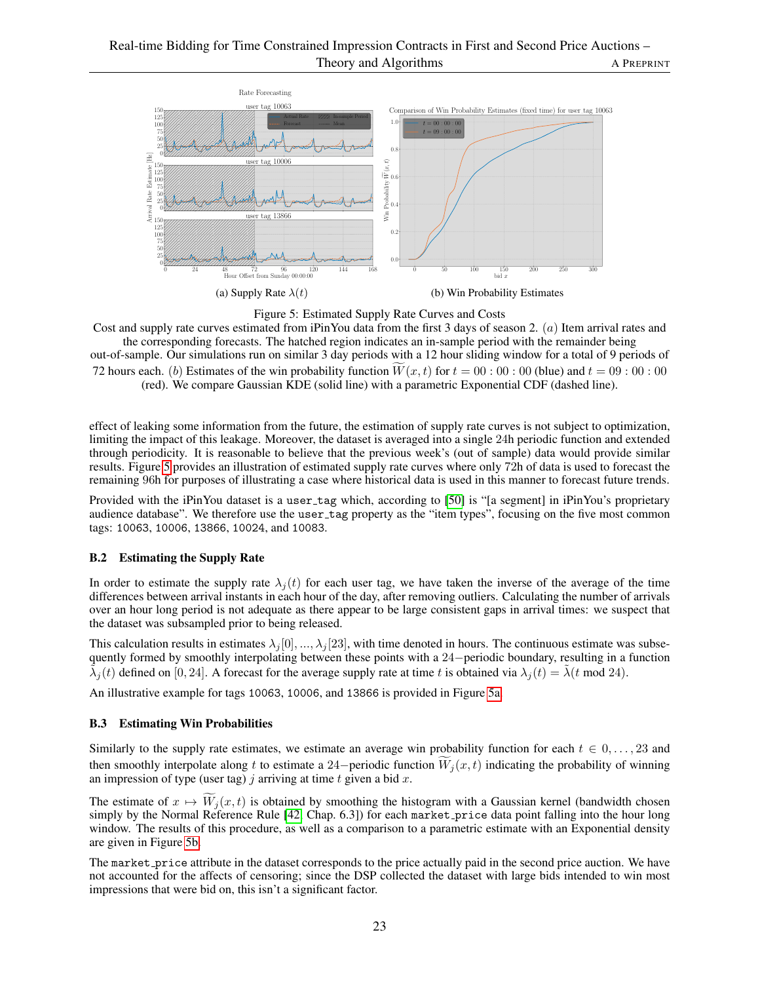<span id="page-22-0"></span>



Cost and supply rate curves estimated from iPinYou data from the first 3 days of season 2. (a) Item arrival rates and the corresponding forecasts. The hatched region indicates an in-sample period with the remainder being

out-of-sample. Our simulations run on similar 3 day periods with a 12 hour sliding window for a total of 9 periods of 72 hours each. (b) Estimates of the win probability function  $W(x, t)$  for  $t = 00 : 00 : 00$  (blue) and  $t = 09 : 00 : 00$ (red). We compare Gaussian KDE (solid line) with a parametric Exponential CDF (dashed line).

effect of leaking some information from the future, the estimation of supply rate curves is not subject to optimization, limiting the impact of this leakage. Moreover, the dataset is averaged into a single 24h periodic function and extended through periodicity. It is reasonable to believe that the previous week's (out of sample) data would provide similar results. Figure [5](#page-22-0) provides an illustration of estimated supply rate curves where only 72h of data is used to forecast the remaining 96h for purposes of illustrating a case where historical data is used in this manner to forecast future trends.

Provided with the iPinYou dataset is a user tag which, according to [\[50\]](#page-18-8) is "[a segment] in iPinYou's proprietary audience database". We therefore use the user tag property as the "item types", focusing on the five most common tags: 10063, 10006, 13866, 10024, and 10083.

# B.2 Estimating the Supply Rate

In order to estimate the supply rate  $\lambda_i(t)$  for each user tag, we have taken the inverse of the average of the time differences between arrival instants in each hour of the day, after removing outliers. Calculating the number of arrivals over an hour long period is not adequate as there appear to be large consistent gaps in arrival times: we suspect that the dataset was subsampled prior to being released.

This calculation results in estimates  $\lambda_i[0], \dots, \lambda_i[23]$ , with time denoted in hours. The continuous estimate was subsequently formed by smoothly interpolating between these points with a 24−periodic boundary, resulting in a function  $\tilde{\lambda}_j(t)$  defined on [0, 24]. A forecast for the average supply rate at time t is obtained via  $\lambda_j(t) = \tilde{\lambda}(t \mod 24)$ .

An illustrative example for tags 10063, 10006, and 13866 is provided in Figure [5a.](#page-22-0)

# B.3 Estimating Win Probabilities

Similarly to the supply rate estimates, we estimate an average win probability function for each  $t \in 0, \ldots, 23$  and then smoothly interpolate along t to estimate a 24−periodic function  $W_i(x, t)$  indicating the probability of winning an impression of type (user tag) j arriving at time t given a bid x.

The estimate of  $x \mapsto \widetilde{W}_i(x, t)$  is obtained by smoothing the histogram with a Gaussian kernel (bandwidth chosen simply by the Normal Reference Rule [\[42,](#page-17-17) Chap. 6.3]) for each market price data point falling into the hour long window. The results of this procedure, as well as a comparison to a parametric estimate with an Exponential density are given in Figure [5b.](#page-22-0)

The market price attribute in the dataset corresponds to the price actually paid in the second price auction. We have not accounted for the affects of censoring; since the DSP collected the dataset with large bids intended to win most impressions that were bid on, this isn't a significant factor.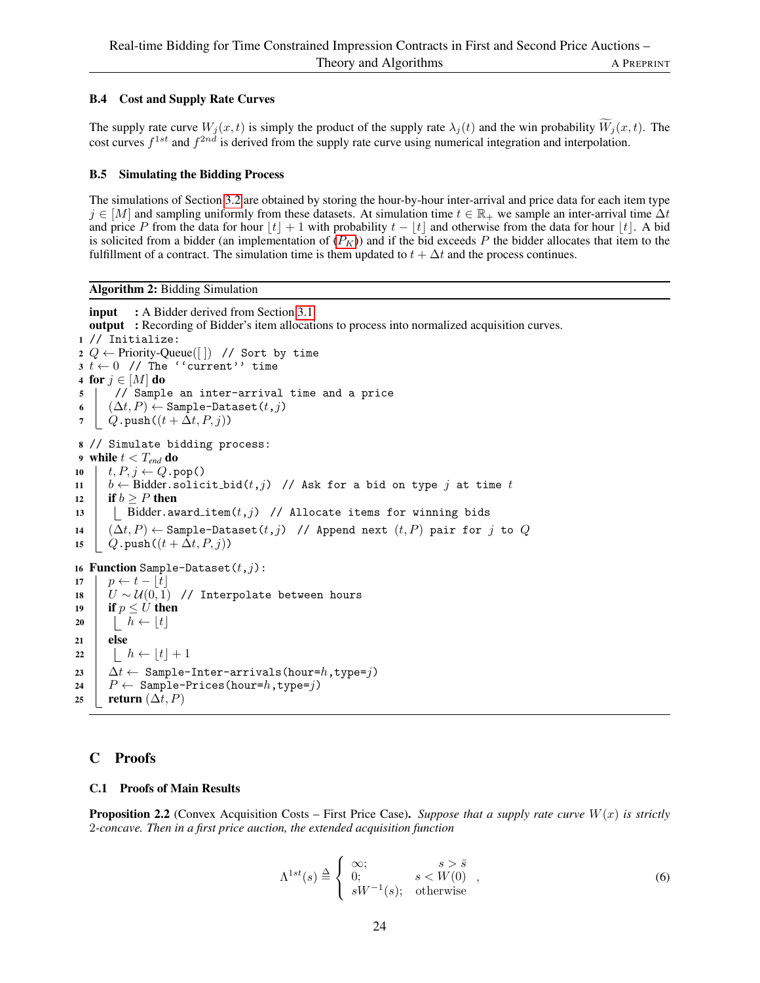# B.4 Cost and Supply Rate Curves

The supply rate curve  $W_i(x, t)$  is simply the product of the supply rate  $\lambda_i(t)$  and the win probability  $W_i(x, t)$ . The cost curves  $f^{1st}$  and  $f^{2nd}$  is derived from the supply rate curve using numerical integration and interpolation.

### B.5 Simulating the Bidding Process

The simulations of Section [3.2](#page-11-0) are obtained by storing the hour-by-hour inter-arrival and price data for each item type  $j \in [M]$  and sampling uniformly from these datasets. At simulation time  $t \in \mathbb{R}_+$  we sample an inter-arrival time  $\Delta t$ and price P from the data for hour  $|t| + 1$  with probability  $t - |t|$  and otherwise from the data for hour  $|t|$ . A bid is solicited from a bidder (an implementation of  $(P_K)$  $(P_K)$  $(P_K)$ ) and if the bid exceeds P the bidder allocates that item to the fulfillment of a contract. The simulation time is them updated to  $t + \Delta t$  and the process continues.

Algorithm 2: Bidding Simulation

```
input 3.1.
  output : Recording of Bidder's item allocations to process into normalized acquisition curves.
1 // Initialize:
2 Q \leftarrow Priority-Queue([]) // Sort by time
3 \t \leftarrow 0 // The ''current'' time
4 for j \in [M] do
5 // Sample an inter-arrival time and a price
6 \Box (\Delta t, P) ← Sample-Dataset(t,j)
7 \left\{ Q.\text{push}((t + \Delta t, P, j)) \right\}8 // Simulate bidding process:
9 while t < T_{end} do
10 t, P, j \leftarrow Q.pop()
11 | b \leftarrow Bidder.solicit_bid(t,j) // Ask for a bid on type j at time t
12 if b \geq P then
13 | | Bidder.award_item(t,j) // Allocate items for winning bids
14 (\Delta t, P) \leftarrow Sample-Dataset(t, j) // Append next (t, P) pair for j to Q15 \left[ Q.\text{push}((t + \Delta t, P, j)) \right]16 Function Sample-Dataset(t,j):
17 \vert p \leftarrow t - |t|18 U \sim \mathcal{U}(0, 1) // Interpolate between hours
19 if p \leq U then
20 \vert \vert \quad h \leftarrow \lfloor t \rfloor21 else
22 | h \leftarrow \lfloor t \rfloor + 123 \Delta t \leftarrow Sample-Inter-arrivals(hour=h,type=j)
24 \mid P \leftarrow Sample-Prices(hour=h, type=j)
25 | return (\Delta t, P)
```
# C Proofs

### C.1 Proofs of Main Results

**Proposition 2.2** (Convex Acquisition Costs – First Price Case). Suppose that a supply rate curve  $W(x)$  is strictly 2*-concave. Then in a first price auction, the extended acquisition function*

$$
\Lambda^{1st}(s) \stackrel{\Delta}{=} \begin{cases} \infty; & s > \bar{s} \\ 0; & s < W(0) \\ sW^{-1}(s); & \text{otherwise} \end{cases}
$$
 (6)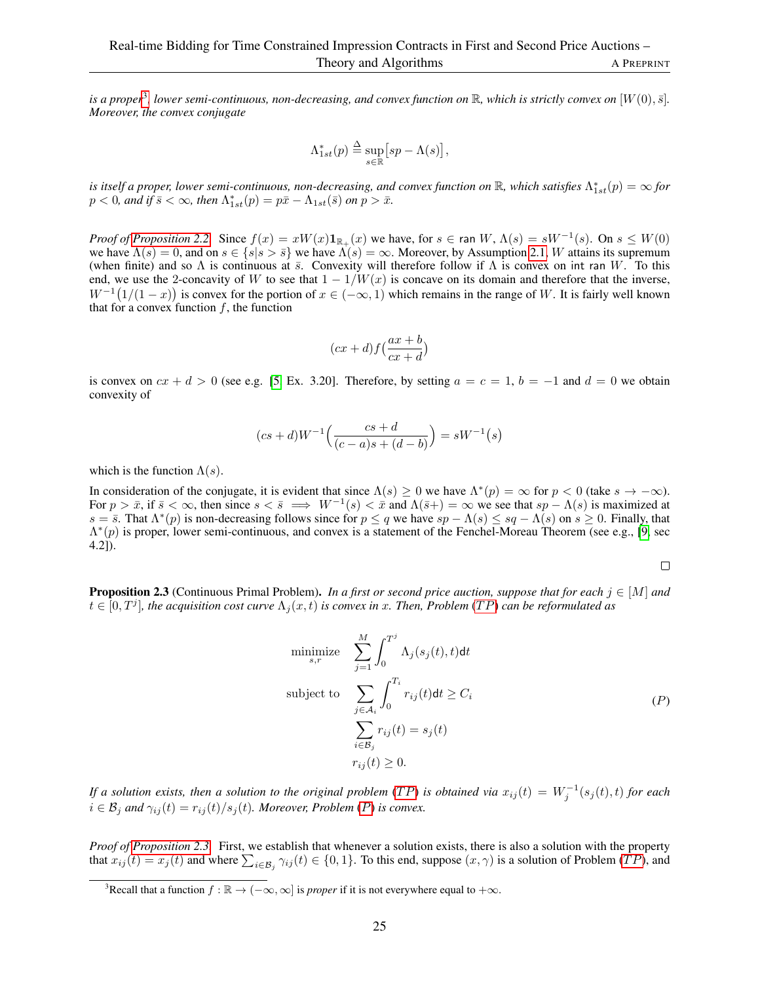is a proper<sup>[3](#page-24-0)</sup>, lower semi-continuous, non-decreasing, and convex function on  $\R$ , which is strictly convex on  $[W(0),\bar{s}]$ . *Moreover, the convex conjugate*

$$
\Lambda^*_{1st}(p) \stackrel{\Delta}{=} \sup_{s \in \mathbb{R}} \big[ sp - \Lambda(s) \big],
$$

is itself a proper, lower semi-continuous, non-decreasing, and convex function on  $\R$ , which satisfies  $\Lambda^*_{1st}(p)=\infty$  for  $p < 0$ , and if  $\bar{s} < \infty$ , then  $\Lambda^*_{1st}(p) = p\bar{x} - \Lambda_{1st}(\bar{s})$  on  $p > \bar{x}$ .

*Proof of [Proposition 2.2.](#page-6-0)* Since  $f(x) = xW(x)1_{\mathbb{R}_+}(x)$  we have, for  $s \in \text{ran } W$ ,  $\Lambda(s) = sW^{-1}(s)$ . On  $s \leq W(0)$ we have  $\Lambda(s) = 0$ , and on  $s \in \{s | s > \bar{s}\}$  we have  $\Lambda(s) = \infty$ . Moreover, by Assumption [2.1,](#page-3-0) W attains its supremum (when finite) and so  $\Lambda$  is continuous at  $\bar{s}$ . Convexity will therefore follow if  $\Lambda$  is convex on int ran W. To this end, we use the 2-concavity of W to see that  $1 - 1/W(x)$  is concave on its domain and therefore that the inverse,  $W^{-1}(1/(1-x))$  is convex for the portion of  $x \in (-\infty, 1)$  which remains in the range of W. It is fairly well known that for a convex function  $f$ , the function

$$
(cx+d)f\left(\frac{ax+b}{cx+d}\right)
$$

is convex on  $cx + d > 0$  (see e.g. [\[5,](#page-16-20) Ex. 3.20]. Therefore, by setting  $a = c = 1$ ,  $b = -1$  and  $d = 0$  we obtain convexity of

$$
(cs+d)W^{-1}\left(\frac{cs+d}{(c-a)s+(d-b)}\right) = sW^{-1}(s)
$$

which is the function  $\Lambda(s)$ .

In consideration of the conjugate, it is evident that since  $\Lambda(s) \geq 0$  we have  $\Lambda^*(p) = \infty$  for  $p < 0$  (take  $s \to -\infty$ ). For  $p > \bar{x}$ , if  $\bar{s} < \infty$ , then since  $s < \bar{s} \implies W^{-1}(s) < \bar{x}$  and  $\Lambda(\bar{s}+) = \infty$  we see that  $sp - \Lambda(s)$  is maximized at  $s = \overline{s}$ . That  $\Lambda^*(p)$  is non-decreasing follows since for  $p \leq q$  we have  $sp - \Lambda(s) \leq sq - \Lambda(s)$  on  $s \geq 0$ . Finally, that  $\Lambda^*(p)$  is proper, lower semi-continuous, and convex is a statement of the Fenchel-Moreau Theorem (see e.g., [\[9,](#page-16-21) sec 4.2]).

 $\Box$ 

**Proposition 2.3** (Continuous Primal Problem). *In a first or second price auction, suppose that for each*  $j \in [M]$  *and*  $t \in [0,T^j]$ , the acquisition cost curve  $\Lambda_j(x,t)$  is convex in x. Then, Problem (TP) can be reformulated as

$$
\begin{aligned}\n\text{minimize} & \sum_{s,r}^{M} \int_{0}^{T^{j}} \Lambda_{j}(s_{j}(t), t) dt \\
\text{subject to} & \sum_{j \in \mathcal{A}_{i}} \int_{0}^{T_{i}} r_{ij}(t) dt \geq C_{i} \\
& \sum_{i \in \mathcal{B}_{j}} r_{ij}(t) = s_{j}(t) \\
r_{ij}(t) \geq 0.\n\end{aligned} \tag{P}
$$

*If a solution exists, then a solution to the original problem* (TP) *is obtained via*  $x_{ij}(t) = W_j^{-1}(s_j(t), t)$  *for each*  $i \in \mathcal{B}_i$  and  $\gamma_{ii}(t) = r_{ii}(t)/s_i(t)$ *. Moreover, [P](#page-6-3)roblem (P) is convex.* 

*Proof of [Proposition 2.3.](#page-6-4)* First, we establish that whenever a solution exists, there is also a solution with the property that  $x_{ij}(t) = x_j(t)$  and where  $\sum_{i \in \mathcal{B}_j} \gamma_{ij}(t) \in \{0, 1\}$ . To this end, suppose  $(x, \gamma)$  is a solution of Problem  $(TP)$ , and

<span id="page-24-0"></span><sup>&</sup>lt;sup>3</sup>Recall that a function  $f : \mathbb{R} \to (-\infty, \infty]$  is *proper* if it is not everywhere equal to  $+\infty$ .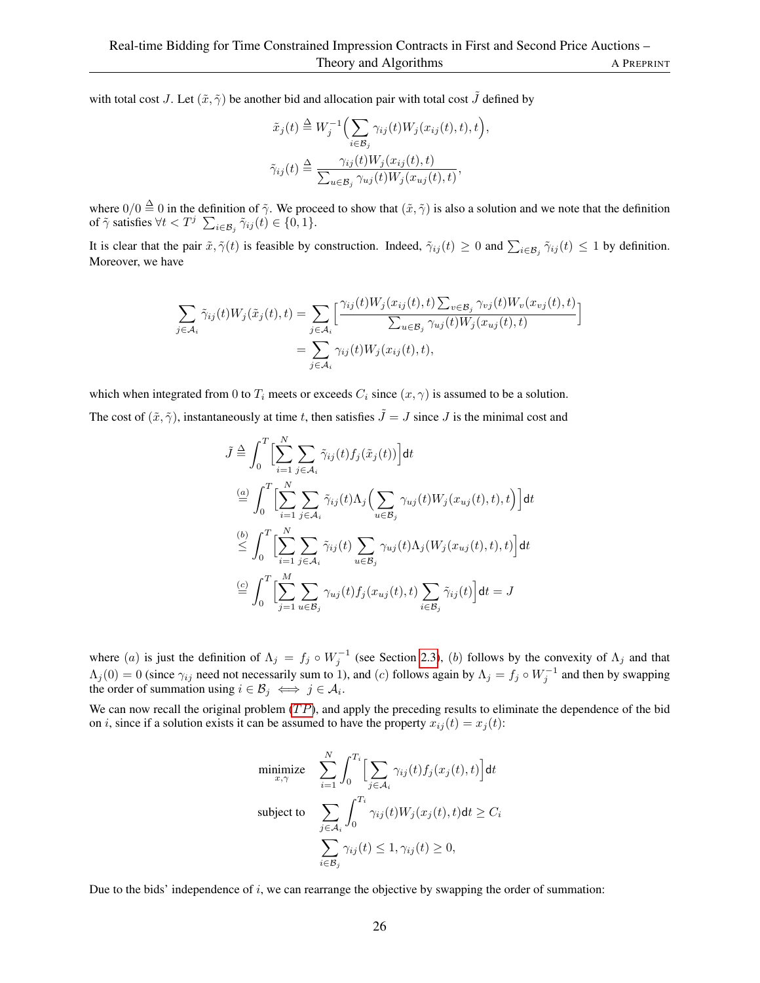with total cost J. Let  $(\tilde{x}, \tilde{\gamma})$  be another bid and allocation pair with total cost  $\tilde{J}$  defined by

$$
\tilde{x}_j(t) \stackrel{\Delta}{=} W_j^{-1} \Big( \sum_{i \in \mathcal{B}_j} \gamma_{ij}(t) W_j(x_{ij}(t), t), t \Big),
$$
  

$$
\tilde{\gamma}_{ij}(t) \stackrel{\Delta}{=} \frac{\gamma_{ij}(t) W_j(x_{ij}(t), t)}{\sum_{u \in \mathcal{B}_j} \gamma_{uj}(t) W_j(x_{uj}(t), t)},
$$

where  $0/0 \stackrel{\Delta}{=} 0$  in the definition of  $\tilde{\gamma}$ . We proceed to show that  $(\tilde{x}, \tilde{\gamma})$  is also a solution and we note that the definition of  $\tilde{\gamma}$  satisfies  $\forall t < T^j$   $\sum_{i \in \mathcal{B}_j} \tilde{\gamma}_{ij}(t) \in \{0, 1\}.$ 

It is clear that the pair  $\tilde{x}$ ,  $\tilde{\gamma}(t)$  is feasible by construction. Indeed,  $\tilde{\gamma}_{ij}(t) \ge 0$  and  $\sum_{i \in \mathcal{B}_j} \tilde{\gamma}_{ij}(t) \le 1$  by definition. Moreover, we have

$$
\sum_{j \in A_i} \tilde{\gamma}_{ij}(t) W_j(\tilde{x}_j(t), t) = \sum_{j \in A_i} \left[ \frac{\gamma_{ij}(t) W_j(x_{ij}(t), t) \sum_{v \in \mathcal{B}_j} \gamma_{vj}(t) W_v(x_{vj}(t), t)}{\sum_{u \in \mathcal{B}_j} \gamma_{uj}(t) W_j(x_{uj}(t), t)} \right]
$$
  
= 
$$
\sum_{j \in A_i} \gamma_{ij}(t) W_j(x_{ij}(t), t),
$$

which when integrated from 0 to  $T_i$  meets or exceeds  $C_i$  since  $(x, \gamma)$  is assumed to be a solution.

The cost of  $(\tilde{x}, \tilde{\gamma})$ , instantaneously at time t, then satisfies  $\tilde{J} = J$  since J is the minimal cost and

$$
\tilde{J} \stackrel{\Delta}{=} \int_0^T \Biggl[ \sum_{i=1}^N \sum_{j \in \mathcal{A}_i} \tilde{\gamma}_{ij}(t) f_j(\tilde{x}_j(t)) \Biggr] dt
$$
  
\n
$$
\stackrel{(a)}{=} \int_0^T \Biggl[ \sum_{i=1}^N \sum_{j \in \mathcal{A}_i} \tilde{\gamma}_{ij}(t) \Lambda_j \Biggl( \sum_{u \in \mathcal{B}_j} \gamma_{uj}(t) W_j(x_{uj}(t), t) \Biggr) dt
$$
  
\n
$$
\stackrel{(b)}{\leq} \int_0^T \Biggl[ \sum_{i=1}^N \sum_{j \in \mathcal{A}_i} \tilde{\gamma}_{ij}(t) \sum_{u \in \mathcal{B}_j} \gamma_{uj}(t) \Lambda_j (W_j(x_{uj}(t), t), t) \Biggr] dt
$$
  
\n
$$
\stackrel{(c)}{=} \int_0^T \Biggl[ \sum_{j=1}^M \sum_{u \in \mathcal{B}_j} \gamma_{uj}(t) f_j(x_{uj}(t), t) \sum_{i \in \mathcal{B}_j} \tilde{\gamma}_{ij}(t) \Biggr] dt = J
$$

where (a) is just the definition of  $\Lambda_j = f_j \circ W_j^{-1}$  (see Section [2.3\)](#page-5-0), (b) follows by the convexity of  $\Lambda_j$  and that  $\Lambda_j(0) = 0$  (since  $\gamma_{ij}$  need not necessarily sum to 1), and (c) follows again by  $\Lambda_j = f_j \circ W_j^{-1}$  and then by swapping the order of summation using  $i \in \mathcal{B}_j \iff j \in \mathcal{A}_i$ .

We can now recall the original problem  $(TP)$ , and apply the preceding results to eliminate the dependence of the bid on *i*, since if a solution exists it can be assumed to have the property  $x_{ij}(t) = x_j(t)$ :

$$
\begin{aligned}\n\text{minimize} & \sum_{x,\gamma}^{N} \int_{0}^{T_i} \Big[ \sum_{j \in \mathcal{A}_i} \gamma_{ij}(t) f_j(x_j(t), t) \Big] \, \mathrm{d}t \\
\text{subject to} & \sum_{j \in \mathcal{A}_i} \int_{0}^{T_i} \gamma_{ij}(t) W_j(x_j(t), t) \, \mathrm{d}t \geq C_i \\
& \sum_{i \in \mathcal{B}_j} \gamma_{ij}(t) \leq 1, \gamma_{ij}(t) \geq 0,\n\end{aligned}
$$

Due to the bids' independence of  $i$ , we can rearrange the objective by swapping the order of summation: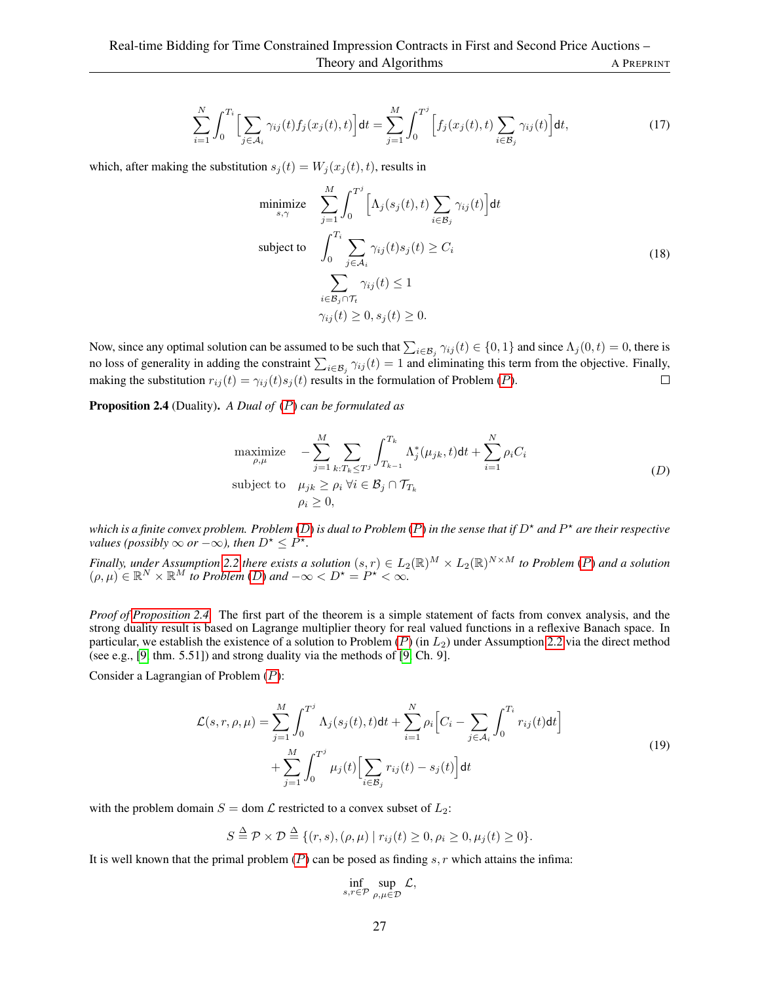$$
\sum_{i=1}^{N} \int_{0}^{T_i} \Big[ \sum_{j \in A_i} \gamma_{ij}(t) f_j(x_j(t), t) \Big] dt = \sum_{j=1}^{M} \int_{0}^{T^j} \Big[ f_j(x_j(t), t) \sum_{i \in B_j} \gamma_{ij}(t) \Big] dt,
$$
\n(17)

which, after making the substitution  $s_j(t) = W_j(x_j(t), t)$ , results in

$$
\begin{aligned}\n\text{minimize} & \sum_{s,\gamma}^{M} \int_{0}^{T^{j}} \left[ \Lambda_{j}(s_{j}(t), t) \sum_{i \in \mathcal{B}_{j}} \gamma_{ij}(t) \right] dt \\
\text{subject to} & \int_{0}^{T_{i}} \sum_{j \in \mathcal{A}_{i}} \gamma_{ij}(t) s_{j}(t) \geq C_{i} \\
& \sum_{i \in \mathcal{B}_{j} \cap \mathcal{T}_{t}} \gamma_{ij}(t) \leq 1 \\
& \gamma_{ij}(t) \geq 0, s_{j}(t) \geq 0.\n\end{aligned} \tag{18}
$$

Now, since any optimal solution can be assumed to be such that  $\sum_{i \in \mathcal{B}_j} \gamma_{ij}(t) \in \{0, 1\}$  and since  $\Lambda_j(0, t) = 0$ , there is no loss of generality in adding the constraint  $\sum_{i \in B_j} \gamma_{ij}(t) = 1$  and eliminating this term from the objective. Finally, making the substitution  $r_{ij}(t) = \gamma_{ij}(t)s_j(t)$  results in the formulation of [P](#page-6-3)roblem (P).

Proposition 2.4 (Duality). *A Dual of* ([P](#page-6-3)) *can be formulated as*

maximize 
$$
- \sum_{j=1}^{M} \sum_{k:T_k \leq T^j} \int_{T_{k-1}}^{T_k} \Lambda_j^*(\mu_{jk}, t) dt + \sum_{i=1}^{N} \rho_i C_i
$$
  
subject to 
$$
\mu_{jk} \geq \rho_i \ \forall i \in \mathcal{B}_j \cap \mathcal{T}_{T_k}
$$

$$
\rho_i \geq 0,
$$
 (D)

which is a finite convex problem. Problem ([D](#page-7-0)) is dual to [P](#page-6-3)roblem (P) in the sense that if D<sup>\*</sup> and P<sup>\*</sup> are their respective *values (possibly*  $\infty$  *or*  $-\infty$ *), then*  $D^* \leq P^*$ *.* 

*Finally, under Assumption* [2.2](#page-7-1) *there exists a solution*  $(s, r) \in L_2(\mathbb{R})^M \times L_2(\mathbb{R})^{N \times M}$  to [P](#page-6-3)roblem (P) and a solution  $(\rho, \mu) \in \mathbb{R}^N \times \mathbb{R}^M$  *to Problem* (*[D](#page-7-0)*) and  $-\infty < D^* = P^* < \infty$ .

*Proof of [Proposition 2.4.](#page-7-4)* The first part of the theorem is a simple statement of facts from convex analysis, and the strong duality result is based on Lagrange multiplier theory for real valued functions in a reflexive Banach space. In particular, we establish the existence of a solution to [P](#page-6-3)roblem  $(P)$  (in  $L_2$ ) under Assumption [2.2](#page-7-1) via the direct method (see e.g., [\[9,](#page-16-21) thm. 5.51]) and strong duality via the methods of [\[9,](#page-16-21) Ch. 9].

Consider a Lagrangian of Problem ([P](#page-6-3)):

$$
\mathcal{L}(s,r,\rho,\mu) = \sum_{j=1}^{M} \int_{0}^{T^{j}} \Lambda_{j}(s_{j}(t),t)dt + \sum_{i=1}^{N} \rho_{i} \Big[ C_{i} - \sum_{j \in \mathcal{A}_{i}} \int_{0}^{T_{i}} r_{ij}(t)dt \Big] + \sum_{j=1}^{M} \int_{0}^{T^{j}} \mu_{j}(t) \Big[ \sum_{i \in \mathcal{B}_{j}} r_{ij}(t) - s_{j}(t) \Big] dt
$$
\n(19)

with the problem domain  $S =$  dom  $\mathcal L$  restricted to a convex subset of  $L_2$ :

$$
S \stackrel{\Delta}{=} \mathcal{P} \times \mathcal{D} \stackrel{\Delta}{=} \{ (r, s), (\rho, \mu) \mid r_{ij}(t) \ge 0, \rho_i \ge 0, \mu_j(t) \ge 0 \}.
$$

It is well known that the primal problem  $(P)$  $(P)$  $(P)$  can be posed as finding s, r which attains the infima:

$$
\inf_{s,r\in\mathcal{P}}\sup_{\rho,\mu\in\mathcal{D}}\mathcal{L},
$$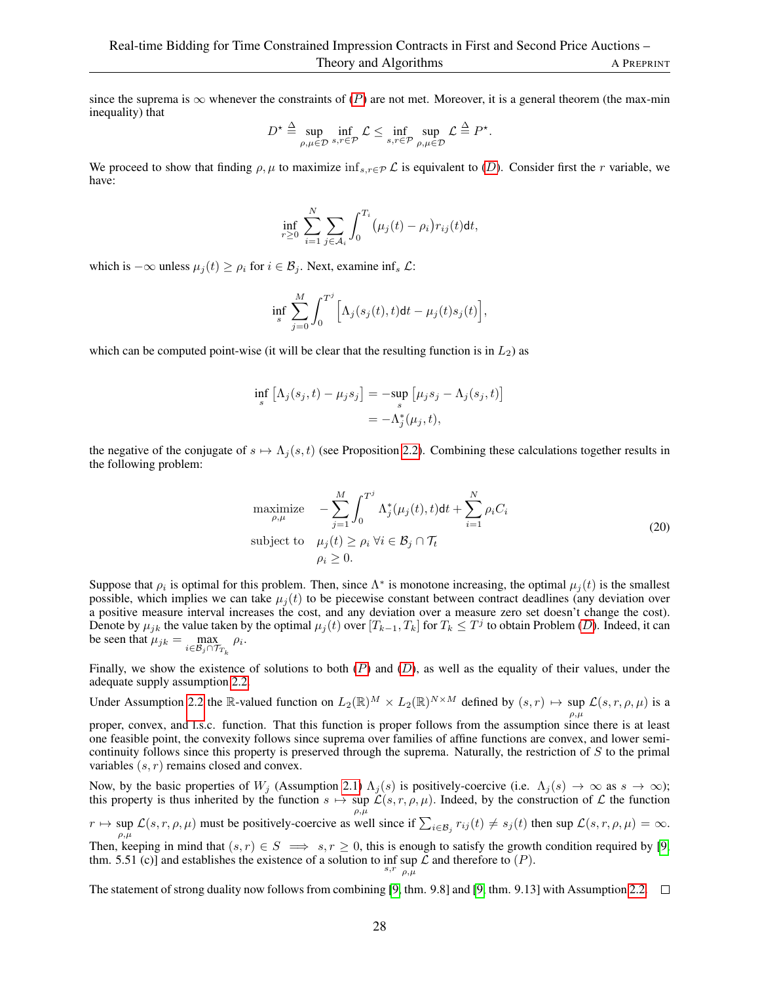since the suprema is  $\infty$  whenever the constraints of ([P](#page-6-3)) are not met. Moreover, it is a general theorem (the max-min inequality) that

$$
D^{\star} \stackrel{\Delta}{=} \sup_{\rho,\mu \in \mathcal{D}} \inf_{s,r \in \mathcal{P}} \mathcal{L} \le \inf_{s,r \in \mathcal{P}} \sup_{\rho,\mu \in \mathcal{D}} \mathcal{L} \stackrel{\Delta}{=} P^{\star}.
$$

We proceed to show that finding  $\rho, \mu$  to maximize inf<sub>s,r∈P</sub> L is equivalent to ([D](#page-7-0)). Consider first the r variable, we have:

$$
\inf_{r\geq 0}\sum_{i=1}^N\sum_{j\in\mathcal{A}_i}\int_0^{T_i}\big(\mu_j(t)-\rho_i\big)r_{ij}(t)\mathsf{d} t,
$$

which is  $-\infty$  unless  $\mu_j(t) \ge \rho_i$  for  $i \in \mathcal{B}_j$ . Next, examine inf<sub>s</sub>  $\mathcal{L}$ :

$$
\inf_{s}\sum_{j=0}^{M}\int_{0}^{T^{j}}\Big[\Lambda_{j}(s_{j}(t),t)\mathrm{d}t-\mu_{j}(t)s_{j}(t)\Big],
$$

which can be computed point-wise (it will be clear that the resulting function is in  $L_2$ ) as

$$
\inf_{s} \left[ \Lambda_j(s_j, t) - \mu_j s_j \right] = -\sup_{s} \left[ \mu_j s_j - \Lambda_j(s_j, t) \right]
$$

$$
= -\Lambda_j^*(\mu_j, t),
$$

the negative of the conjugate of  $s \mapsto \Lambda_j(s, t)$  (see Proposition [2.2\)](#page-6-0). Combining these calculations together results in the following problem:

maximize 
$$
- \sum_{j=1}^{M} \int_{0}^{T^{j}} \Lambda_{j}^{*}(\mu_{j}(t), t) dt + \sum_{i=1}^{N} \rho_{i} C_{i}
$$
  
subject to 
$$
\mu_{j}(t) \geq \rho_{i} \ \forall i \in \mathcal{B}_{j} \cap \mathcal{T}_{t}
$$

$$
\rho_{i} \geq 0.
$$
 (20)

Suppose that  $\rho_i$  is optimal for this problem. Then, since  $\Lambda^*$  is monotone increasing, the optimal  $\mu_j(t)$  is the smallest possible, which implies we can take  $\mu_i(t)$  to be piecewise constant between contract deadlines (any deviation over a positive measure interval increases the cost, and any deviation over a measure zero set doesn't change the cost). [D](#page-7-0)enote by  $\mu_{jk}$  the value taken by the optimal  $\mu_j(t)$  over  $[T_{k-1}, T_k]$  for  $T_k \leq T^j$  to obtain Problem (D). Indeed, it can be seen that  $\mu_{jk} = \max_{i \in \mathcal{B}_j \cap \mathcal{T}_{T_k}} \rho_i$ .

Finally, we show the existence of solutions to both  $(P)$  $(P)$  $(P)$  and  $(D)$  $(D)$  $(D)$ , as well as the equality of their values, under the adequate supply assumption [2.2.](#page-7-1)

Under Assumption [2.2](#page-7-1) the R-valued function on  $L_2(\mathbb{R})^M \times L_2(\mathbb{R})^{N \times M}$  defined by  $(s, r) \mapsto \sup_{\rho,\mu} \mathcal{L}(s, r, \rho, \mu)$  is a

proper, convex, and l.s.c. function. That this function is proper follows from the assumption since there is at least one feasible point, the convexity follows since suprema over families of affine functions are convex, and lower semicontinuity follows since this property is preserved through the suprema. Naturally, the restriction of  $S$  to the primal variables  $(s, r)$  remains closed and convex.

Now, by the basic properties of  $W_j$  (Assumption [2.1\)](#page-3-0)  $\Lambda_j(s)$  is positively-coercive (i.e.  $\Lambda_j(s) \to \infty$  as  $s \to \infty$ ); this property is thus inherited by the function  $s \mapsto \sup \mathcal{L}(s, r, \rho, \mu)$ . Indeed, by the construction of  $\mathcal L$  the function  $\rho,\mu$ 

 $r \mapsto \sup_{\rho,\mu} \mathcal{L}(s,r,\rho,\mu)$  must be positively-coercive as well since if  $\sum_{i \in \mathcal{B}_j} r_{ij}(t) \neq s_j(t)$  then sup  $\mathcal{L}(s,r,\rho,\mu) = \infty$ .

Then, keeping in mind that  $(s, r) \in S \implies s, r \ge 0$ , this is enough to satisfy the growth condition required by [\[9,](#page-16-21) thm. 5.51 (c)] and establishes the existence of a solution to  $\inf_{s,r} \sup_{\theta,\mu} \mathcal{L}$  and therefore to  $(P)$ .  $ρ, μ$ 

The statement of strong duality now follows from combining [\[9,](#page-16-21) thm. 9.8] and [9, thm. 9.13] with Assumption [2.2.](#page-7-1)  $\Box$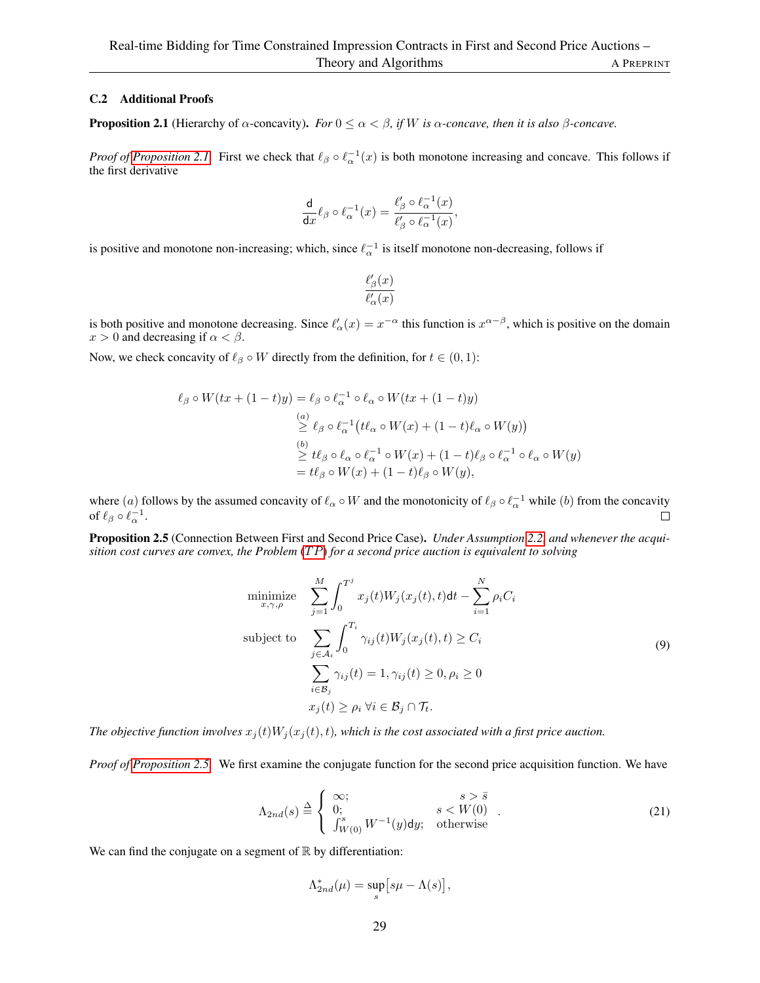### C.2 Additional Proofs

**Proposition 2.1** (Hierarchy of  $\alpha$ -concavity). *For*  $0 \leq \alpha < \beta$ , if W is  $\alpha$ -concave, then it is also  $\beta$ -concave.

*Proof of [Proposition 2.1.](#page-6-5)* First we check that  $\ell_\beta \circ \ell_\alpha^{-1}(x)$  is both monotone increasing and concave. This follows if the first derivative

$$
\frac{\mathrm{d}}{\mathrm{d}x}\ell_{\beta}\circ \ell_{\alpha}^{-1}(x)=\frac{\ell_{\beta}'\circ \ell_{\alpha}^{-1}(x)}{\ell_{\beta}'\circ \ell_{\alpha}^{-1}(x)},
$$

is positive and monotone non-increasing; which, since  $\ell_{\alpha}^{-1}$  is itself monotone non-decreasing, follows if

$$
\frac{\ell'_{\beta}(x)}{\ell'_{\alpha}(x)}
$$

is both positive and monotone decreasing. Since  $\ell'_\alpha(x) = x^{-\alpha}$  this function is  $x^{\alpha-\beta}$ , which is positive on the domain  $x > 0$  and decreasing if  $\alpha < \beta$ .

Now, we check concavity of  $\ell_\beta \circ W$  directly from the definition, for  $t \in (0,1)$ :

$$
\ell_{\beta} \circ W(tx + (1-t)y) = \ell_{\beta} \circ \ell_{\alpha}^{-1} \circ \ell_{\alpha} \circ W(tx + (1-t)y)
$$
  
\n
$$
\stackrel{(a)}{\geq} \ell_{\beta} \circ \ell_{\alpha}^{-1} (t\ell_{\alpha} \circ W(x) + (1-t)\ell_{\alpha} \circ W(y))
$$
  
\n
$$
\stackrel{(b)}{\geq} t\ell_{\beta} \circ \ell_{\alpha} \circ \ell_{\alpha}^{-1} \circ W(x) + (1-t)\ell_{\beta} \circ \ell_{\alpha}^{-1} \circ \ell_{\alpha} \circ W(y)
$$
  
\n
$$
= t\ell_{\beta} \circ W(x) + (1-t)\ell_{\beta} \circ W(y),
$$

where (a) follows by the assumed concavity of  $\ell_\alpha \circ W$  and the monotonicity of  $\ell_\beta \circ \ell_\alpha^{-1}$  while (b) from the concavity of  $\ell_\beta \circ \ell_\alpha^{-1}$ .

Proposition 2.5 (Connection Between First and Second Price Case). *Under Assumption [2.2,](#page-7-1) and whenever the acquisition cost curves are convex, the Problem* (TP) *for a second price auction is equivalent to solving* 

$$
\begin{aligned}\n\text{minimize} & \sum_{x,\gamma,\rho}^{M} \int_{0}^{T^{j}} x_{j}(t)W_{j}(x_{j}(t),t)dt - \sum_{i=1}^{N} \rho_{i}C_{i} \\
\text{subject to} & \sum_{j \in A_{i}} \int_{0}^{T_{i}} \gamma_{ij}(t)W_{j}(x_{j}(t),t) \geq C_{i} \\
& \sum_{i \in B_{j}} \gamma_{ij}(t) = 1, \gamma_{ij}(t) \geq 0, \rho_{i} \geq 0 \\
& x_{j}(t) \geq \rho_{i} \,\forall i \in \mathcal{B}_{j} \cap \mathcal{T}_{t}.\n\end{aligned} \tag{9}
$$

*The objective function involves*  $x_i(t)W_i(x_i(t), t)$ *, which is the cost associated with a first price auction.* 

*Proof of [Proposition 2.5.](#page-8-1)* We first examine the conjugate function for the second price acquisition function. We have

$$
\Lambda_{2nd}(s) \stackrel{\Delta}{=} \begin{cases} \infty; & s > \bar{s} \\ 0; & s < W(0) \\ \int_{W(0)}^s W^{-1}(y) dy; & \text{otherwise} \end{cases}
$$
 (21)

We can find the conjugate on a segment of  $\mathbb R$  by differentiation:

$$
\Lambda_{2nd}^*(\mu)=\sup_s\bigl[s\mu-\Lambda(s)\bigr],
$$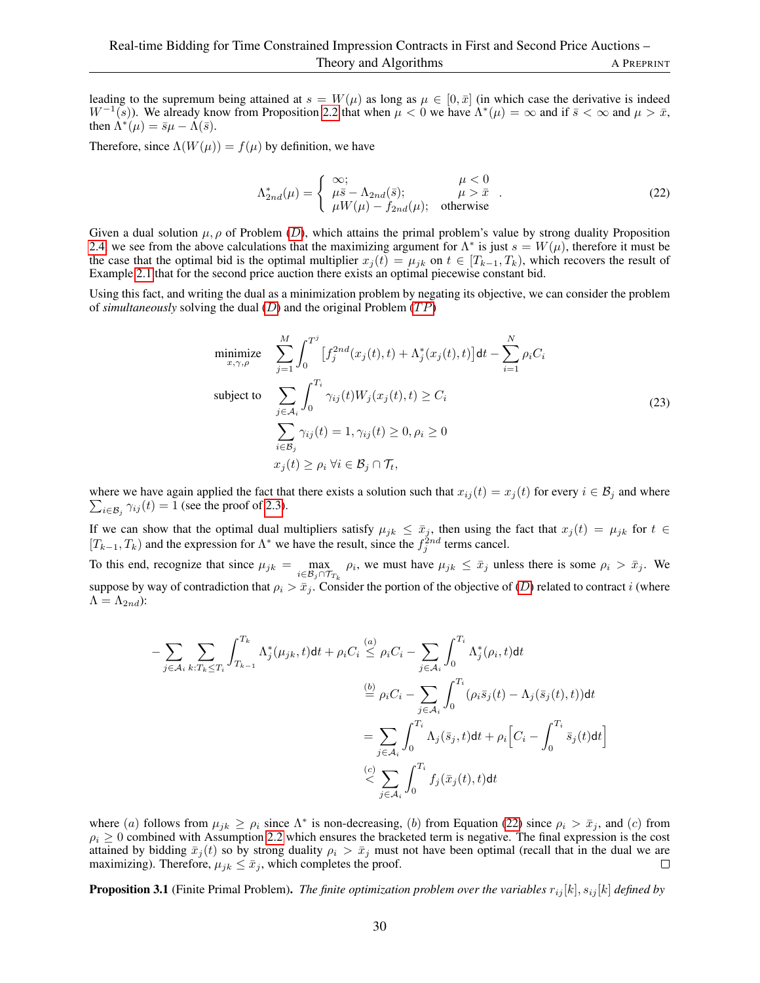leading to the supremum being attained at  $s = W(\mu)$  as long as  $\mu \in [0, \bar{x}]$  (in which case the derivative is indeed  $W^{-1}(s)$ ). We already know from Proposition [2.2](#page-6-0) that when  $\mu < 0$  we have  $\Lambda^*(\mu) = \infty$  and if  $\bar{s} < \infty$  and  $\mu > \bar{x}$ , then  $\Lambda^*(\mu) = \bar{s}\mu - \Lambda(\bar{s}).$ 

Therefore, since  $\Lambda(W(\mu)) = f(\mu)$  by definition, we have

<span id="page-29-0"></span>
$$
\Lambda_{2nd}^*(\mu) = \begin{cases}\n\infty; & \mu < 0 \\
\mu \bar{s} - \Lambda_{2nd}(\bar{s}); & \mu > \bar{x} \\
\mu W(\mu) - f_{2nd}(\mu); & \text{otherwise}\n\end{cases} (22)
$$

Given a dual solution  $\mu$ ,  $\rho$  of Problem ([D](#page-7-0)), which attains the primal problem's value by strong duality Proposition [2.4,](#page-7-4) we see from the above calculations that the maximizing argument for  $\Lambda^*$  is just  $s = W(\mu)$ , therefore it must be the case that the optimal bid is the optimal multiplier  $x_i(t) = \mu_{ik}$  on  $t \in [T_{k-1}, T_k)$ , which recovers the result of Example [2.1](#page-7-3) that for the second price auction there exists an optimal piecewise constant bid.

Using this fact, and writing the dual as a minimization problem by negating its objective, we can consider the problem of *simultaneously* solving the dual  $(D)$  $(D)$  $(D)$  and the original Problem  $(TP)$ 

$$
\begin{aligned}\n\text{minimize} & \sum_{x,\gamma,\rho}^{M} \int_{0}^{T^{j}} \left[ f_{j}^{2nd}(x_{j}(t),t) + \Lambda_{j}^{*}(x_{j}(t),t) \right] dt - \sum_{i=1}^{N} \rho_{i} C_{i} \\
\text{subject to} & \sum_{j \in \mathcal{A}_{i}} \int_{0}^{T_{i}} \gamma_{ij}(t) W_{j}(x_{j}(t),t) \geq C_{i} \\
& \sum_{i \in \mathcal{B}_{j}} \gamma_{ij}(t) = 1, \gamma_{ij}(t) \geq 0, \rho_{i} \geq 0 \\
& x_{j}(t) \geq \rho_{i} \,\forall i \in \mathcal{B}_{j} \cap \mathcal{T}_{t},\n\end{aligned} \tag{23}
$$

 $\sum_{i \in \mathcal{B}_j} \gamma_{ij}(t) = 1$  (see the proof of [2.3\)](#page-6-4). where we have again applied the fact that there exists a solution such that  $x_{ij} (t) = x_j (t)$  for every  $i \in \mathcal{B}_j$  and where

If we can show that the optimal dual multipliers satisfy  $\mu_{jk} \le \bar{x}_j$ , then using the fact that  $x_j(t) = \mu_{jk}$  for  $t \in$  $[T_{k-1}, T_k)$  and the expression for  $\Lambda^*$  we have the result, since the  $f_j^{2nd}$  terms cancel.

To this end, recognize that since  $\mu_{jk} = \max_{i \in \mathcal{B}_j \cap \mathcal{T}_{T_k}} \rho_i$ , we must have  $\mu_{jk} \leq \bar{x}_j$  unless there is some  $\rho_i > \bar{x}_j$ . We suppose by way of contradiction that  $\rho_i > \bar{x}_j$ . Consider the portion of the objective of ([D](#page-7-0)) related to contract i (where  $\Lambda = \Lambda_{2nd}$ ):

$$
-\sum_{j\in\mathcal{A}_i}\sum_{k:T_k\leq T_i}\int_{T_{k-1}}^{T_k}\Lambda_j^*(\mu_{jk},t)\mathrm{d}t + \rho_iC_i \overset{(a)}{\leq} \rho_iC_i - \sum_{j\in\mathcal{A}_i}\int_0^{T_i}\Lambda_j^*(\rho_i,t)\mathrm{d}t
$$

$$
\overset{(b)}{=} \rho_iC_i - \sum_{j\in\mathcal{A}_i}\int_0^{T_i}(\rho_i\bar{s}_j(t) - \Lambda_j(\bar{s}_j(t),t))\mathrm{d}t
$$

$$
= \sum_{j\in\mathcal{A}_i}\int_0^{T_i}\Lambda_j(\bar{s}_j,t)\mathrm{d}t + \rho_i\Big[C_i - \int_0^{T_i}\bar{s}_j(t)\mathrm{d}t\Big]
$$

$$
\overset{(c)}{\leq} \sum_{j\in\mathcal{A}_i}\int_0^{T_i}f_j(\bar{x}_j(t),t)\mathrm{d}t
$$

where (a) follows from  $\mu_{jk} \ge \rho_i$  since  $\Lambda^*$  is non-decreasing, (b) from Equation [\(22\)](#page-29-0) since  $\rho_i > \bar{x}_j$ , and (c) from  $\rho_i \geq 0$  combined with Assumption [2.2](#page-7-1) which ensures the bracketed term is negative. The final expression is the cost attained by bidding  $\bar{x}_j(t)$  so by strong duality  $\rho_i > \bar{x}_j$  must not have been optimal (recall that in the dual we are maximizing). Therefore,  $\mu_{jk} \leq \bar{x}_j$ , which completes the proof.  $\Box$ 

**Proposition 3.1** (Finite Primal Problem). *The finite optimization problem over the variables*  $r_{ij}[k]$ ,  $s_{ij}[k]$  *defined by*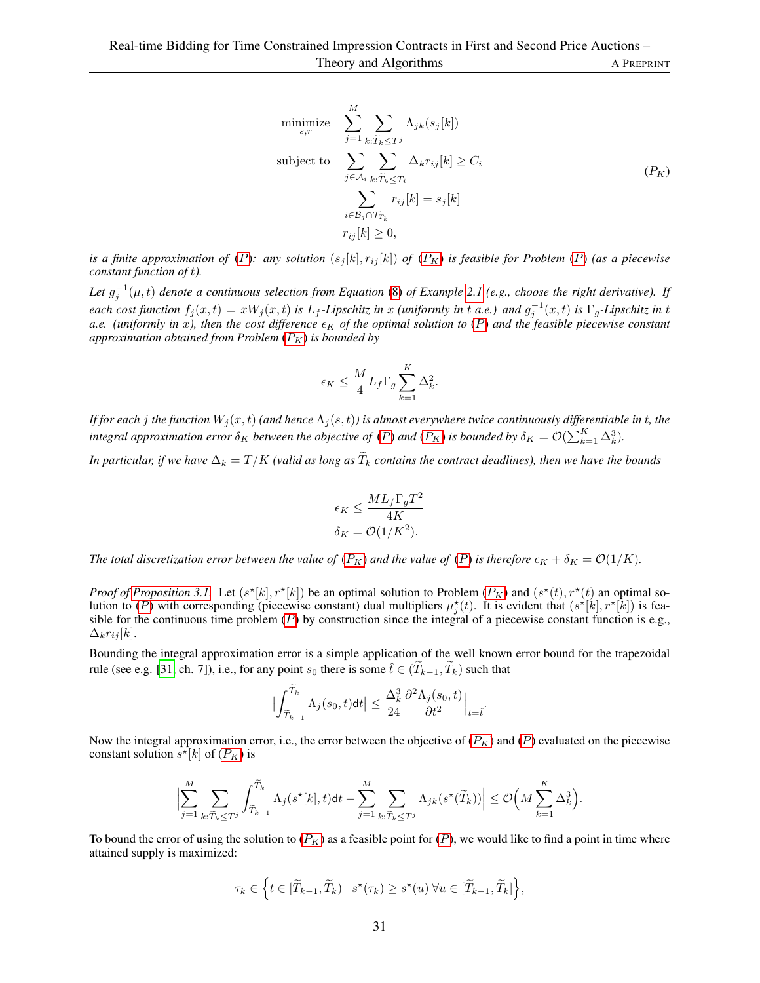$$
\begin{aligned}\n\text{minimize} & \sum_{s,r}^{M} \sum_{j=1} \sum_{k:\widetilde{T}_k \le T^j} \overline{\Lambda}_{jk}(s_j[k]) \\
\text{subject to} & \sum_{j \in \mathcal{A}_i} \sum_{k:\widetilde{T}_k \le T_i} \Delta_k r_{ij}[k] \ge C_i \\
& \sum_{i \in \mathcal{B}_j \cap \mathcal{T}_{T_k}} r_{ij}[k] = s_j[k] \\
r_{ij}[k] \ge 0,\n\end{aligned} \tag{P_K}
$$

*is a finite approximation of* ([P](#page-6-3)): any solution  $(s_j[k], r_{ij}[k])$  of  $(P_K)$  *is feasible for Problem* (P) *(as a piecewise constant function of* t*).*

Let  $g_j^{-1}(\mu, t)$  denote a continuous selection from Equation [\(8\)](#page-7-2) of Example [2.1](#page-7-3) (e.g., choose the right derivative). If  $\chi$  each cost function  $f_j(x,t) = xW_j(x,t)$  is  $L_f$ -Lipschitz in x *(uniformly in* t a.e.) and  $g_j^{-1}(x,t)$  is  $\Gamma_g$ -Lipschitz in t *a.e.* (uniformly in x), then the cost difference  $\epsilon_K$  of the optimal solution to ([P](#page-6-3)) and the feasible piecewise constant *approximation obtained from [P](#page-10-1)roblem*  $(P_K)$  *is bounded by* 

$$
\epsilon_K \leq \frac{M}{4} L_f \Gamma_g \sum_{k=1}^K \Delta_k^2.
$$

*If for each j the function*  $W_j(x,t)$  *(and hence*  $\Lambda_j(s,t)$ ) *is almost everywhere twice continuously differentiable in t, the integral approximation error*  $\delta_K$  *between the objective of*  $(P)$  $(P)$  $(P)$  *and*  $(P_K)$  *is bounded by*  $\delta_K = \mathcal{O}(\sum_{k=1}^K \Delta_k^3)$ *.* 

*In particular, if we have*  $\Delta_k = T/K$  *(valid as long as*  $\widetilde{T}_k$  *contains the contract deadlines), then we have the bounds* 

$$
\epsilon_K \le \frac{ML_f \Gamma_g T^2}{4K}
$$

$$
\delta_K = \mathcal{O}(1/K^2).
$$

*The total discretization error between the value of*  $(P_K)$  $(P_K)$  $(P_K)$  *and the value of*  $(P)$  *is therefore*  $\epsilon_K + \delta_K = \mathcal{O}(1/K)$ *.* 

*Proof of [Proposition 3.1.](#page-9-2)* Let  $(s^{\star}[k], r^{\star}[k])$  be an optimal solution to [P](#page-10-1)roblem  $(P_K)$  and  $(s^{\star}(t), r^{\star}(t))$  an optimal solution to  $(P)$  $(P)$  $(P)$  with corresponding (piecewise constant) dual multipliers  $\mu_j^*(t)$ . It is evident that  $(s^*[\hat{k}], r^*[\hat{k}]$ ) is feasible for the continuous time problem  $(P)$  $(P)$  $(P)$  by construction since the integral of a piecewise constant function is e.g.,  $\Delta_k r_{ij}[k]$ .

Bounding the integral approximation error is a simple application of the well known error bound for the trapezoidal rule (see e.g. [\[31,](#page-17-20) ch. 7]), i.e., for any point  $s_0$  there is some  $\hat{t} \in (\widetilde{T}_{k-1}, \widetilde{T}_k)$  such that

$$
\Big| \int_{\widetilde{T}_{k-1}}^{\widetilde{T}_{k}} \Lambda_j(s_0, t) \mathrm{d}t \Big| \leq \frac{\Delta_k^3}{24} \frac{\partial^2 \Lambda_j(s_0, t)}{\partial t^2} \Big|_{t=\hat{t}}.
$$

Now the integral approximation error, i.e., the error between the objective of  $(P_K)$  $(P_K)$  $(P_K)$  and  $(P)$  evaluated on the piecewise constant solution  $s^* [k]$  of  $(P_K)$  $(P_K)$  $(P_K)$  is

$$
\Big|\sum_{j=1}^M \sum_{k:\widetilde{T}_k \le T^j} \int_{\widetilde{T}_{k-1}}^{\widetilde{T}_k} \Lambda_j(s^\star[k],t) \mathrm{d} t - \sum_{j=1}^M \sum_{k:\widetilde{T}_k \le T^j} \overline{\Lambda}_{jk}(s^\star(\widetilde{T}_k)) \Big| \le \mathcal{O}\Big(M\sum_{k=1}^K \Delta_k^3\Big).
$$

To bound the error of using the solution to  $(P_K)$  $(P_K)$  $(P_K)$  as a feasible point for  $(P)$ , we would like to find a point in time where attained supply is maximized:

$$
\tau_k \in \Big\{ t \in [\widetilde{T}_{k-1}, \widetilde{T}_k) \mid s^\star(\tau_k) \geq s^\star(u) \ \forall u \in [\widetilde{T}_{k-1}, \widetilde{T}_k] \Big\},\
$$